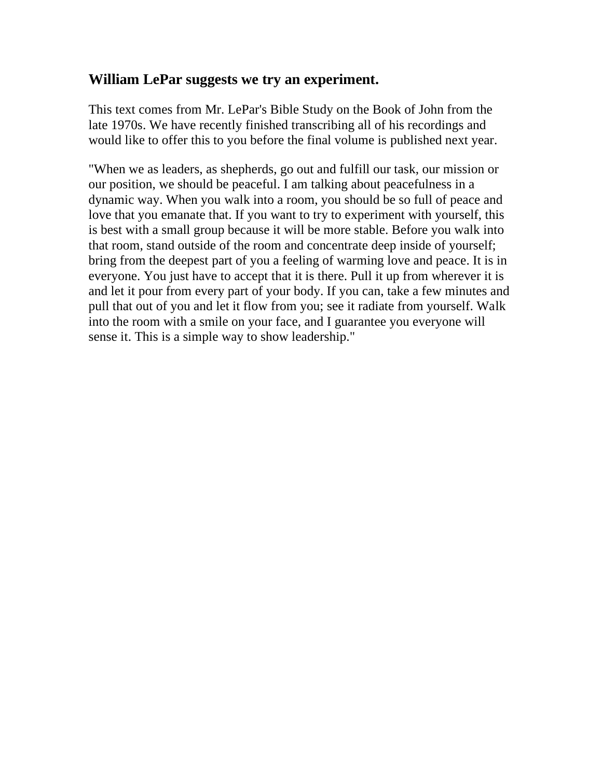## **William LePar suggests we try an experiment.**

This text comes from Mr. LePar's Bible Study on the Book of John from the late 1970s. We have recently finished transcribing all of his recordings and would like to offer this to you before the final volume is published next year.

"When we as leaders, as shepherds, go out and fulfill our task, our mission or our position, we should be peaceful. I am talking about peacefulness in a dynamic way. When you walk into a room, you should be so full of peace and love that you emanate that. If you want to try to experiment with yourself, this is best with a small group because it will be more stable. Before you walk into that room, stand outside of the room and concentrate deep inside of yourself; bring from the deepest part of you a feeling of warming love and peace. It is in everyone. You just have to accept that it is there. Pull it up from wherever it is and let it pour from every part of your body. If you can, take a few minutes and pull that out of you and let it flow from you; see it radiate from yourself. Walk into the room with a smile on your face, and I guarantee you everyone will sense it. This is a simple way to show leadership."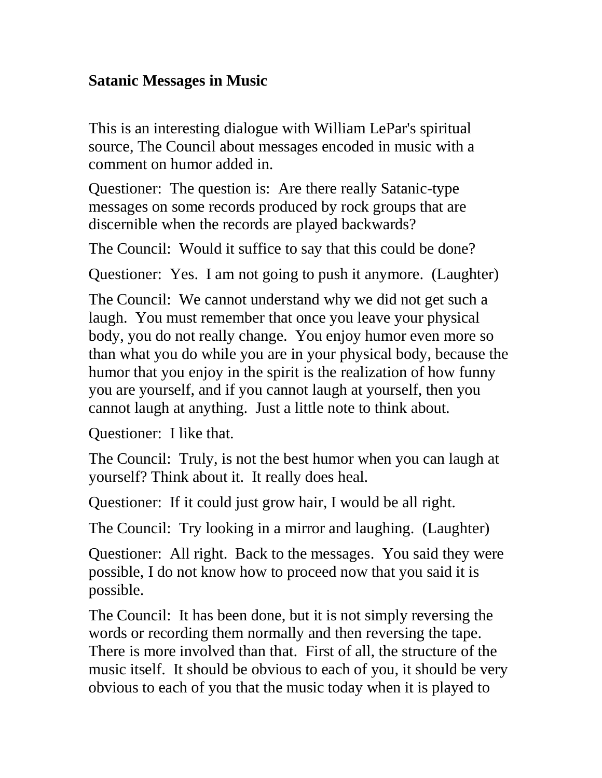## **Satanic Messages in Music**

This is an interesting dialogue with William LePar's spiritual source, The Council about messages encoded in music with a comment on humor added in.

Questioner: The question is: Are there really Satanic-type messages on some records produced by rock groups that are discernible when the records are played backwards?

The Council: Would it suffice to say that this could be done?

Questioner: Yes. I am not going to push it anymore. (Laughter)

The Council: We cannot understand why we did not get such a laugh. You must remember that once you leave your physical body, you do not really change. You enjoy humor even more so than what you do while you are in your physical body, because the humor that you enjoy in the spirit is the realization of how funny you are yourself, and if you cannot laugh at yourself, then you cannot laugh at anything. Just a little note to think about.

Questioner: I like that.

The Council: Truly, is not the best humor when you can laugh at yourself? Think about it. It really does heal.

Questioner: If it could just grow hair, I would be all right.

The Council: Try looking in a mirror and laughing. (Laughter)

Questioner: All right. Back to the messages. You said they were possible, I do not know how to proceed now that you said it is possible.

The Council: It has been done, but it is not simply reversing the words or recording them normally and then reversing the tape. There is more involved than that. First of all, the structure of the music itself. It should be obvious to each of you, it should be very obvious to each of you that the music today when it is played to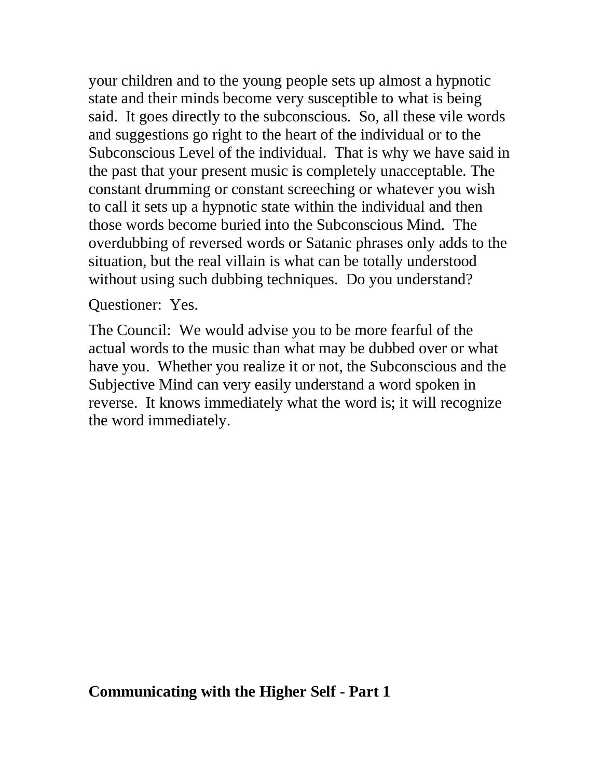your children and to the young people sets up almost a hypnotic state and their minds become very susceptible to what is being said. It goes directly to the subconscious. So, all these vile words and suggestions go right to the heart of the individual or to the Subconscious Level of the individual. That is why we have said in the past that your present music is completely unacceptable. The constant drumming or constant screeching or whatever you wish to call it sets up a hypnotic state within the individual and then those words become buried into the Subconscious Mind. The overdubbing of reversed words or Satanic phrases only adds to the situation, but the real villain is what can be totally understood without using such dubbing techniques. Do you understand?

## Questioner: Yes.

The Council: We would advise you to be more fearful of the actual words to the music than what may be dubbed over or what have you. Whether you realize it or not, the Subconscious and the Subjective Mind can very easily understand a word spoken in reverse. It knows immediately what the word is; it will recognize the word immediately.

## **Communicating with the Higher Self - Part 1**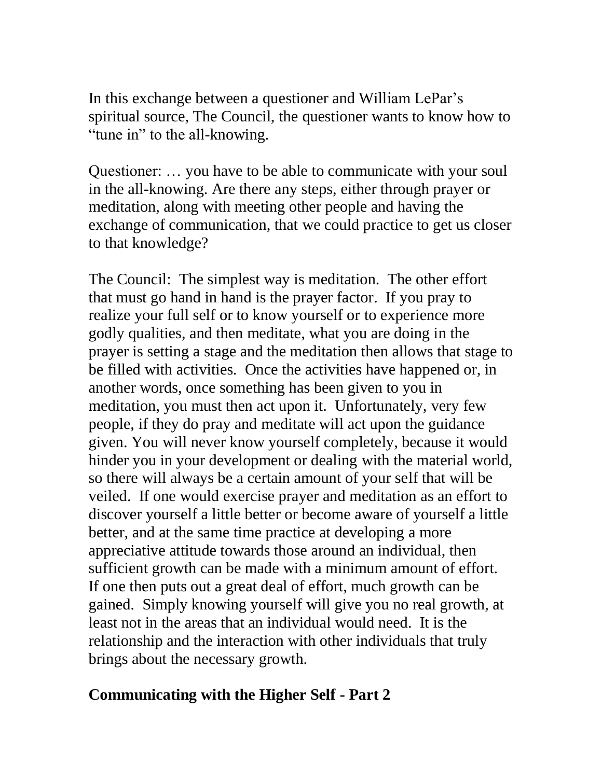In this exchange between a questioner and William LePar's spiritual source, The Council, the questioner wants to know how to "tune in" to the all-knowing.

Questioner: … you have to be able to communicate with your soul in the all-knowing. Are there any steps, either through prayer or meditation, along with meeting other people and having the exchange of communication, that we could practice to get us closer to that knowledge?

The Council: The simplest way is meditation. The other effort that must go hand in hand is the prayer factor. If you pray to realize your full self or to know yourself or to experience more godly qualities, and then meditate, what you are doing in the prayer is setting a stage and the meditation then allows that stage to be filled with activities. Once the activities have happened or, in another words, once something has been given to you in meditation, you must then act upon it. Unfortunately, very few people, if they do pray and meditate will act upon the guidance given. You will never know yourself completely, because it would hinder you in your development or dealing with the material world, so there will always be a certain amount of your self that will be veiled. If one would exercise prayer and meditation as an effort to discover yourself a little better or become aware of yourself a little better, and at the same time practice at developing a more appreciative attitude towards those around an individual, then sufficient growth can be made with a minimum amount of effort. If one then puts out a great deal of effort, much growth can be gained. Simply knowing yourself will give you no real growth, at least not in the areas that an individual would need. It is the relationship and the interaction with other individuals that truly brings about the necessary growth.

## **Communicating with the Higher Self - Part 2**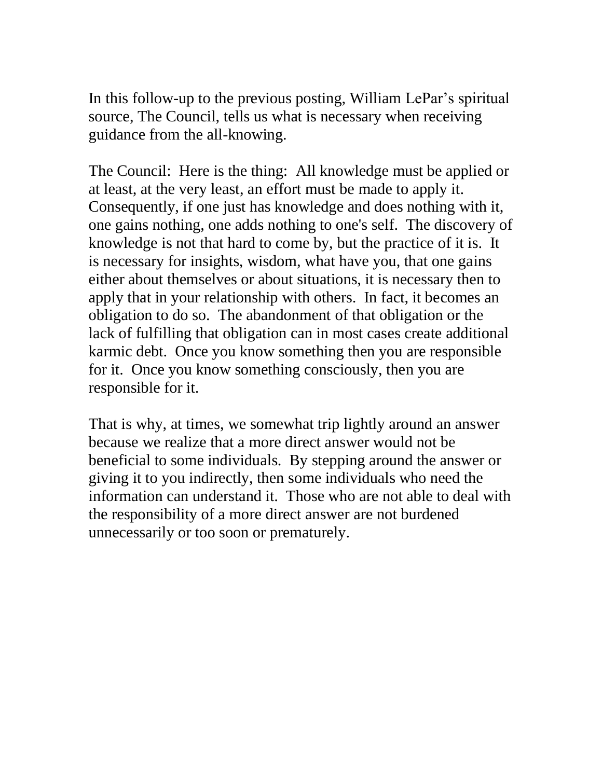In this follow-up to the previous posting, William LePar's spiritual source, The Council, tells us what is necessary when receiving guidance from the all-knowing.

The Council: Here is the thing: All knowledge must be applied or at least, at the very least, an effort must be made to apply it. Consequently, if one just has knowledge and does nothing with it, one gains nothing, one adds nothing to one's self. The discovery of knowledge is not that hard to come by, but the practice of it is. It is necessary for insights, wisdom, what have you, that one gains either about themselves or about situations, it is necessary then to apply that in your relationship with others. In fact, it becomes an obligation to do so. The abandonment of that obligation or the lack of fulfilling that obligation can in most cases create additional karmic debt. Once you know something then you are responsible for it. Once you know something consciously, then you are responsible for it.

That is why, at times, we somewhat trip lightly around an answer because we realize that a more direct answer would not be beneficial to some individuals. By stepping around the answer or giving it to you indirectly, then some individuals who need the information can understand it. Those who are not able to deal with the responsibility of a more direct answer are not burdened unnecessarily or too soon or prematurely.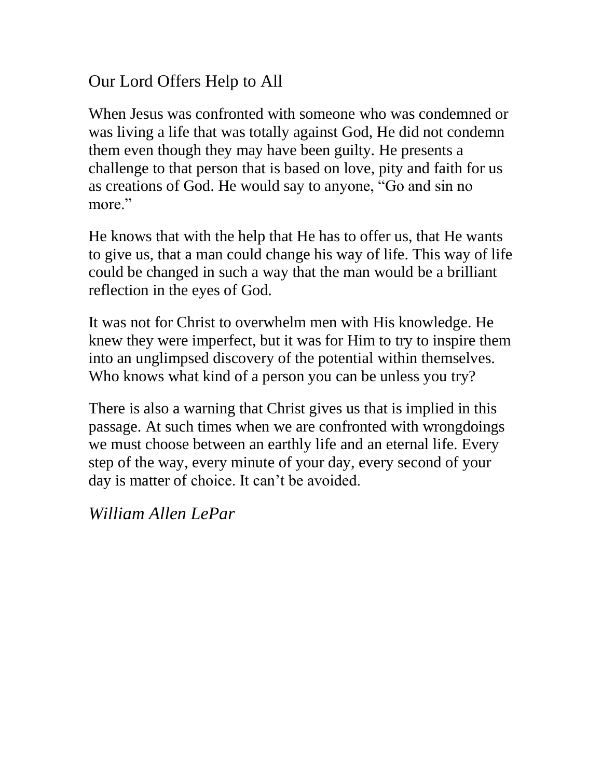# Our Lord Offers Help to All

When Jesus was confronted with someone who was condemned or was living a life that was totally against God, He did not condemn them even though they may have been guilty. He presents a challenge to that person that is based on love, pity and faith for us as creations of God. He would say to anyone, "Go and sin no more."

He knows that with the help that He has to offer us, that He wants to give us, that a man could change his way of life. This way of life could be changed in such a way that the man would be a brilliant reflection in the eyes of God.

It was not for Christ to overwhelm men with His knowledge. He knew they were imperfect, but it was for Him to try to inspire them into an unglimpsed discovery of the potential within themselves. Who knows what kind of a person you can be unless you try?

There is also a warning that Christ gives us that is implied in this passage. At such times when we are confronted with wrongdoings we must choose between an earthly life and an eternal life. Every step of the way, every minute of your day, every second of your day is matter of choice. It can't be avoided.

*William Allen LePar*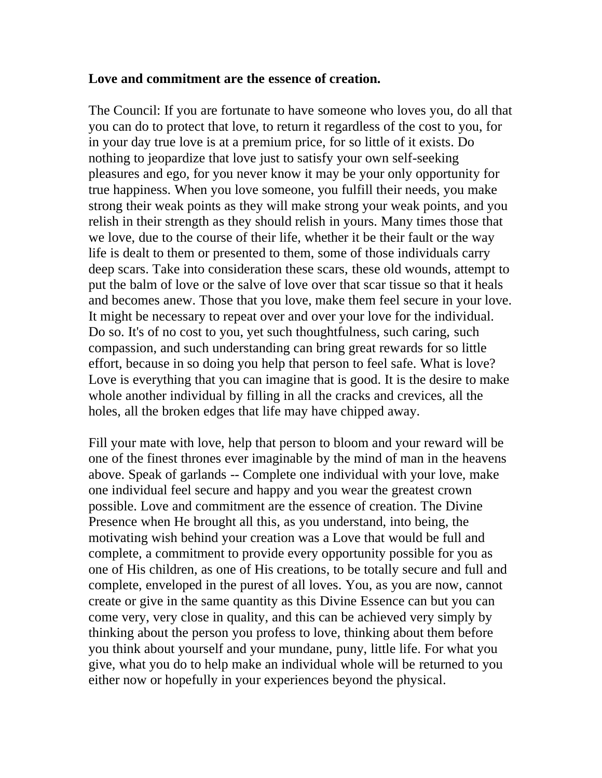## **Love and commitment are the essence of creation.**

The Council: If you are fortunate to have someone who loves you, do all that you can do to protect that love, to return it regardless of the cost to you, for in your day true love is at a premium price, for so little of it exists. Do nothing to jeopardize that love just to satisfy your own self-seeking pleasures and ego, for you never know it may be your only opportunity for true happiness. When you love someone, you fulfill their needs, you make strong their weak points as they will make strong your weak points, and you relish in their strength as they should relish in yours. Many times those that we love, due to the course of their life, whether it be their fault or the way life is dealt to them or presented to them, some of those individuals carry deep scars. Take into consideration these scars, these old wounds, attempt to put the balm of love or the salve of love over that scar tissue so that it heals and becomes anew. Those that you love, make them feel secure in your love. It might be necessary to repeat over and over your love for the individual. Do so. It's of no cost to you, yet such thoughtfulness, such caring, such compassion, and such understanding can bring great rewards for so little effort, because in so doing you help that person to feel safe. What is love? Love is everything that you can imagine that is good. It is the desire to make whole another individual by filling in all the cracks and crevices, all the holes, all the broken edges that life may have chipped away.

Fill your mate with love, help that person to bloom and your reward will be one of the finest thrones ever imaginable by the mind of man in the heavens above. Speak of garlands -- Complete one individual with your love, make one individual feel secure and happy and you wear the greatest crown possible. Love and commitment are the essence of creation. The Divine Presence when He brought all this, as you understand, into being, the motivating wish behind your creation was a Love that would be full and complete, a commitment to provide every opportunity possible for you as one of His children, as one of His creations, to be totally secure and full and complete, enveloped in the purest of all loves. You, as you are now, cannot create or give in the same quantity as this Divine Essence can but you can come very, very close in quality, and this can be achieved very simply by thinking about the person you profess to love, thinking about them before you think about yourself and your mundane, puny, little life. For what you give, what you do to help make an individual whole will be returned to you either now or hopefully in your experiences beyond the physical.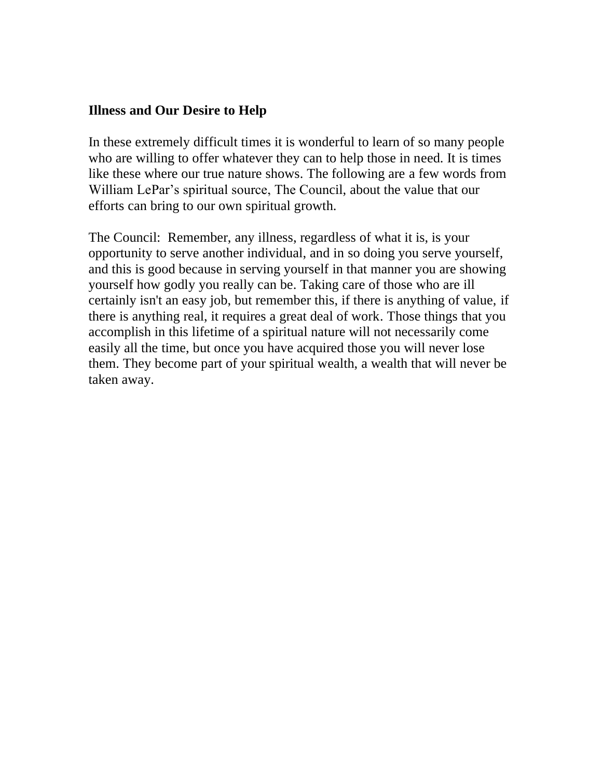## **Illness and Our Desire to Help**

In these extremely difficult times it is wonderful to learn of so many people who are willing to offer whatever they can to help those in need. It is times like these where our true nature shows. The following are a few words from William LePar's spiritual source, The Council, about the value that our efforts can bring to our own spiritual growth.

The Council: Remember, any illness, regardless of what it is, is your opportunity to serve another individual, and in so doing you serve yourself, and this is good because in serving yourself in that manner you are showing yourself how godly you really can be. Taking care of those who are ill certainly isn't an easy job, but remember this, if there is anything of value, if there is anything real, it requires a great deal of work. Those things that you accomplish in this lifetime of a spiritual nature will not necessarily come easily all the time, but once you have acquired those you will never lose them. They become part of your spiritual wealth, a wealth that will never be taken away.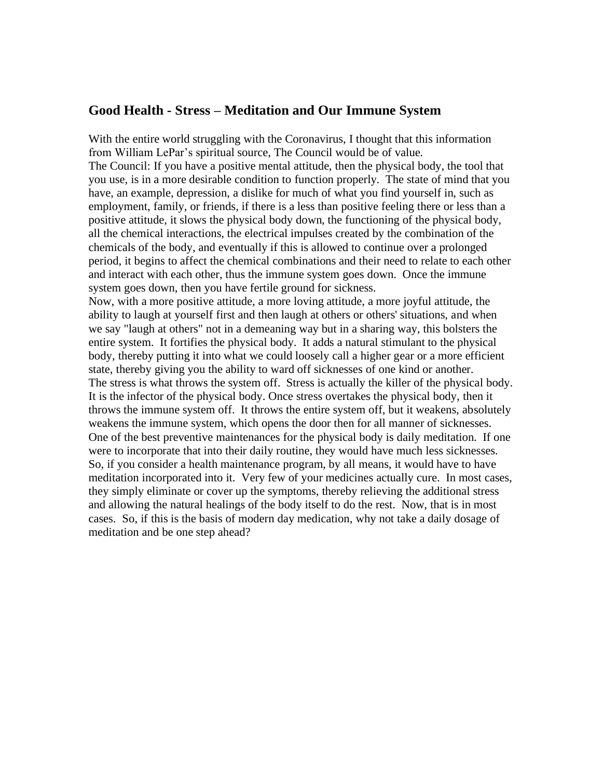#### **Good Health - Stress – Meditation and Our Immune System**

With the entire world struggling with the Coronavirus, I thought that this information from William LePar's spiritual source, The Council would be of value. The Council: If you have a positive mental attitude, then the physical body, the tool that you use, is in a more desirable condition to function properly. The state of mind that you have, an example, depression, a dislike for much of what you find yourself in, such as employment, family, or friends, if there is a less than positive feeling there or less than a positive attitude, it slows the physical body down, the functioning of the physical body, all the chemical interactions, the electrical impulses created by the combination of the chemicals of the body, and eventually if this is allowed to continue over a prolonged period, it begins to affect the chemical combinations and their need to relate to each other and interact with each other, thus the immune system goes down. Once the immune system goes down, then you have fertile ground for sickness.

Now, with a more positive attitude, a more loving attitude, a more joyful attitude, the ability to laugh at yourself first and then laugh at others or others' situations, and when we say "laugh at others" not in a demeaning way but in a sharing way, this bolsters the entire system. It fortifies the physical body. It adds a natural stimulant to the physical body, thereby putting it into what we could loosely call a higher gear or a more efficient state, thereby giving you the ability to ward off sicknesses of one kind or another. The stress is what throws the system off. Stress is actually the killer of the physical body. It is the infector of the physical body. Once stress overtakes the physical body, then it throws the immune system off. It throws the entire system off, but it weakens, absolutely weakens the immune system, which opens the door then for all manner of sicknesses. One of the best preventive maintenances for the physical body is daily meditation. If one were to incorporate that into their daily routine, they would have much less sicknesses. So, if you consider a health maintenance program, by all means, it would have to have meditation incorporated into it. Very few of your medicines actually cure. In most cases, they simply eliminate or cover up the symptoms, thereby relieving the additional stress and allowing the natural healings of the body itself to do the rest. Now, that is in most cases. So, if this is the basis of modern day medication, why not take a daily dosage of meditation and be one step ahead?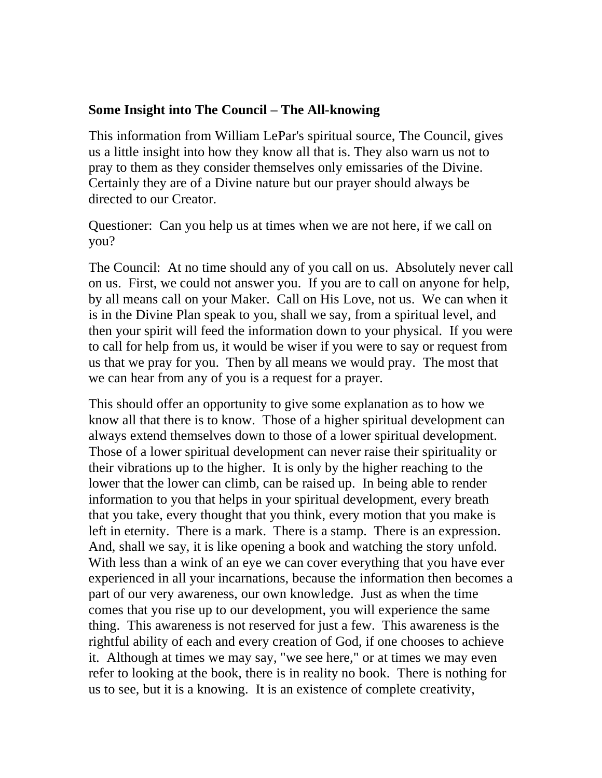## **Some Insight into The Council – The All-knowing**

This information from William LePar's spiritual source, The Council, gives us a little insight into how they know all that is. They also warn us not to pray to them as they consider themselves only emissaries of the Divine. Certainly they are of a Divine nature but our prayer should always be directed to our Creator.

Questioner: Can you help us at times when we are not here, if we call on you?

The Council: At no time should any of you call on us. Absolutely never call on us. First, we could not answer you. If you are to call on anyone for help, by all means call on your Maker. Call on His Love, not us. We can when it is in the Divine Plan speak to you, shall we say, from a spiritual level, and then your spirit will feed the information down to your physical. If you were to call for help from us, it would be wiser if you were to say or request from us that we pray for you. Then by all means we would pray. The most that we can hear from any of you is a request for a prayer.

This should offer an opportunity to give some explanation as to how we know all that there is to know. Those of a higher spiritual development can always extend themselves down to those of a lower spiritual development. Those of a lower spiritual development can never raise their spirituality or their vibrations up to the higher. It is only by the higher reaching to the lower that the lower can climb, can be raised up. In being able to render information to you that helps in your spiritual development, every breath that you take, every thought that you think, every motion that you make is left in eternity. There is a mark. There is a stamp. There is an expression. And, shall we say, it is like opening a book and watching the story unfold. With less than a wink of an eye we can cover everything that you have ever experienced in all your incarnations, because the information then becomes a part of our very awareness, our own knowledge. Just as when the time comes that you rise up to our development, you will experience the same thing. This awareness is not reserved for just a few. This awareness is the rightful ability of each and every creation of God, if one chooses to achieve it. Although at times we may say, "we see here," or at times we may even refer to looking at the book, there is in reality no book. There is nothing for us to see, but it is a knowing. It is an existence of complete creativity,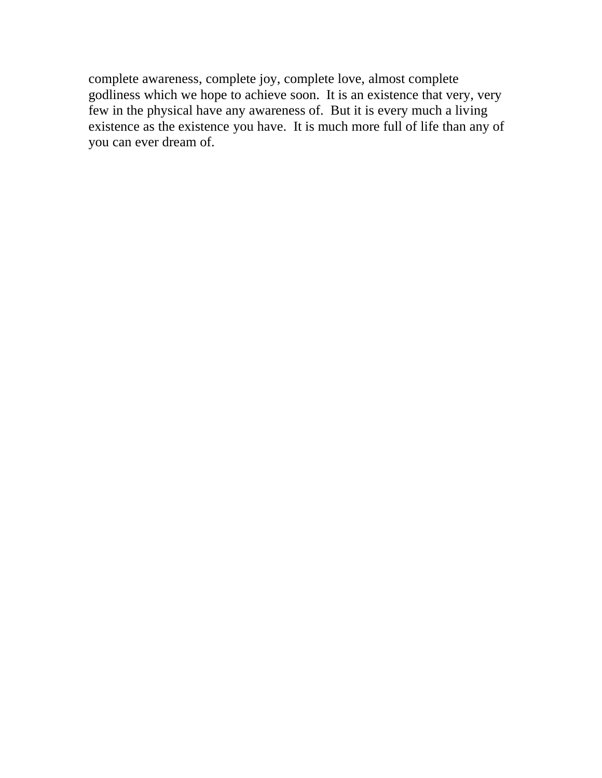complete awareness, complete joy, complete love, almost complete godliness which we hope to achieve soon. It is an existence that very, very few in the physical have any awareness of. But it is every much a living existence as the existence you have. It is much more full of life than any of you can ever dream of.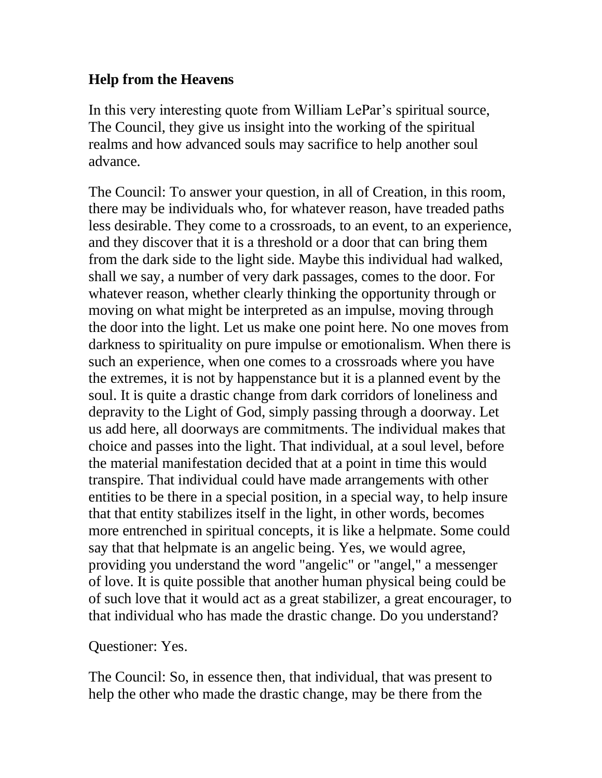## **Help from the Heavens**

In this very interesting quote from William LePar's spiritual source, The Council, they give us insight into the working of the spiritual realms and how advanced souls may sacrifice to help another soul advance.

The Council: To answer your question, in all of Creation, in this room, there may be individuals who, for whatever reason, have treaded paths less desirable. They come to a crossroads, to an event, to an experience, and they discover that it is a threshold or a door that can bring them from the dark side to the light side. Maybe this individual had walked, shall we say, a number of very dark passages, comes to the door. For whatever reason, whether clearly thinking the opportunity through or moving on what might be interpreted as an impulse, moving through the door into the light. Let us make one point here. No one moves from darkness to spirituality on pure impulse or emotionalism. When there is such an experience, when one comes to a crossroads where you have the extremes, it is not by happenstance but it is a planned event by the soul. It is quite a drastic change from dark corridors of loneliness and depravity to the Light of God, simply passing through a doorway. Let us add here, all doorways are commitments. The individual makes that choice and passes into the light. That individual, at a soul level, before the material manifestation decided that at a point in time this would transpire. That individual could have made arrangements with other entities to be there in a special position, in a special way, to help insure that that entity stabilizes itself in the light, in other words, becomes more entrenched in spiritual concepts, it is like a helpmate. Some could say that that helpmate is an angelic being. Yes, we would agree, providing you understand the word "angelic" or "angel," a messenger of love. It is quite possible that another human physical being could be of such love that it would act as a great stabilizer, a great encourager, to that individual who has made the drastic change. Do you understand?

## Questioner: Yes.

The Council: So, in essence then, that individual, that was present to help the other who made the drastic change, may be there from the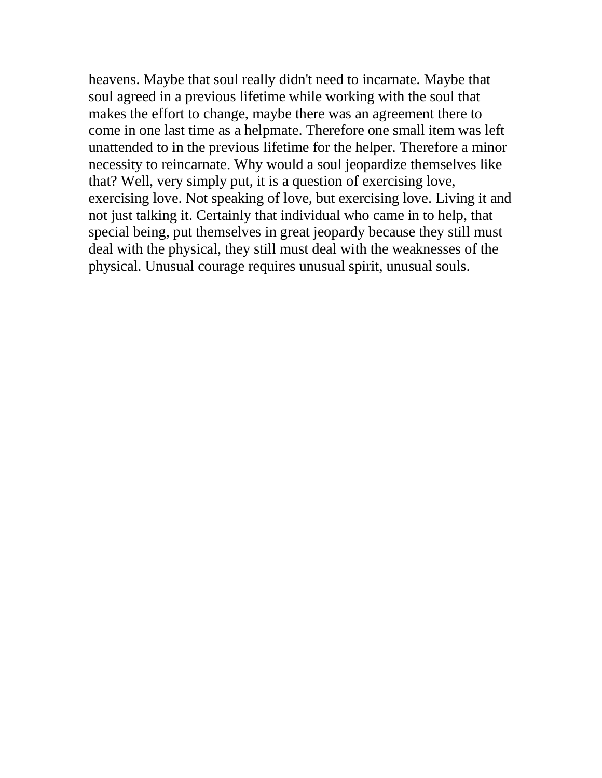heavens. Maybe that soul really didn't need to incarnate. Maybe that soul agreed in a previous lifetime while working with the soul that makes the effort to change, maybe there was an agreement there to come in one last time as a helpmate. Therefore one small item was left unattended to in the previous lifetime for the helper. Therefore a minor necessity to reincarnate. Why would a soul jeopardize themselves like that? Well, very simply put, it is a question of exercising love, exercising love. Not speaking of love, but exercising love. Living it and not just talking it. Certainly that individual who came in to help, that special being, put themselves in great jeopardy because they still must deal with the physical, they still must deal with the weaknesses of the physical. Unusual courage requires unusual spirit, unusual souls.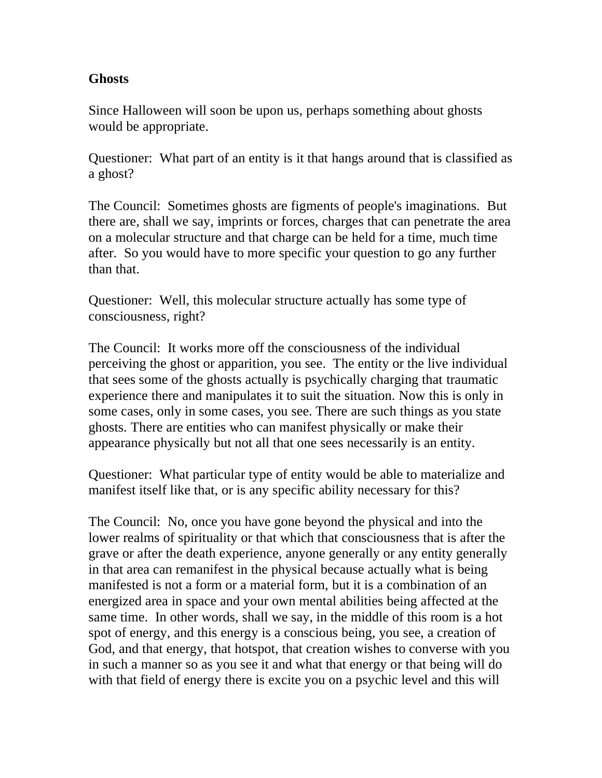## **Ghosts**

Since Halloween will soon be upon us, perhaps something about ghosts would be appropriate.

Questioner: What part of an entity is it that hangs around that is classified as a ghost?

The Council: Sometimes ghosts are figments of people's imaginations. But there are, shall we say, imprints or forces, charges that can penetrate the area on a molecular structure and that charge can be held for a time, much time after. So you would have to more specific your question to go any further than that.

Questioner: Well, this molecular structure actually has some type of consciousness, right?

The Council: It works more off the consciousness of the individual perceiving the ghost or apparition, you see. The entity or the live individual that sees some of the ghosts actually is psychically charging that traumatic experience there and manipulates it to suit the situation. Now this is only in some cases, only in some cases, you see. There are such things as you state ghosts. There are entities who can manifest physically or make their appearance physically but not all that one sees necessarily is an entity.

Questioner: What particular type of entity would be able to materialize and manifest itself like that, or is any specific ability necessary for this?

The Council: No, once you have gone beyond the physical and into the lower realms of spirituality or that which that consciousness that is after the grave or after the death experience, anyone generally or any entity generally in that area can remanifest in the physical because actually what is being manifested is not a form or a material form, but it is a combination of an energized area in space and your own mental abilities being affected at the same time. In other words, shall we say, in the middle of this room is a hot spot of energy, and this energy is a conscious being, you see, a creation of God, and that energy, that hotspot, that creation wishes to converse with you in such a manner so as you see it and what that energy or that being will do with that field of energy there is excite you on a psychic level and this will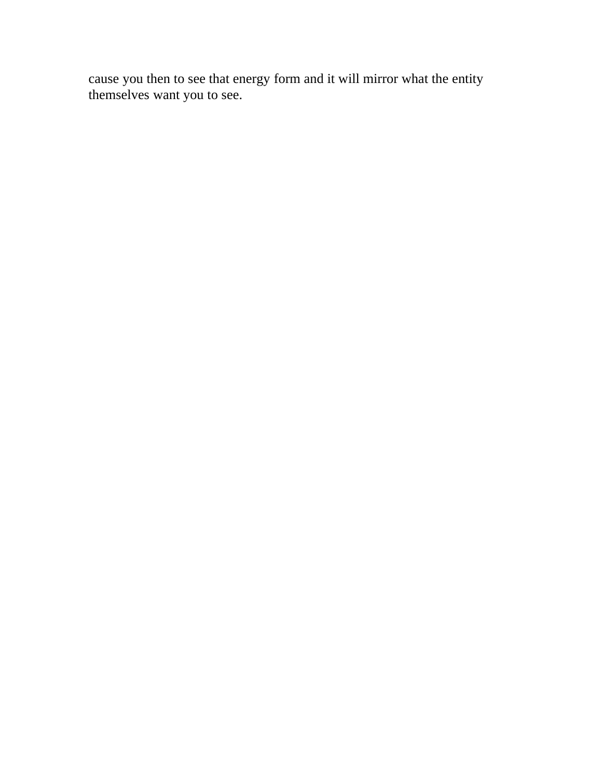cause you then to see that energy form and it will mirror what the entity themselves want you to see.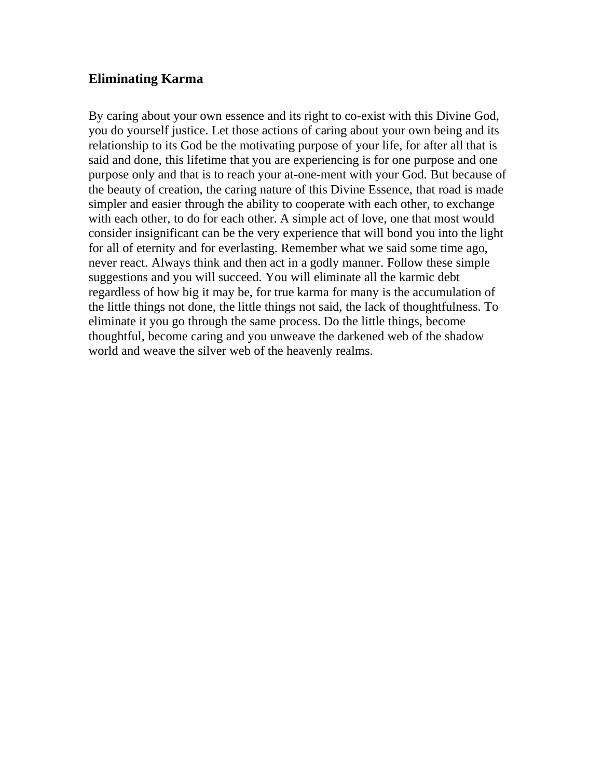### **Eliminating Karma**

By caring about your own essence and its right to co-exist with this Divine God, you do yourself justice. Let those actions of caring about your own being and its relationship to its God be the motivating purpose of your life, for after all that is said and done, this lifetime that you are experiencing is for one purpose and one purpose only and that is to reach your at-one-ment with your God. But because of the beauty of creation, the caring nature of this Divine Essence, that road is made simpler and easier through the ability to cooperate with each other, to exchange with each other, to do for each other. A simple act of love, one that most would consider insignificant can be the very experience that will bond you into the light for all of eternity and for everlasting. Remember what we said some time ago, never react. Always think and then act in a godly manner. Follow these simple suggestions and you will succeed. You will eliminate all the karmic debt regardless of how big it may be, for true karma for many is the accumulation of the little things not done, the little things not said, the lack of thoughtfulness. To eliminate it you go through the same process. Do the little things, become thoughtful, become caring and you unweave the darkened web of the shadow world and weave the silver web of the heavenly realms.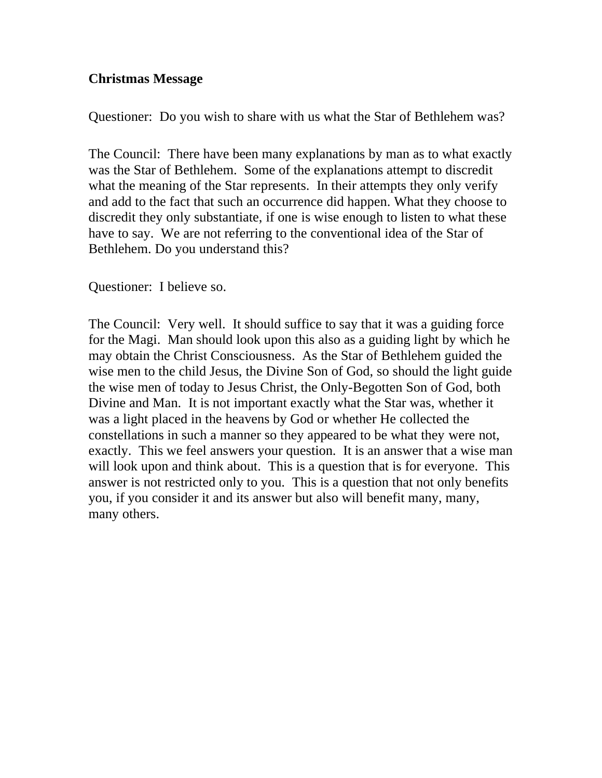## **Christmas Message**

Questioner: Do you wish to share with us what the Star of Bethlehem was?

The Council: There have been many explanations by man as to what exactly was the Star of Bethlehem. Some of the explanations attempt to discredit what the meaning of the Star represents. In their attempts they only verify and add to the fact that such an occurrence did happen. What they choose to discredit they only substantiate, if one is wise enough to listen to what these have to say. We are not referring to the conventional idea of the Star of Bethlehem. Do you understand this?

Questioner: I believe so.

The Council: Very well. It should suffice to say that it was a guiding force for the Magi. Man should look upon this also as a guiding light by which he may obtain the Christ Consciousness. As the Star of Bethlehem guided the wise men to the child Jesus, the Divine Son of God, so should the light guide the wise men of today to Jesus Christ, the Only-Begotten Son of God, both Divine and Man. It is not important exactly what the Star was, whether it was a light placed in the heavens by God or whether He collected the constellations in such a manner so they appeared to be what they were not, exactly. This we feel answers your question. It is an answer that a wise man will look upon and think about. This is a question that is for everyone. This answer is not restricted only to you. This is a question that not only benefits you, if you consider it and its answer but also will benefit many, many, many others.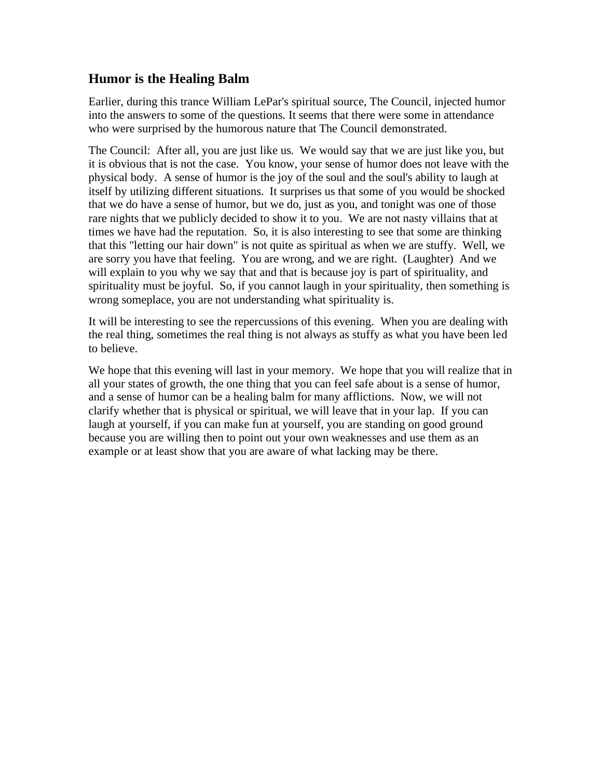## **Humor is the Healing Balm**

Earlier, during this trance William LePar's spiritual source, The Council, injected humor into the answers to some of the questions. It seems that there were some in attendance who were surprised by the humorous nature that The Council demonstrated.

The Council: After all, you are just like us. We would say that we are just like you, but it is obvious that is not the case. You know, your sense of humor does not leave with the physical body. A sense of humor is the joy of the soul and the soul's ability to laugh at itself by utilizing different situations. It surprises us that some of you would be shocked that we do have a sense of humor, but we do, just as you, and tonight was one of those rare nights that we publicly decided to show it to you. We are not nasty villains that at times we have had the reputation. So, it is also interesting to see that some are thinking that this "letting our hair down" is not quite as spiritual as when we are stuffy. Well, we are sorry you have that feeling. You are wrong, and we are right. (Laughter) And we will explain to you why we say that and that is because joy is part of spirituality, and spirituality must be joyful. So, if you cannot laugh in your spirituality, then something is wrong someplace, you are not understanding what spirituality is.

It will be interesting to see the repercussions of this evening. When you are dealing with the real thing, sometimes the real thing is not always as stuffy as what you have been led to believe.

We hope that this evening will last in your memory. We hope that you will realize that in all your states of growth, the one thing that you can feel safe about is a sense of humor, and a sense of humor can be a healing balm for many afflictions. Now, we will not clarify whether that is physical or spiritual, we will leave that in your lap. If you can laugh at yourself, if you can make fun at yourself, you are standing on good ground because you are willing then to point out your own weaknesses and use them as an example or at least show that you are aware of what lacking may be there.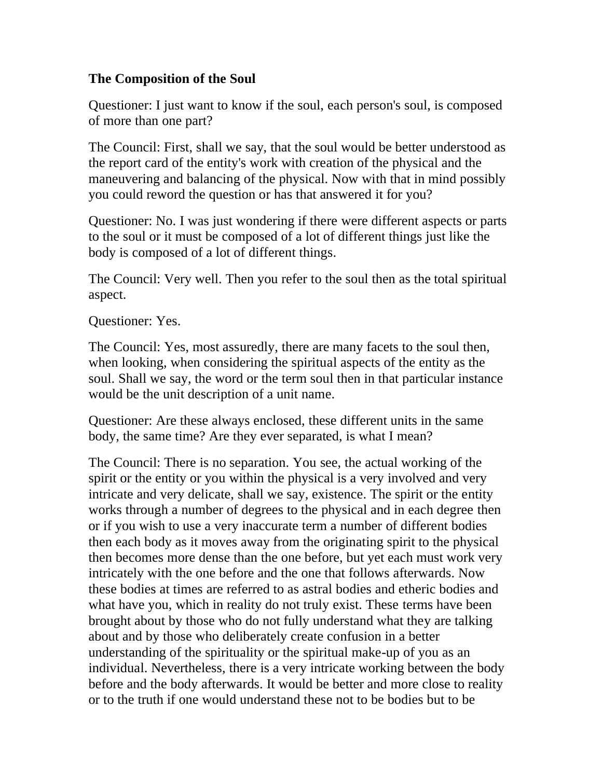## **The Composition of the Soul**

Questioner: I just want to know if the soul, each person's soul, is composed of more than one part?

The Council: First, shall we say, that the soul would be better understood as the report card of the entity's work with creation of the physical and the maneuvering and balancing of the physical. Now with that in mind possibly you could reword the question or has that answered it for you?

Questioner: No. I was just wondering if there were different aspects or parts to the soul or it must be composed of a lot of different things just like the body is composed of a lot of different things.

The Council: Very well. Then you refer to the soul then as the total spiritual aspect.

Questioner: Yes.

The Council: Yes, most assuredly, there are many facets to the soul then, when looking, when considering the spiritual aspects of the entity as the soul. Shall we say, the word or the term soul then in that particular instance would be the unit description of a unit name.

Questioner: Are these always enclosed, these different units in the same body, the same time? Are they ever separated, is what I mean?

The Council: There is no separation. You see, the actual working of the spirit or the entity or you within the physical is a very involved and very intricate and very delicate, shall we say, existence. The spirit or the entity works through a number of degrees to the physical and in each degree then or if you wish to use a very inaccurate term a number of different bodies then each body as it moves away from the originating spirit to the physical then becomes more dense than the one before, but yet each must work very intricately with the one before and the one that follows afterwards. Now these bodies at times are referred to as astral bodies and etheric bodies and what have you, which in reality do not truly exist. These terms have been brought about by those who do not fully understand what they are talking about and by those who deliberately create confusion in a better understanding of the spirituality or the spiritual make-up of you as an individual. Nevertheless, there is a very intricate working between the body before and the body afterwards. It would be better and more close to reality or to the truth if one would understand these not to be bodies but to be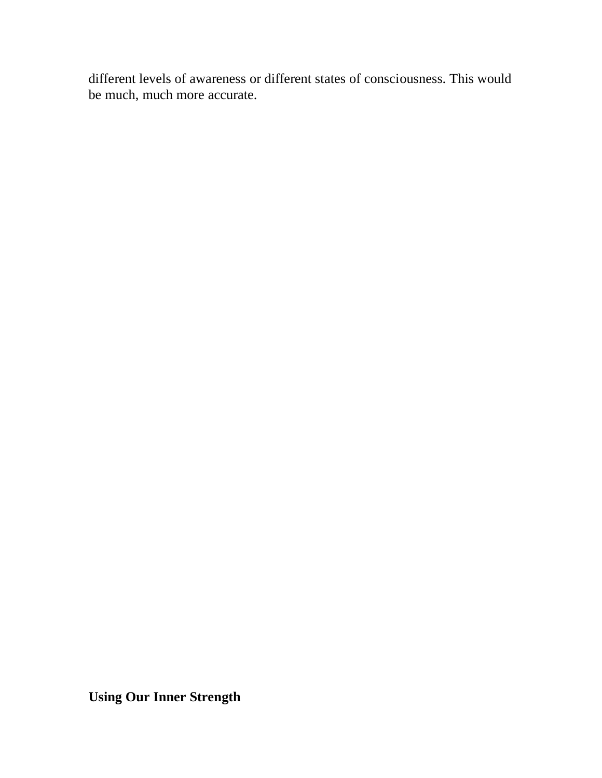different levels of awareness or different states of consciousness. This would be much, much more accurate.

**Using Our Inner Strength**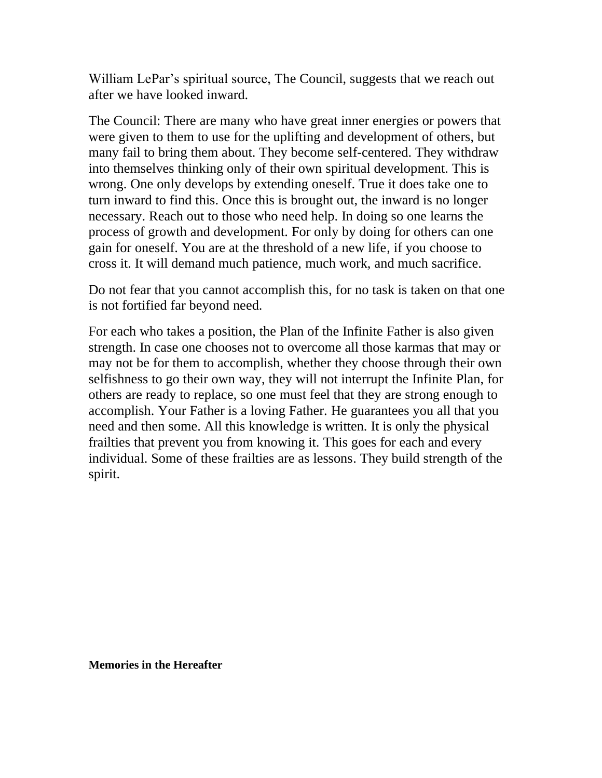William LePar's spiritual source, The Council, suggests that we reach out after we have looked inward.

The Council: There are many who have great inner energies or powers that were given to them to use for the uplifting and development of others, but many fail to bring them about. They become self-centered. They withdraw into themselves thinking only of their own spiritual development. This is wrong. One only develops by extending oneself. True it does take one to turn inward to find this. Once this is brought out, the inward is no longer necessary. Reach out to those who need help. In doing so one learns the process of growth and development. For only by doing for others can one gain for oneself. You are at the threshold of a new life, if you choose to cross it. It will demand much patience, much work, and much sacrifice.

Do not fear that you cannot accomplish this, for no task is taken on that one is not fortified far beyond need.

For each who takes a position, the Plan of the Infinite Father is also given strength. In case one chooses not to overcome all those karmas that may or may not be for them to accomplish, whether they choose through their own selfishness to go their own way, they will not interrupt the Infinite Plan, for others are ready to replace, so one must feel that they are strong enough to accomplish. Your Father is a loving Father. He guarantees you all that you need and then some. All this knowledge is written. It is only the physical frailties that prevent you from knowing it. This goes for each and every individual. Some of these frailties are as lessons. They build strength of the spirit.

**Memories in the Hereafter**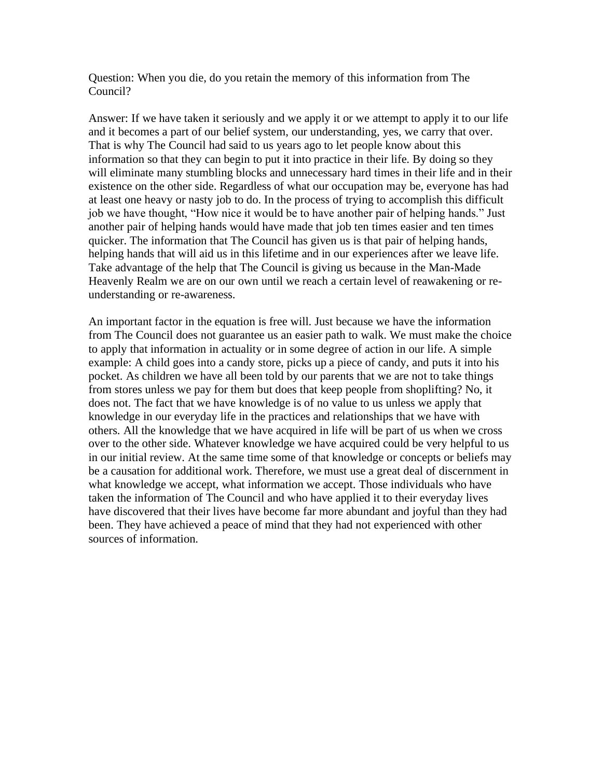Question: When you die, do you retain the memory of this information from The Council?

Answer: If we have taken it seriously and we apply it or we attempt to apply it to our life and it becomes a part of our belief system, our understanding, yes, we carry that over. That is why The Council had said to us years ago to let people know about this information so that they can begin to put it into practice in their life. By doing so they will eliminate many stumbling blocks and unnecessary hard times in their life and in their existence on the other side. Regardless of what our occupation may be, everyone has had at least one heavy or nasty job to do. In the process of trying to accomplish this difficult job we have thought, "How nice it would be to have another pair of helping hands." Just another pair of helping hands would have made that job ten times easier and ten times quicker. The information that The Council has given us is that pair of helping hands, helping hands that will aid us in this lifetime and in our experiences after we leave life. Take advantage of the help that The Council is giving us because in the Man-Made Heavenly Realm we are on our own until we reach a certain level of reawakening or reunderstanding or re-awareness.

An important factor in the equation is free will. Just because we have the information from The Council does not guarantee us an easier path to walk. We must make the choice to apply that information in actuality or in some degree of action in our life. A simple example: A child goes into a candy store, picks up a piece of candy, and puts it into his pocket. As children we have all been told by our parents that we are not to take things from stores unless we pay for them but does that keep people from shoplifting? No, it does not. The fact that we have knowledge is of no value to us unless we apply that knowledge in our everyday life in the practices and relationships that we have with others. All the knowledge that we have acquired in life will be part of us when we cross over to the other side. Whatever knowledge we have acquired could be very helpful to us in our initial review. At the same time some of that knowledge or concepts or beliefs may be a causation for additional work. Therefore, we must use a great deal of discernment in what knowledge we accept, what information we accept. Those individuals who have taken the information of The Council and who have applied it to their everyday lives have discovered that their lives have become far more abundant and joyful than they had been. They have achieved a peace of mind that they had not experienced with other sources of information.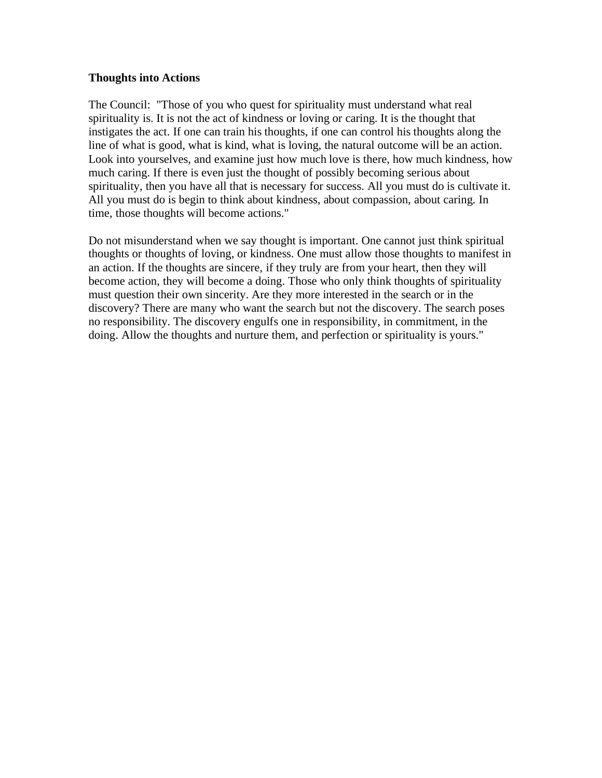#### **Thoughts into Actions**

The Council: "Those of you who quest for spirituality must understand what real spirituality is. It is not the act of kindness or loving or caring. It is the thought that instigates the act. If one can train his thoughts, if one can control his thoughts along the line of what is good, what is kind, what is loving, the natural outcome will be an action. Look into yourselves, and examine just how much love is there, how much kindness, how much caring. If there is even just the thought of possibly becoming serious about spirituality, then you have all that is necessary for success. All you must do is cultivate it. All you must do is begin to think about kindness, about compassion, about caring. In time, those thoughts will become actions."

Do not misunderstand when we say thought is important. One cannot just think spiritual thoughts or thoughts of loving, or kindness. One must allow those thoughts to manifest in an action. If the thoughts are sincere, if they truly are from your heart, then they will become action, they will become a doing. Those who only think thoughts of spirituality must question their own sincerity. Are they more interested in the search or in the discovery? There are many who want the search but not the discovery. The search poses no responsibility. The discovery engulfs one in responsibility, in commitment, in the doing. Allow the thoughts and nurture them, and perfection or spirituality is yours."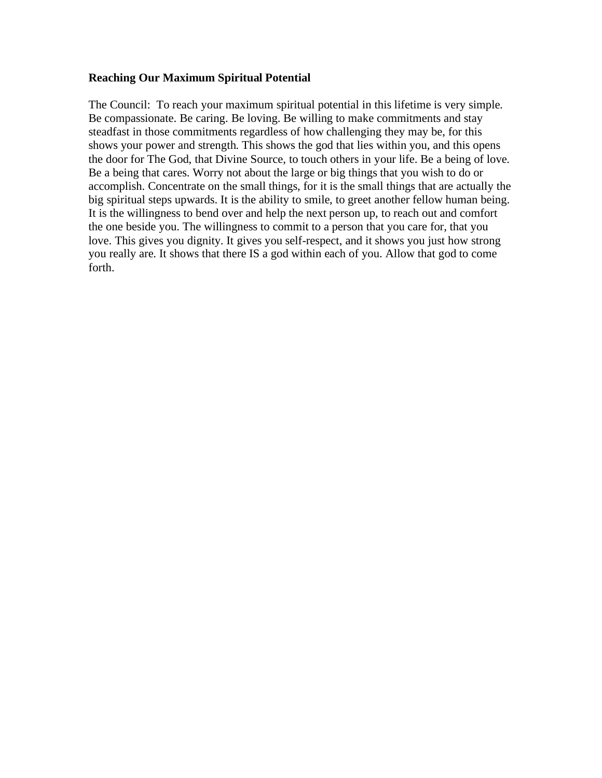#### **Reaching Our Maximum Spiritual Potential**

The Council: To reach your maximum spiritual potential in this lifetime is very simple. Be compassionate. Be caring. Be loving. Be willing to make commitments and stay steadfast in those commitments regardless of how challenging they may be, for this shows your power and strength. This shows the god that lies within you, and this opens the door for The God, that Divine Source, to touch others in your life. Be a being of love. Be a being that cares. Worry not about the large or big things that you wish to do or accomplish. Concentrate on the small things, for it is the small things that are actually the big spiritual steps upwards. It is the ability to smile, to greet another fellow human being. It is the willingness to bend over and help the next person up, to reach out and comfort the one beside you. The willingness to commit to a person that you care for, that you love. This gives you dignity. It gives you self-respect, and it shows you just how strong you really are. It shows that there IS a god within each of you. Allow that god to come forth.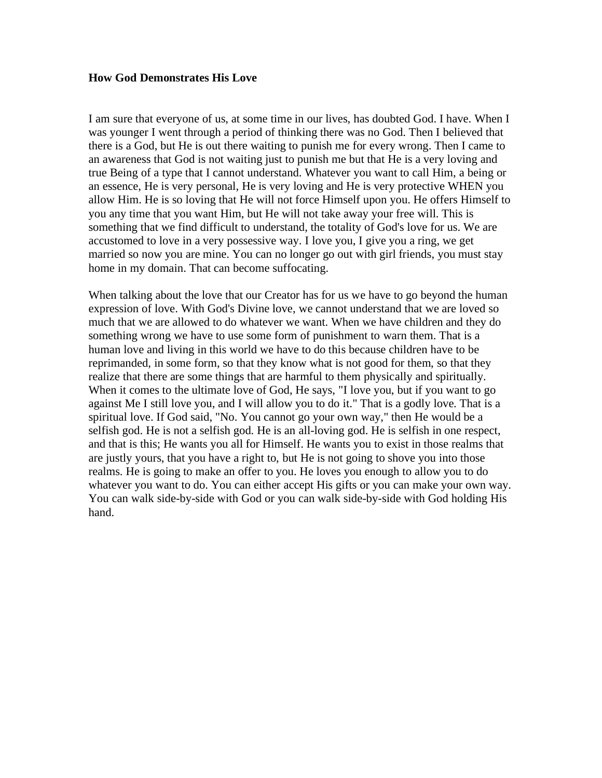#### **How God Demonstrates His Love**

I am sure that everyone of us, at some time in our lives, has doubted God. I have. When I was younger I went through a period of thinking there was no God. Then I believed that there is a God, but He is out there waiting to punish me for every wrong. Then I came to an awareness that God is not waiting just to punish me but that He is a very loving and true Being of a type that I cannot understand. Whatever you want to call Him, a being or an essence, He is very personal, He is very loving and He is very protective WHEN you allow Him. He is so loving that He will not force Himself upon you. He offers Himself to you any time that you want Him, but He will not take away your free will. This is something that we find difficult to understand, the totality of God's love for us. We are accustomed to love in a very possessive way. I love you, I give you a ring, we get married so now you are mine. You can no longer go out with girl friends, you must stay home in my domain. That can become suffocating.

When talking about the love that our Creator has for us we have to go beyond the human expression of love. With God's Divine love, we cannot understand that we are loved so much that we are allowed to do whatever we want. When we have children and they do something wrong we have to use some form of punishment to warn them. That is a human love and living in this world we have to do this because children have to be reprimanded, in some form, so that they know what is not good for them, so that they realize that there are some things that are harmful to them physically and spiritually. When it comes to the ultimate love of God, He says, "I love you, but if you want to go against Me I still love you, and I will allow you to do it." That is a godly love. That is a spiritual love. If God said, "No. You cannot go your own way," then He would be a selfish god. He is not a selfish god. He is an all-loving god. He is selfish in one respect, and that is this; He wants you all for Himself. He wants you to exist in those realms that are justly yours, that you have a right to, but He is not going to shove you into those realms. He is going to make an offer to you. He loves you enough to allow you to do whatever you want to do. You can either accept His gifts or you can make your own way. You can walk side-by-side with God or you can walk side-by-side with God holding His hand.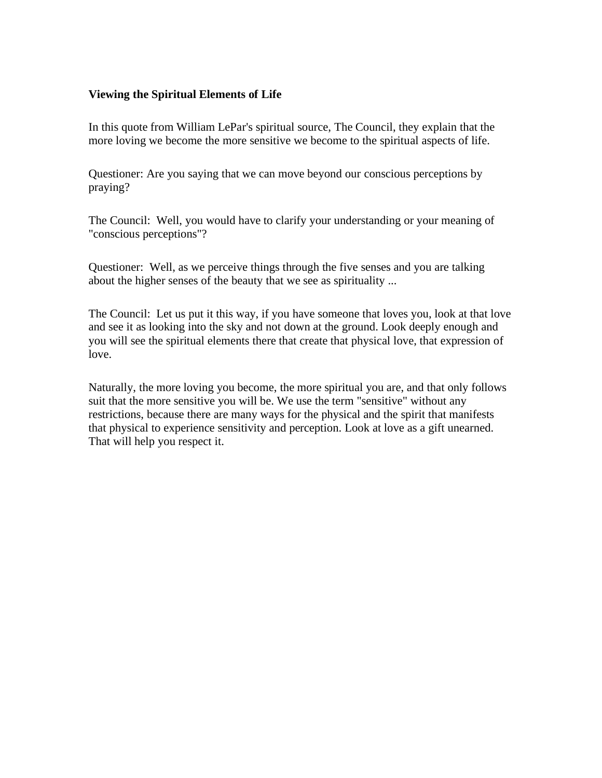#### **Viewing the Spiritual Elements of Life**

In this quote from William LePar's spiritual source, The Council, they explain that the more loving we become the more sensitive we become to the spiritual aspects of life.

Questioner: Are you saying that we can move beyond our conscious perceptions by praying?

The Council: Well, you would have to clarify your understanding or your meaning of "conscious perceptions"?

Questioner: Well, as we perceive things through the five senses and you are talking about the higher senses of the beauty that we see as spirituality ...

The Council: Let us put it this way, if you have someone that loves you, look at that love and see it as looking into the sky and not down at the ground. Look deeply enough and you will see the spiritual elements there that create that physical love, that expression of love.

Naturally, the more loving you become, the more spiritual you are, and that only follows suit that the more sensitive you will be. We use the term "sensitive" without any restrictions, because there are many ways for the physical and the spirit that manifests that physical to experience sensitivity and perception. Look at love as a gift unearned. That will help you respect it.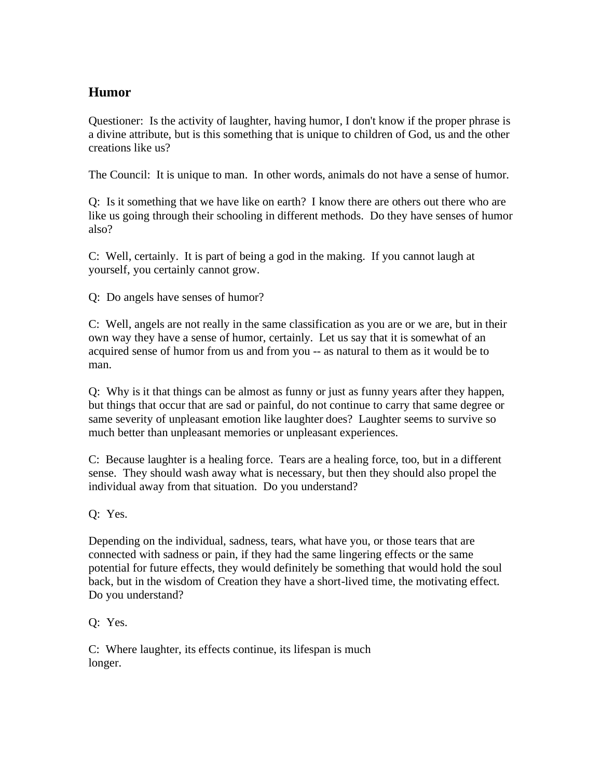## **Humor**

Questioner: Is the activity of laughter, having humor, I don't know if the proper phrase is a divine attribute, but is this something that is unique to children of God, us and the other creations like us?

The Council: It is unique to man. In other words, animals do not have a sense of humor.

Q: Is it something that we have like on earth? I know there are others out there who are like us going through their schooling in different methods. Do they have senses of humor also?

C: Well, certainly. It is part of being a god in the making. If you cannot laugh at yourself, you certainly cannot grow.

Q: Do angels have senses of humor?

C: Well, angels are not really in the same classification as you are or we are, but in their own way they have a sense of humor, certainly. Let us say that it is somewhat of an acquired sense of humor from us and from you -- as natural to them as it would be to man.

Q: Why is it that things can be almost as funny or just as funny years after they happen, but things that occur that are sad or painful, do not continue to carry that same degree or same severity of unpleasant emotion like laughter does? Laughter seems to survive so much better than unpleasant memories or unpleasant experiences.

C: Because laughter is a healing force. Tears are a healing force, too, but in a different sense. They should wash away what is necessary, but then they should also propel the individual away from that situation. Do you understand?

Q: Yes.

Depending on the individual, sadness, tears, what have you, or those tears that are connected with sadness or pain, if they had the same lingering effects or the same potential for future effects, they would definitely be something that would hold the soul back, but in the wisdom of Creation they have a short-lived time, the motivating effect. Do you understand?

Q: Yes.

C: Where laughter, its effects continue, its lifespan is much longer.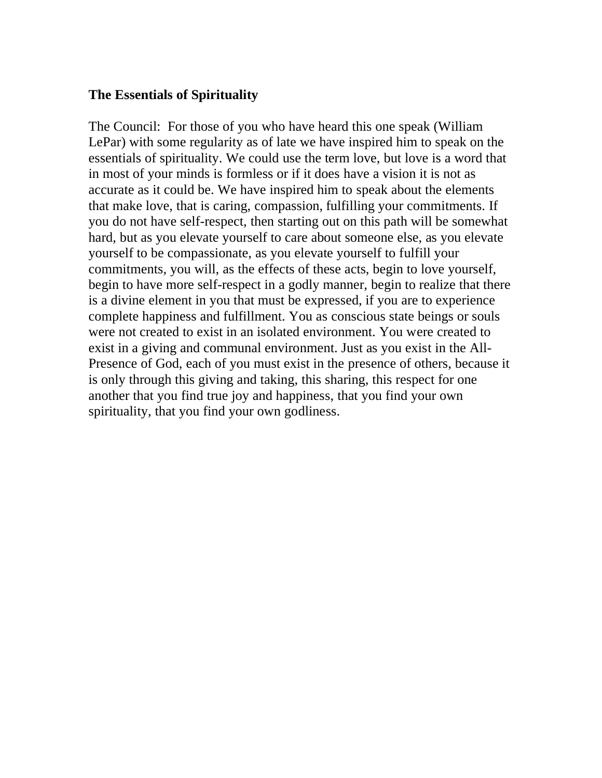## **The Essentials of Spirituality**

The Council: For those of you who have heard this one speak (William LePar) with some regularity as of late we have inspired him to speak on the essentials of spirituality. We could use the term love, but love is a word that in most of your minds is formless or if it does have a vision it is not as accurate as it could be. We have inspired him to speak about the elements that make love, that is caring, compassion, fulfilling your commitments. If you do not have self-respect, then starting out on this path will be somewhat hard, but as you elevate yourself to care about someone else, as you elevate yourself to be compassionate, as you elevate yourself to fulfill your commitments, you will, as the effects of these acts, begin to love yourself, begin to have more self-respect in a godly manner, begin to realize that there is a divine element in you that must be expressed, if you are to experience complete happiness and fulfillment. You as conscious state beings or souls were not created to exist in an isolated environment. You were created to exist in a giving and communal environment. Just as you exist in the All-Presence of God, each of you must exist in the presence of others, because it is only through this giving and taking, this sharing, this respect for one another that you find true joy and happiness, that you find your own spirituality, that you find your own godliness.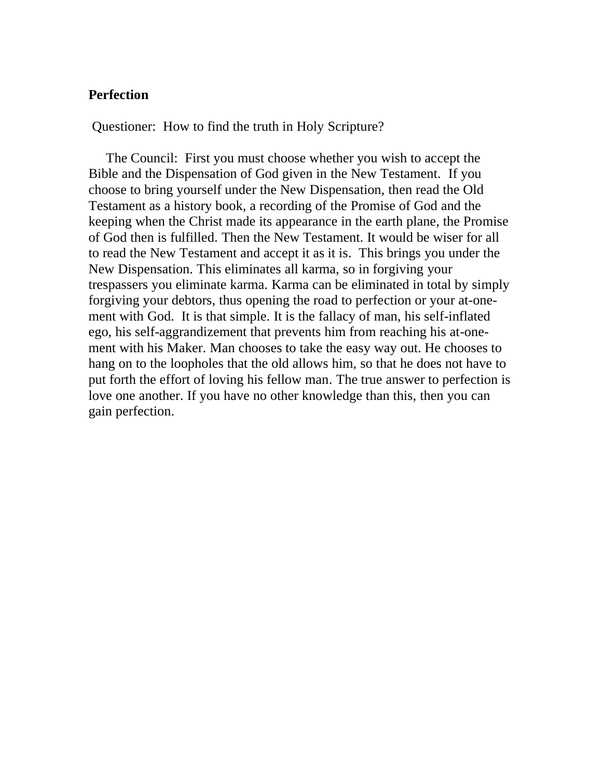### **Perfection**

Questioner: How to find the truth in Holy Scripture?

The Council: First you must choose whether you wish to accept the Bible and the Dispensation of God given in the New Testament. If you choose to bring yourself under the New Dispensation, then read the Old Testament as a history book, a recording of the Promise of God and the keeping when the Christ made its appearance in the earth plane, the Promise of God then is fulfilled. Then the New Testament. It would be wiser for all to read the New Testament and accept it as it is. This brings you under the New Dispensation. This eliminates all karma, so in forgiving your trespassers you eliminate karma. Karma can be eliminated in total by simply forgiving your debtors, thus opening the road to perfection or your at-onement with God. It is that simple. It is the fallacy of man, his self-inflated ego, his self-aggrandizement that prevents him from reaching his at-onement with his Maker. Man chooses to take the easy way out. He chooses to hang on to the loopholes that the old allows him, so that he does not have to put forth the effort of loving his fellow man. The true answer to perfection is love one another. If you have no other knowledge than this, then you can gain perfection.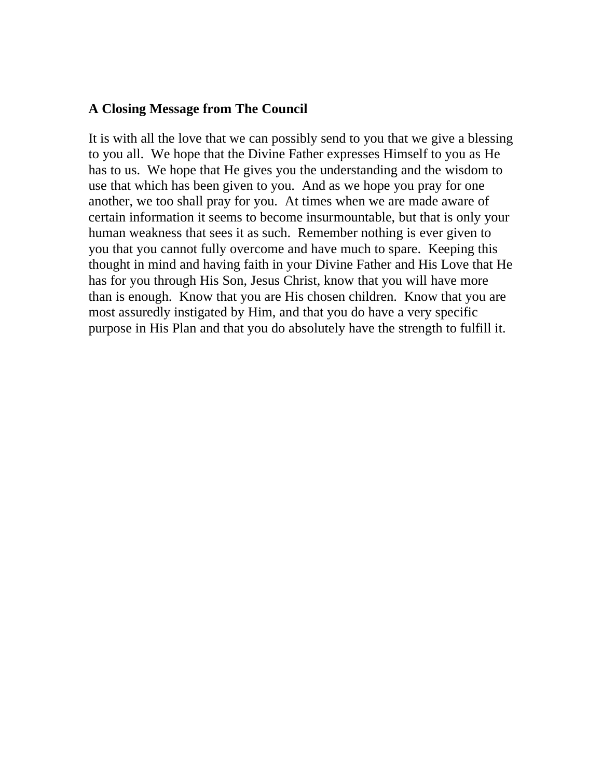### **A Closing Message from The Council**

It is with all the love that we can possibly send to you that we give a blessing to you all. We hope that the Divine Father expresses Himself to you as He has to us. We hope that He gives you the understanding and the wisdom to use that which has been given to you. And as we hope you pray for one another, we too shall pray for you. At times when we are made aware of certain information it seems to become insurmountable, but that is only your human weakness that sees it as such. Remember nothing is ever given to you that you cannot fully overcome and have much to spare. Keeping this thought in mind and having faith in your Divine Father and His Love that He has for you through His Son, Jesus Christ, know that you will have more than is enough. Know that you are His chosen children. Know that you are most assuredly instigated by Him, and that you do have a very specific purpose in His Plan and that you do absolutely have the strength to fulfill it.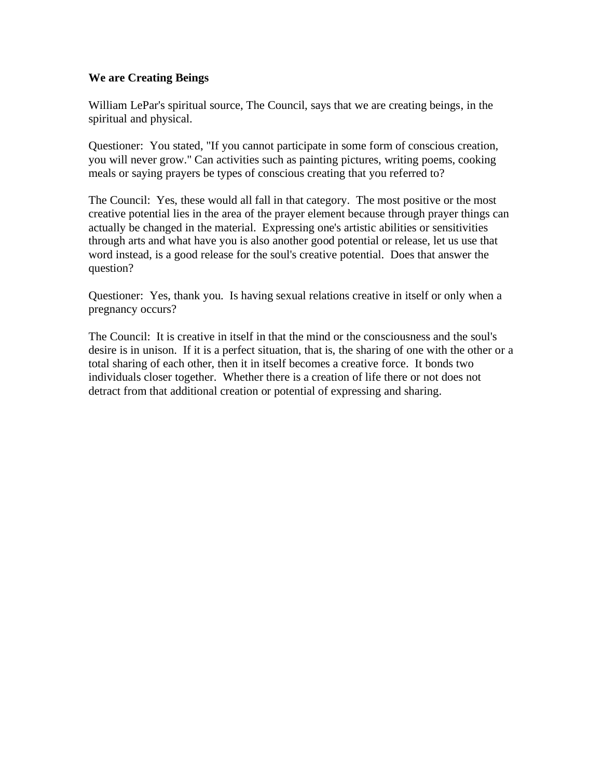#### **We are Creating Beings**

William LePar's spiritual source, The Council, says that we are creating beings, in the spiritual and physical.

Questioner: You stated, "If you cannot participate in some form of conscious creation, you will never grow." Can activities such as painting pictures, writing poems, cooking meals or saying prayers be types of conscious creating that you referred to?

The Council: Yes, these would all fall in that category. The most positive or the most creative potential lies in the area of the prayer element because through prayer things can actually be changed in the material. Expressing one's artistic abilities or sensitivities through arts and what have you is also another good potential or release, let us use that word instead, is a good release for the soul's creative potential. Does that answer the question?

Questioner: Yes, thank you. Is having sexual relations creative in itself or only when a pregnancy occurs?

The Council: It is creative in itself in that the mind or the consciousness and the soul's desire is in unison. If it is a perfect situation, that is, the sharing of one with the other or a total sharing of each other, then it in itself becomes a creative force. It bonds two individuals closer together. Whether there is a creation of life there or not does not detract from that additional creation or potential of expressing and sharing.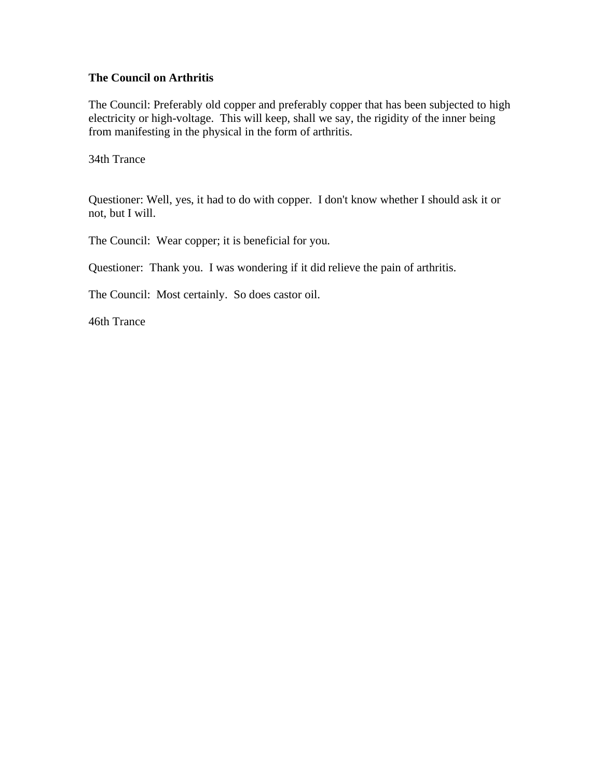#### **The Council on Arthritis**

The Council: Preferably old copper and preferably copper that has been subjected to high electricity or high-voltage. This will keep, shall we say, the rigidity of the inner being from manifesting in the physical in the form of arthritis.

34th Trance

Questioner: Well, yes, it had to do with copper. I don't know whether I should ask it or not, but I will.

The Council: Wear copper; it is beneficial for you.

Questioner: Thank you. I was wondering if it did relieve the pain of arthritis.

The Council: Most certainly. So does castor oil.

46th Trance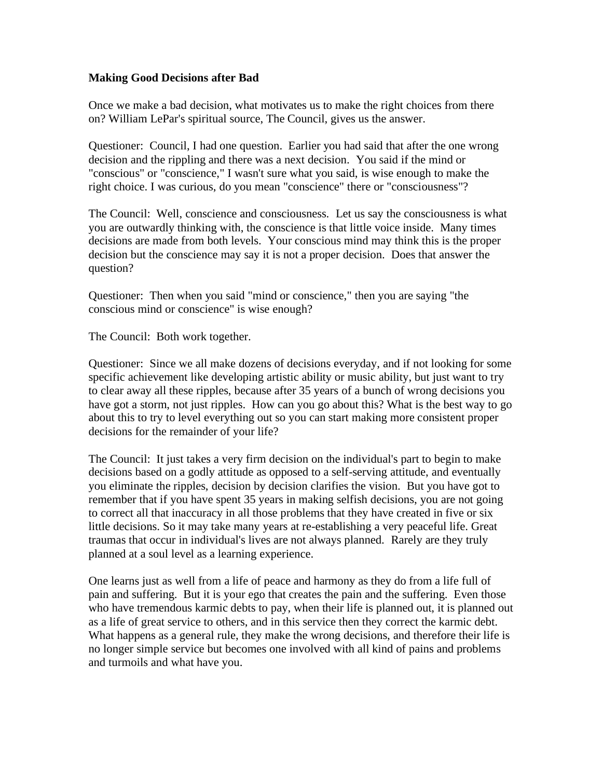#### **Making Good Decisions after Bad**

Once we make a bad decision, what motivates us to make the right choices from there on? William LePar's spiritual source, The Council, gives us the answer.

Questioner: Council, I had one question. Earlier you had said that after the one wrong decision and the rippling and there was a next decision. You said if the mind or "conscious" or "conscience," I wasn't sure what you said, is wise enough to make the right choice. I was curious, do you mean "conscience" there or "consciousness"?

The Council: Well, conscience and consciousness. Let us say the consciousness is what you are outwardly thinking with, the conscience is that little voice inside. Many times decisions are made from both levels. Your conscious mind may think this is the proper decision but the conscience may say it is not a proper decision. Does that answer the question?

Questioner: Then when you said "mind or conscience," then you are saying "the conscious mind or conscience" is wise enough?

The Council: Both work together.

Questioner: Since we all make dozens of decisions everyday, and if not looking for some specific achievement like developing artistic ability or music ability, but just want to try to clear away all these ripples, because after 35 years of a bunch of wrong decisions you have got a storm, not just ripples. How can you go about this? What is the best way to go about this to try to level everything out so you can start making more consistent proper decisions for the remainder of your life?

The Council: It just takes a very firm decision on the individual's part to begin to make decisions based on a godly attitude as opposed to a self-serving attitude, and eventually you eliminate the ripples, decision by decision clarifies the vision. But you have got to remember that if you have spent 35 years in making selfish decisions, you are not going to correct all that inaccuracy in all those problems that they have created in five or six little decisions. So it may take many years at re-establishing a very peaceful life. Great traumas that occur in individual's lives are not always planned. Rarely are they truly planned at a soul level as a learning experience.

One learns just as well from a life of peace and harmony as they do from a life full of pain and suffering. But it is your ego that creates the pain and the suffering. Even those who have tremendous karmic debts to pay, when their life is planned out, it is planned out as a life of great service to others, and in this service then they correct the karmic debt. What happens as a general rule, they make the wrong decisions, and therefore their life is no longer simple service but becomes one involved with all kind of pains and problems and turmoils and what have you.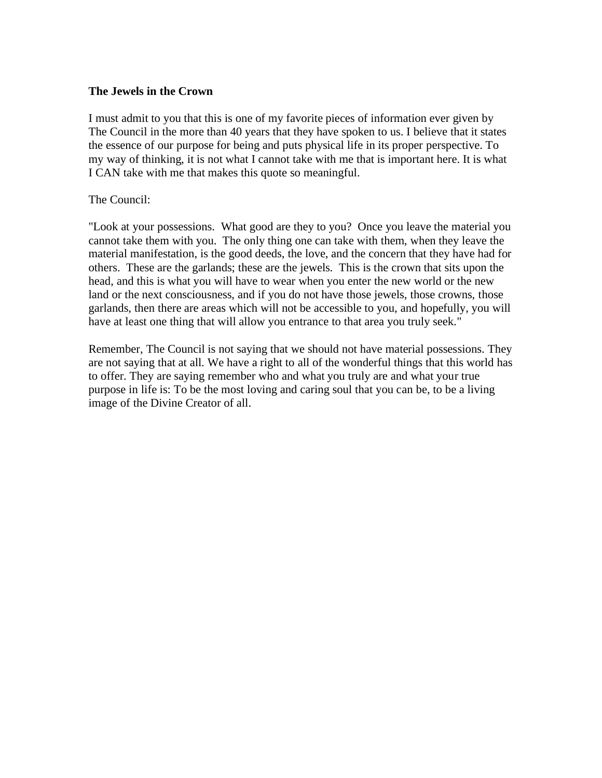#### **The Jewels in the Crown**

I must admit to you that this is one of my favorite pieces of information ever given by The Council in the more than 40 years that they have spoken to us. I believe that it states the essence of our purpose for being and puts physical life in its proper perspective. To my way of thinking, it is not what I cannot take with me that is important here. It is what I CAN take with me that makes this quote so meaningful.

#### The Council:

"Look at your possessions. What good are they to you? Once you leave the material you cannot take them with you. The only thing one can take with them, when they leave the material manifestation, is the good deeds, the love, and the concern that they have had for others. These are the garlands; these are the jewels. This is the crown that sits upon the head, and this is what you will have to wear when you enter the new world or the new land or the next consciousness, and if you do not have those jewels, those crowns, those garlands, then there are areas which will not be accessible to you, and hopefully, you will have at least one thing that will allow you entrance to that area you truly seek."

Remember, The Council is not saying that we should not have material possessions. They are not saying that at all. We have a right to all of the wonderful things that this world has to offer. They are saying remember who and what you truly are and what your true purpose in life is: To be the most loving and caring soul that you can be, to be a living image of the Divine Creator of all.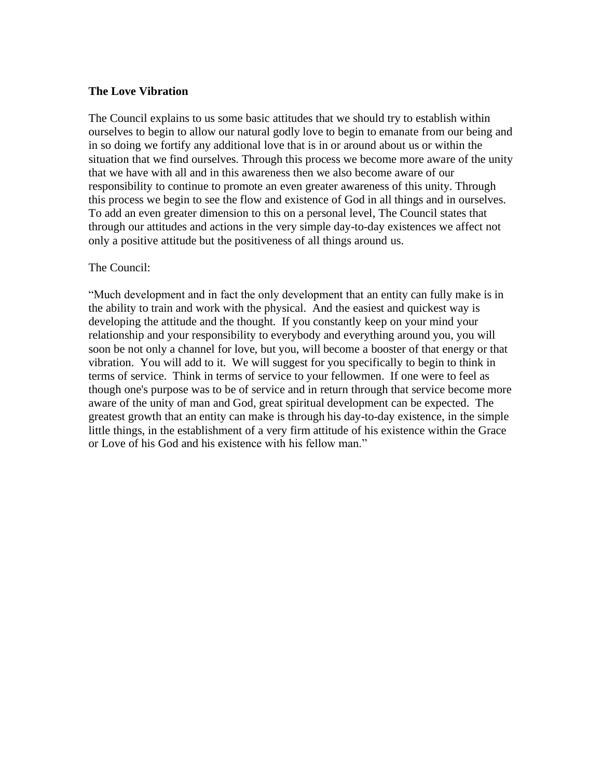#### **The Love Vibration**

The Council explains to us some basic attitudes that we should try to establish within ourselves to begin to allow our natural godly love to begin to emanate from our being and in so doing we fortify any additional love that is in or around about us or within the situation that we find ourselves. Through this process we become more aware of the unity that we have with all and in this awareness then we also become aware of our responsibility to continue to promote an even greater awareness of this unity. Through this process we begin to see the flow and existence of God in all things and in ourselves. To add an even greater dimension to this on a personal level, The Council states that through our attitudes and actions in the very simple day-to-day existences we affect not only a positive attitude but the positiveness of all things around us.

#### The Council:

"Much development and in fact the only development that an entity can fully make is in the ability to train and work with the physical. And the easiest and quickest way is developing the attitude and the thought. If you constantly keep on your mind your relationship and your responsibility to everybody and everything around you, you will soon be not only a channel for love, but you, will become a booster of that energy or that vibration. You will add to it. We will suggest for you specifically to begin to think in terms of service. Think in terms of service to your fellowmen. If one were to feel as though one's purpose was to be of service and in return through that service become more aware of the unity of man and God, great spiritual development can be expected. The greatest growth that an entity can make is through his day-to-day existence, in the simple little things, in the establishment of a very firm attitude of his existence within the Grace or Love of his God and his existence with his fellow man."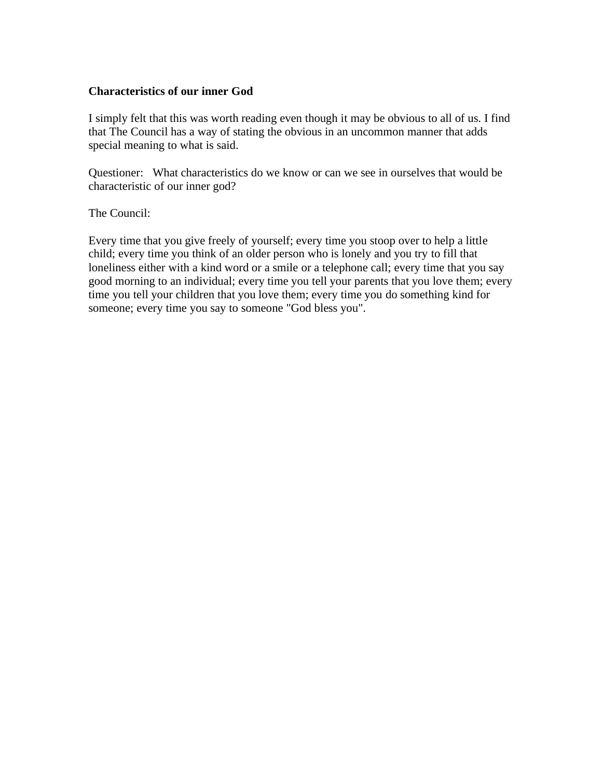#### **Characteristics of our inner God**

I simply felt that this was worth reading even though it may be obvious to all of us. I find that The Council has a way of stating the obvious in an uncommon manner that adds special meaning to what is said.

Questioner: What characteristics do we know or can we see in ourselves that would be characteristic of our inner god?

The Council:

Every time that you give freely of yourself; every time you stoop over to help a little child; every time you think of an older person who is lonely and you try to fill that loneliness either with a kind word or a smile or a telephone call; every time that you say good morning to an individual; every time you tell your parents that you love them; every time you tell your children that you love them; every time you do something kind for someone; every time you say to someone "God bless you".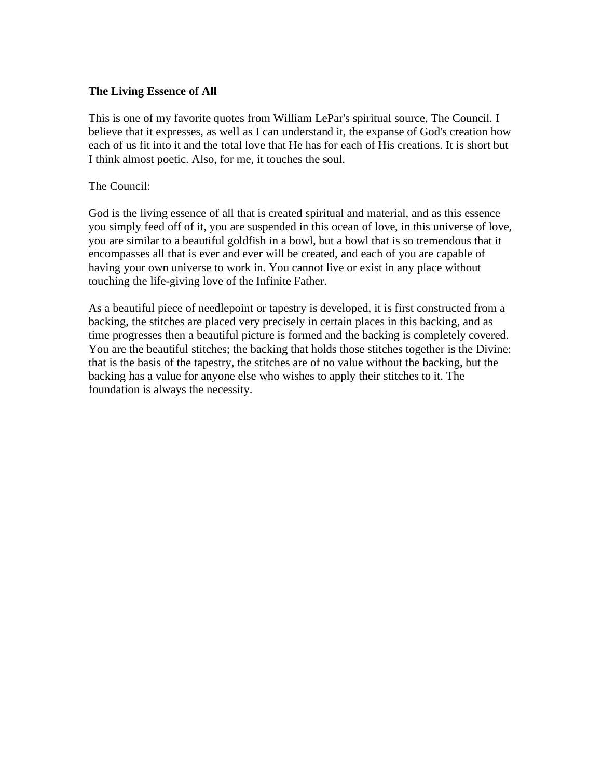# **The Living Essence of All**

This is one of my favorite quotes from William LePar's spiritual source, The Council. I believe that it expresses, as well as I can understand it, the expanse of God's creation how each of us fit into it and the total love that He has for each of His creations. It is short but I think almost poetic. Also, for me, it touches the soul.

The Council:

God is the living essence of all that is created spiritual and material, and as this essence you simply feed off of it, you are suspended in this ocean of love, in this universe of love, you are similar to a beautiful goldfish in a bowl, but a bowl that is so tremendous that it encompasses all that is ever and ever will be created, and each of you are capable of having your own universe to work in. You cannot live or exist in any place without touching the life-giving love of the Infinite Father.

As a beautiful piece of needlepoint or tapestry is developed, it is first constructed from a backing, the stitches are placed very precisely in certain places in this backing, and as time progresses then a beautiful picture is formed and the backing is completely covered. You are the beautiful stitches; the backing that holds those stitches together is the Divine: that is the basis of the tapestry, the stitches are of no value without the backing, but the backing has a value for anyone else who wishes to apply their stitches to it. The foundation is always the necessity.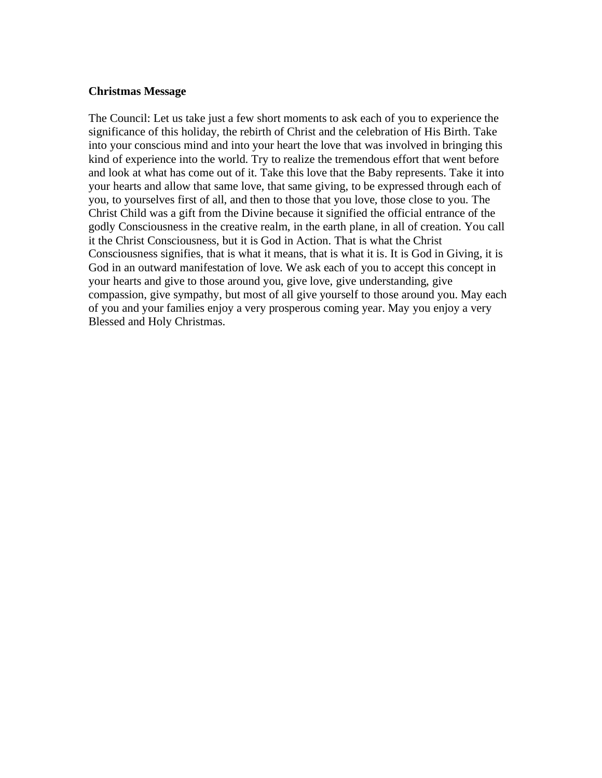#### **Christmas Message**

The Council: Let us take just a few short moments to ask each of you to experience the significance of this holiday, the rebirth of Christ and the celebration of His Birth. Take into your conscious mind and into your heart the love that was involved in bringing this kind of experience into the world. Try to realize the tremendous effort that went before and look at what has come out of it. Take this love that the Baby represents. Take it into your hearts and allow that same love, that same giving, to be expressed through each of you, to yourselves first of all, and then to those that you love, those close to you. The Christ Child was a gift from the Divine because it signified the official entrance of the godly Consciousness in the creative realm, in the earth plane, in all of creation. You call it the Christ Consciousness, but it is God in Action. That is what the Christ Consciousness signifies, that is what it means, that is what it is. It is God in Giving, it is God in an outward manifestation of love. We ask each of you to accept this concept in your hearts and give to those around you, give love, give understanding, give compassion, give sympathy, but most of all give yourself to those around you. May each of you and your families enjoy a very prosperous coming year. May you enjoy a very Blessed and Holy Christmas.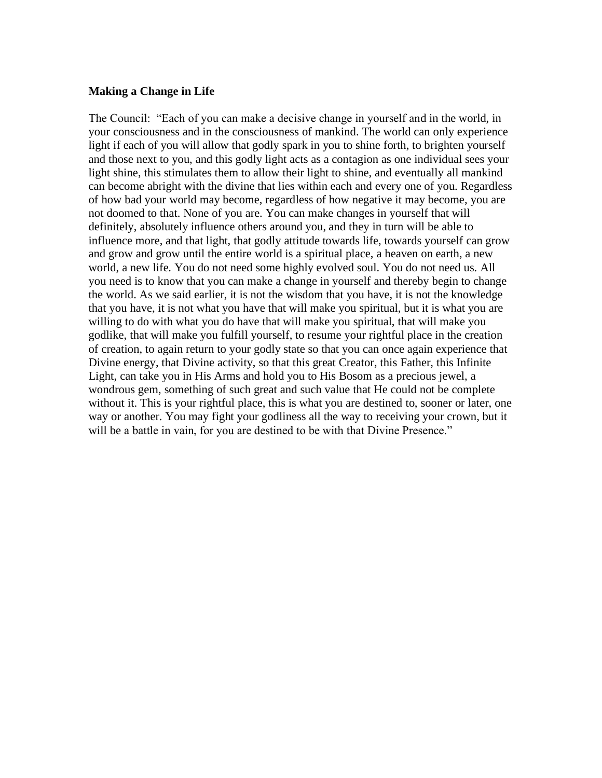#### **Making a Change in Life**

The Council: "Each of you can make a decisive change in yourself and in the world, in your consciousness and in the consciousness of mankind. The world can only experience light if each of you will allow that godly spark in you to shine forth, to brighten yourself and those next to you, and this godly light acts as a contagion as one individual sees your light shine, this stimulates them to allow their light to shine, and eventually all mankind can become abright with the divine that lies within each and every one of you. Regardless of how bad your world may become, regardless of how negative it may become, you are not doomed to that. None of you are. You can make changes in yourself that will definitely, absolutely influence others around you, and they in turn will be able to influence more, and that light, that godly attitude towards life, towards yourself can grow and grow and grow until the entire world is a spiritual place, a heaven on earth, a new world, a new life. You do not need some highly evolved soul. You do not need us. All you need is to know that you can make a change in yourself and thereby begin to change the world. As we said earlier, it is not the wisdom that you have, it is not the knowledge that you have, it is not what you have that will make you spiritual, but it is what you are willing to do with what you do have that will make you spiritual, that will make you godlike, that will make you fulfill yourself, to resume your rightful place in the creation of creation, to again return to your godly state so that you can once again experience that Divine energy, that Divine activity, so that this great Creator, this Father, this Infinite Light, can take you in His Arms and hold you to His Bosom as a precious jewel, a wondrous gem, something of such great and such value that He could not be complete without it. This is your rightful place, this is what you are destined to, sooner or later, one way or another. You may fight your godliness all the way to receiving your crown, but it will be a battle in vain, for you are destined to be with that Divine Presence."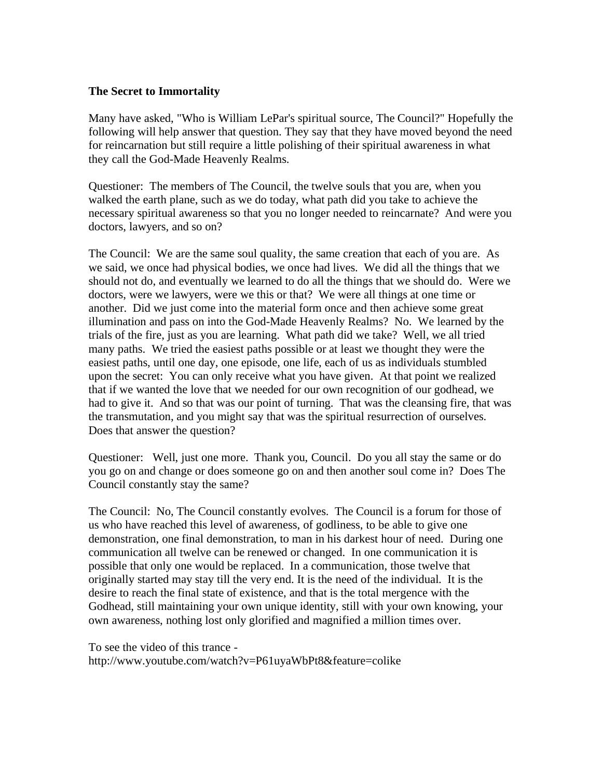# **The Secret to Immortality**

Many have asked, "Who is William LePar's spiritual source, The Council?" Hopefully the following will help answer that question. They say that they have moved beyond the need for reincarnation but still require a little polishing of their spiritual awareness in what they call the God-Made Heavenly Realms.

Questioner: The members of The Council, the twelve souls that you are, when you walked the earth plane, such as we do today, what path did you take to achieve the necessary spiritual awareness so that you no longer needed to reincarnate? And were you doctors, lawyers, and so on?

The Council: We are the same soul quality, the same creation that each of you are. As we said, we once had physical bodies, we once had lives. We did all the things that we should not do, and eventually we learned to do all the things that we should do. Were we doctors, were we lawyers, were we this or that? We were all things at one time or another. Did we just come into the material form once and then achieve some great illumination and pass on into the God-Made Heavenly Realms? No. We learned by the trials of the fire, just as you are learning. What path did we take? Well, we all tried many paths. We tried the easiest paths possible or at least we thought they were the easiest paths, until one day, one episode, one life, each of us as individuals stumbled upon the secret: You can only receive what you have given. At that point we realized that if we wanted the love that we needed for our own recognition of our godhead, we had to give it. And so that was our point of turning. That was the cleansing fire, that was the transmutation, and you might say that was the spiritual resurrection of ourselves. Does that answer the question?

Questioner: Well, just one more. Thank you, Council. Do you all stay the same or do you go on and change or does someone go on and then another soul come in? Does The Council constantly stay the same?

The Council: No, The Council constantly evolves. The Council is a forum for those of us who have reached this level of awareness, of godliness, to be able to give one demonstration, one final demonstration, to man in his darkest hour of need. During one communication all twelve can be renewed or changed. In one communication it is possible that only one would be replaced. In a communication, those twelve that originally started may stay till the very end. It is the need of the individual. It is the desire to reach the final state of existence, and that is the total mergence with the Godhead, still maintaining your own unique identity, still with your own knowing, your own awareness, nothing lost only glorified and magnified a million times over.

To see the video of this trance http://www.youtube.com/watch?v=P61uyaWbPt8&feature=colike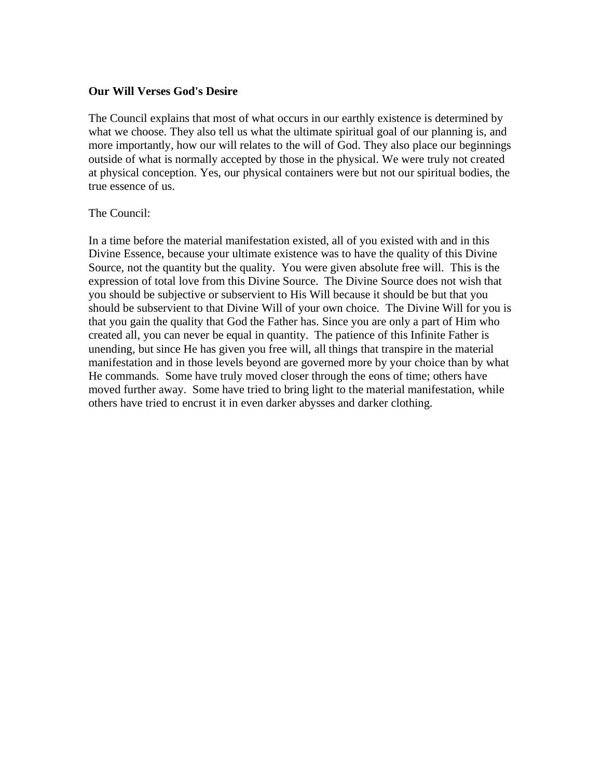### **Our Will Verses God's Desire**

The Council explains that most of what occurs in our earthly existence is determined by what we choose. They also tell us what the ultimate spiritual goal of our planning is, and more importantly, how our will relates to the will of God. They also place our beginnings outside of what is normally accepted by those in the physical. We were truly not created at physical conception. Yes, our physical containers were but not our spiritual bodies, the true essence of us.

#### The Council:

In a time before the material manifestation existed, all of you existed with and in this Divine Essence, because your ultimate existence was to have the quality of this Divine Source, not the quantity but the quality. You were given absolute free will. This is the expression of total love from this Divine Source. The Divine Source does not wish that you should be subjective or subservient to His Will because it should be but that you should be subservient to that Divine Will of your own choice. The Divine Will for you is that you gain the quality that God the Father has. Since you are only a part of Him who created all, you can never be equal in quantity. The patience of this Infinite Father is unending, but since He has given you free will, all things that transpire in the material manifestation and in those levels beyond are governed more by your choice than by what He commands. Some have truly moved closer through the eons of time; others have moved further away. Some have tried to bring light to the material manifestation, while others have tried to encrust it in even darker abysses and darker clothing.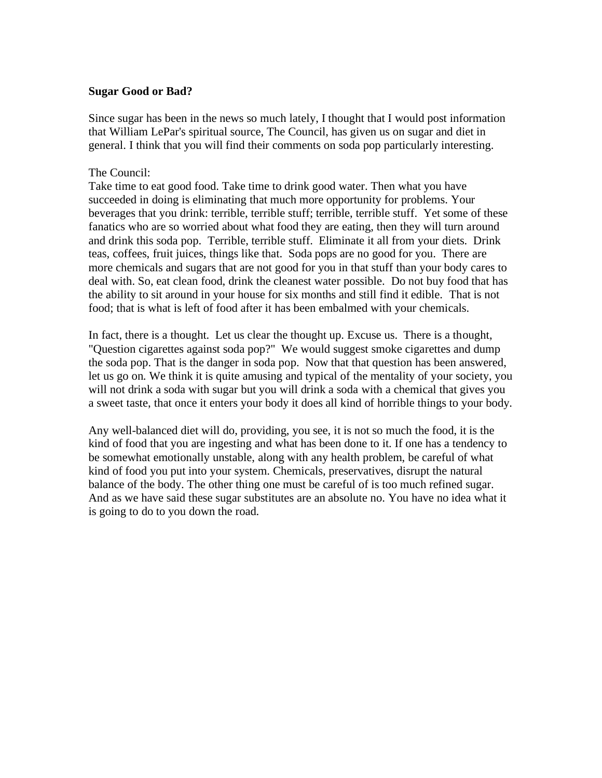### **Sugar Good or Bad?**

Since sugar has been in the news so much lately, I thought that I would post information that William LePar's spiritual source, The Council, has given us on sugar and diet in general. I think that you will find their comments on soda pop particularly interesting.

#### The Council:

Take time to eat good food. Take time to drink good water. Then what you have succeeded in doing is eliminating that much more opportunity for problems. Your beverages that you drink: terrible, terrible stuff; terrible, terrible stuff. Yet some of these fanatics who are so worried about what food they are eating, then they will turn around and drink this soda pop. Terrible, terrible stuff. Eliminate it all from your diets. Drink teas, coffees, fruit juices, things like that. Soda pops are no good for you. There are more chemicals and sugars that are not good for you in that stuff than your body cares to deal with. So, eat clean food, drink the cleanest water possible. Do not buy food that has the ability to sit around in your house for six months and still find it edible. That is not food; that is what is left of food after it has been embalmed with your chemicals.

In fact, there is a thought. Let us clear the thought up. Excuse us. There is a thought, "Question cigarettes against soda pop?" We would suggest smoke cigarettes and dump the soda pop. That is the danger in soda pop. Now that that question has been answered, let us go on. We think it is quite amusing and typical of the mentality of your society, you will not drink a soda with sugar but you will drink a soda with a chemical that gives you a sweet taste, that once it enters your body it does all kind of horrible things to your body.

Any well-balanced diet will do, providing, you see, it is not so much the food, it is the kind of food that you are ingesting and what has been done to it. If one has a tendency to be somewhat emotionally unstable, along with any health problem, be careful of what kind of food you put into your system. Chemicals, preservatives, disrupt the natural balance of the body. The other thing one must be careful of is too much refined sugar. And as we have said these sugar substitutes are an absolute no. You have no idea what it is going to do to you down the road.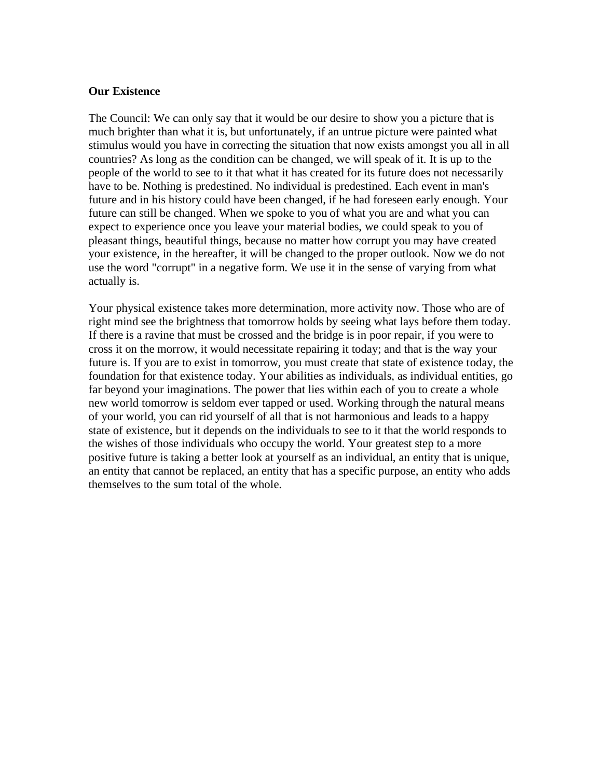### **Our Existence**

The Council: We can only say that it would be our desire to show you a picture that is much brighter than what it is, but unfortunately, if an untrue picture were painted what stimulus would you have in correcting the situation that now exists amongst you all in all countries? As long as the condition can be changed, we will speak of it. It is up to the people of the world to see to it that what it has created for its future does not necessarily have to be. Nothing is predestined. No individual is predestined. Each event in man's future and in his history could have been changed, if he had foreseen early enough. Your future can still be changed. When we spoke to you of what you are and what you can expect to experience once you leave your material bodies, we could speak to you of pleasant things, beautiful things, because no matter how corrupt you may have created your existence, in the hereafter, it will be changed to the proper outlook. Now we do not use the word "corrupt" in a negative form. We use it in the sense of varying from what actually is.

Your physical existence takes more determination, more activity now. Those who are of right mind see the brightness that tomorrow holds by seeing what lays before them today. If there is a ravine that must be crossed and the bridge is in poor repair, if you were to cross it on the morrow, it would necessitate repairing it today; and that is the way your future is. If you are to exist in tomorrow, you must create that state of existence today, the foundation for that existence today. Your abilities as individuals, as individual entities, go far beyond your imaginations. The power that lies within each of you to create a whole new world tomorrow is seldom ever tapped or used. Working through the natural means of your world, you can rid yourself of all that is not harmonious and leads to a happy state of existence, but it depends on the individuals to see to it that the world responds to the wishes of those individuals who occupy the world. Your greatest step to a more positive future is taking a better look at yourself as an individual, an entity that is unique, an entity that cannot be replaced, an entity that has a specific purpose, an entity who adds themselves to the sum total of the whole.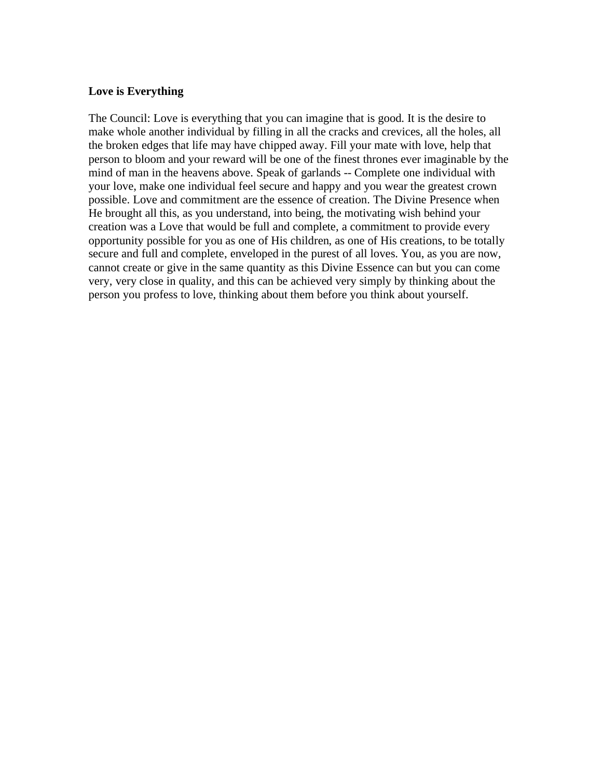# **Love is Everything**

The Council: Love is everything that you can imagine that is good. It is the desire to make whole another individual by filling in all the cracks and crevices, all the holes, all the broken edges that life may have chipped away. Fill your mate with love, help that person to bloom and your reward will be one of the finest thrones ever imaginable by the mind of man in the heavens above. Speak of garlands -- Complete one individual with your love, make one individual feel secure and happy and you wear the greatest crown possible. Love and commitment are the essence of creation. The Divine Presence when He brought all this, as you understand, into being, the motivating wish behind your creation was a Love that would be full and complete, a commitment to provide every opportunity possible for you as one of His children, as one of His creations, to be totally secure and full and complete, enveloped in the purest of all loves. You, as you are now, cannot create or give in the same quantity as this Divine Essence can but you can come very, very close in quality, and this can be achieved very simply by thinking about the person you profess to love, thinking about them before you think about yourself.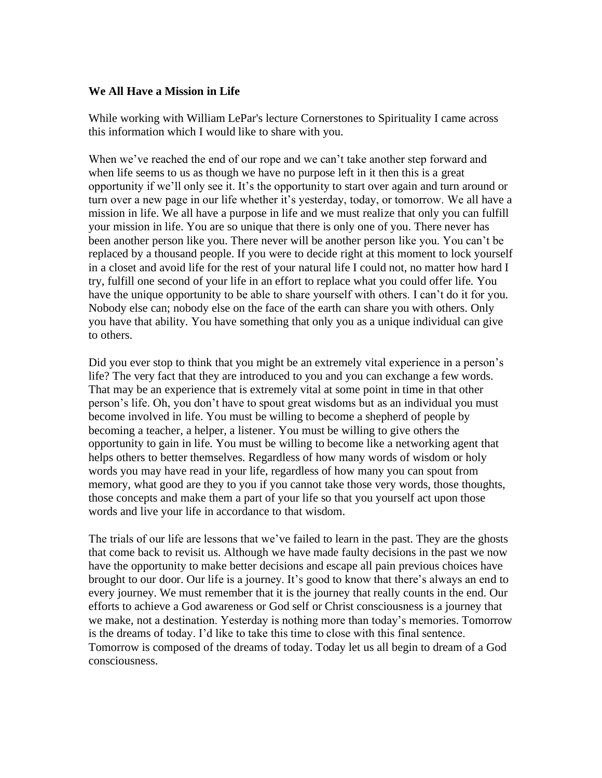### **We All Have a Mission in Life**

While working with William LePar's lecture Cornerstones to Spirituality I came across this information which I would like to share with you.

When we've reached the end of our rope and we can't take another step forward and when life seems to us as though we have no purpose left in it then this is a great opportunity if we'll only see it. It's the opportunity to start over again and turn around or turn over a new page in our life whether it's yesterday, today, or tomorrow. We all have a mission in life. We all have a purpose in life and we must realize that only you can fulfill your mission in life. You are so unique that there is only one of you. There never has been another person like you. There never will be another person like you. You can't be replaced by a thousand people. If you were to decide right at this moment to lock yourself in a closet and avoid life for the rest of your natural life I could not, no matter how hard I try, fulfill one second of your life in an effort to replace what you could offer life. You have the unique opportunity to be able to share yourself with others. I can't do it for you. Nobody else can; nobody else on the face of the earth can share you with others. Only you have that ability. You have something that only you as a unique individual can give to others.

Did you ever stop to think that you might be an extremely vital experience in a person's life? The very fact that they are introduced to you and you can exchange a few words. That may be an experience that is extremely vital at some point in time in that other person's life. Oh, you don't have to spout great wisdoms but as an individual you must become involved in life. You must be willing to become a shepherd of people by becoming a teacher, a helper, a listener. You must be willing to give others the opportunity to gain in life. You must be willing to become like a networking agent that helps others to better themselves. Regardless of how many words of wisdom or holy words you may have read in your life, regardless of how many you can spout from memory, what good are they to you if you cannot take those very words, those thoughts, those concepts and make them a part of your life so that you yourself act upon those words and live your life in accordance to that wisdom.

The trials of our life are lessons that we've failed to learn in the past. They are the ghosts that come back to revisit us. Although we have made faulty decisions in the past we now have the opportunity to make better decisions and escape all pain previous choices have brought to our door. Our life is a journey. It's good to know that there's always an end to every journey. We must remember that it is the journey that really counts in the end. Our efforts to achieve a God awareness or God self or Christ consciousness is a journey that we make, not a destination. Yesterday is nothing more than today's memories. Tomorrow is the dreams of today. I'd like to take this time to close with this final sentence. Tomorrow is composed of the dreams of today. Today let us all begin to dream of a God consciousness.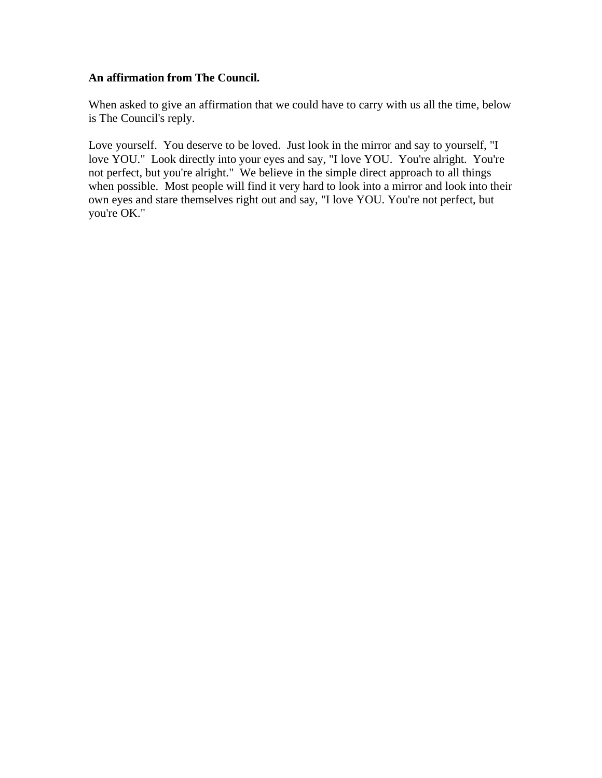# **An affirmation from The Council.**

When asked to give an affirmation that we could have to carry with us all the time, below is The Council's reply.

Love yourself. You deserve to be loved. Just look in the mirror and say to yourself, "I love YOU." Look directly into your eyes and say, "I love YOU. You're alright. You're not perfect, but you're alright." We believe in the simple direct approach to all things when possible. Most people will find it very hard to look into a mirror and look into their own eyes and stare themselves right out and say, "I love YOU. You're not perfect, but you're OK."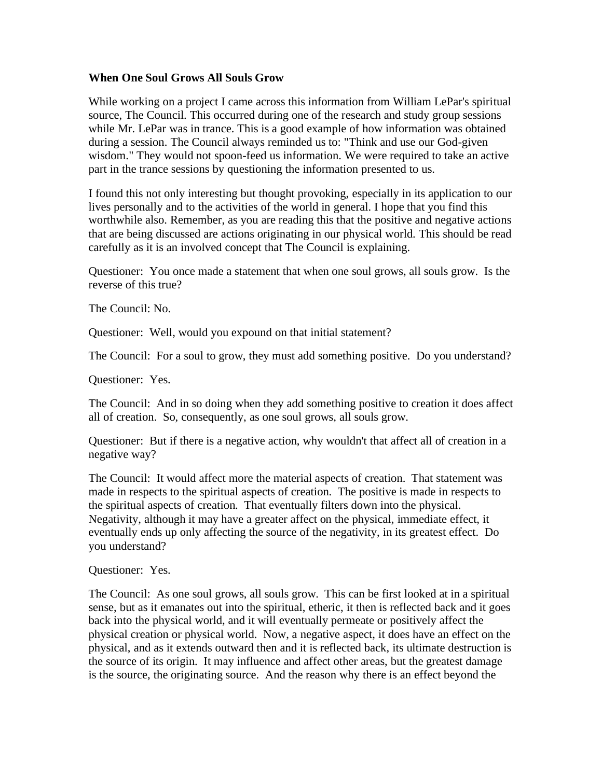# **When One Soul Grows All Souls Grow**

While working on a project I came across this information from William LePar's spiritual source, The Council. This occurred during one of the research and study group sessions while Mr. LePar was in trance. This is a good example of how information was obtained during a session. The Council always reminded us to: "Think and use our God-given wisdom." They would not spoon-feed us information. We were required to take an active part in the trance sessions by questioning the information presented to us.

I found this not only interesting but thought provoking, especially in its application to our lives personally and to the activities of the world in general. I hope that you find this worthwhile also. Remember, as you are reading this that the positive and negative actions that are being discussed are actions originating in our physical world. This should be read carefully as it is an involved concept that The Council is explaining.

Questioner: You once made a statement that when one soul grows, all souls grow. Is the reverse of this true?

The Council: No.

Questioner: Well, would you expound on that initial statement?

The Council: For a soul to grow, they must add something positive. Do you understand?

Questioner: Yes.

The Council: And in so doing when they add something positive to creation it does affect all of creation. So, consequently, as one soul grows, all souls grow.

Questioner: But if there is a negative action, why wouldn't that affect all of creation in a negative way?

The Council: It would affect more the material aspects of creation. That statement was made in respects to the spiritual aspects of creation. The positive is made in respects to the spiritual aspects of creation. That eventually filters down into the physical. Negativity, although it may have a greater affect on the physical, immediate effect, it eventually ends up only affecting the source of the negativity, in its greatest effect. Do you understand?

Questioner: Yes.

The Council: As one soul grows, all souls grow. This can be first looked at in a spiritual sense, but as it emanates out into the spiritual, etheric, it then is reflected back and it goes back into the physical world, and it will eventually permeate or positively affect the physical creation or physical world. Now, a negative aspect, it does have an effect on the physical, and as it extends outward then and it is reflected back, its ultimate destruction is the source of its origin. It may influence and affect other areas, but the greatest damage is the source, the originating source. And the reason why there is an effect beyond the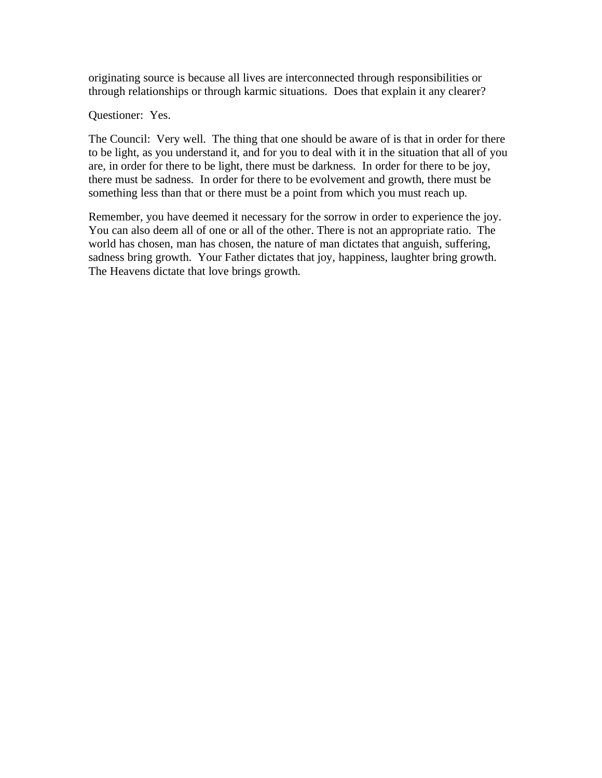originating source is because all lives are interconnected through responsibilities or through relationships or through karmic situations. Does that explain it any clearer?

Questioner: Yes.

The Council: Very well. The thing that one should be aware of is that in order for there to be light, as you understand it, and for you to deal with it in the situation that all of you are, in order for there to be light, there must be darkness. In order for there to be joy, there must be sadness. In order for there to be evolvement and growth, there must be something less than that or there must be a point from which you must reach up.

Remember, you have deemed it necessary for the sorrow in order to experience the joy. You can also deem all of one or all of the other. There is not an appropriate ratio. The world has chosen, man has chosen, the nature of man dictates that anguish, suffering, sadness bring growth. Your Father dictates that joy, happiness, laughter bring growth. The Heavens dictate that love brings growth.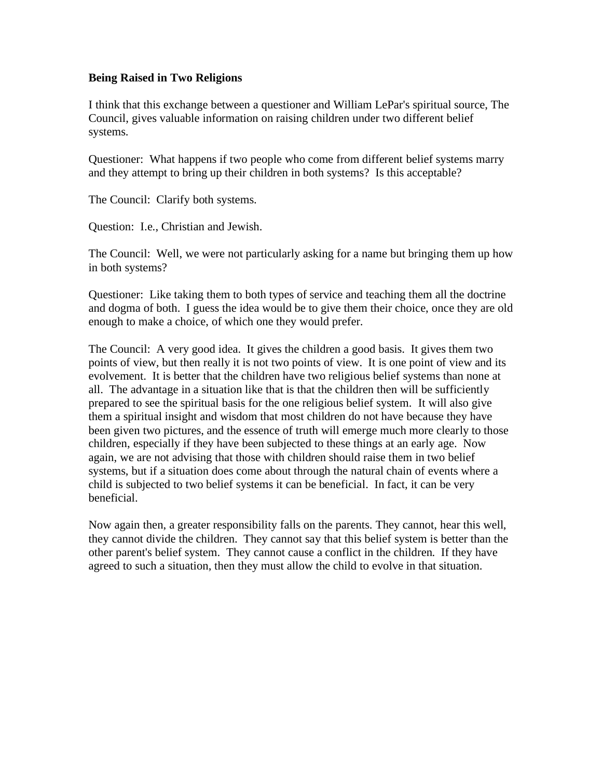## **Being Raised in Two Religions**

I think that this exchange between a questioner and William LePar's spiritual source, The Council, gives valuable information on raising children under two different belief systems.

Questioner: What happens if two people who come from different belief systems marry and they attempt to bring up their children in both systems? Is this acceptable?

The Council: Clarify both systems.

Question: I.e., Christian and Jewish.

The Council: Well, we were not particularly asking for a name but bringing them up how in both systems?

Questioner: Like taking them to both types of service and teaching them all the doctrine and dogma of both. I guess the idea would be to give them their choice, once they are old enough to make a choice, of which one they would prefer.

The Council: A very good idea. It gives the children a good basis. It gives them two points of view, but then really it is not two points of view. It is one point of view and its evolvement. It is better that the children have two religious belief systems than none at all. The advantage in a situation like that is that the children then will be sufficiently prepared to see the spiritual basis for the one religious belief system. It will also give them a spiritual insight and wisdom that most children do not have because they have been given two pictures, and the essence of truth will emerge much more clearly to those children, especially if they have been subjected to these things at an early age. Now again, we are not advising that those with children should raise them in two belief systems, but if a situation does come about through the natural chain of events where a child is subjected to two belief systems it can be beneficial. In fact, it can be very beneficial.

Now again then, a greater responsibility falls on the parents. They cannot, hear this well, they cannot divide the children. They cannot say that this belief system is better than the other parent's belief system. They cannot cause a conflict in the children. If they have agreed to such a situation, then they must allow the child to evolve in that situation.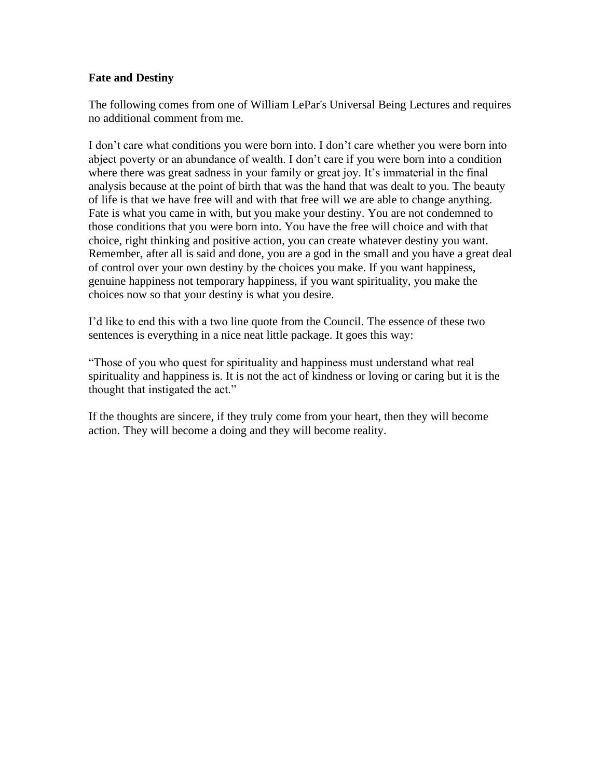# **Fate and Destiny**

The following comes from one of William LePar's Universal Being Lectures and requires no additional comment from me.

I don't care what conditions you were born into. I don't care whether you were born into abject poverty or an abundance of wealth. I don't care if you were born into a condition where there was great sadness in your family or great joy. It's immaterial in the final analysis because at the point of birth that was the hand that was dealt to you. The beauty of life is that we have free will and with that free will we are able to change anything. Fate is what you came in with, but you make your destiny. You are not condemned to those conditions that you were born into. You have the free will choice and with that choice, right thinking and positive action, you can create whatever destiny you want. Remember, after all is said and done, you are a god in the small and you have a great deal of control over your own destiny by the choices you make. If you want happiness, genuine happiness not temporary happiness, if you want spirituality, you make the choices now so that your destiny is what you desire.

I'd like to end this with a two line quote from the Council. The essence of these two sentences is everything in a nice neat little package. It goes this way:

"Those of you who quest for spirituality and happiness must understand what real spirituality and happiness is. It is not the act of kindness or loving or caring but it is the thought that instigated the act."

If the thoughts are sincere, if they truly come from your heart, then they will become action. They will become a doing and they will become reality.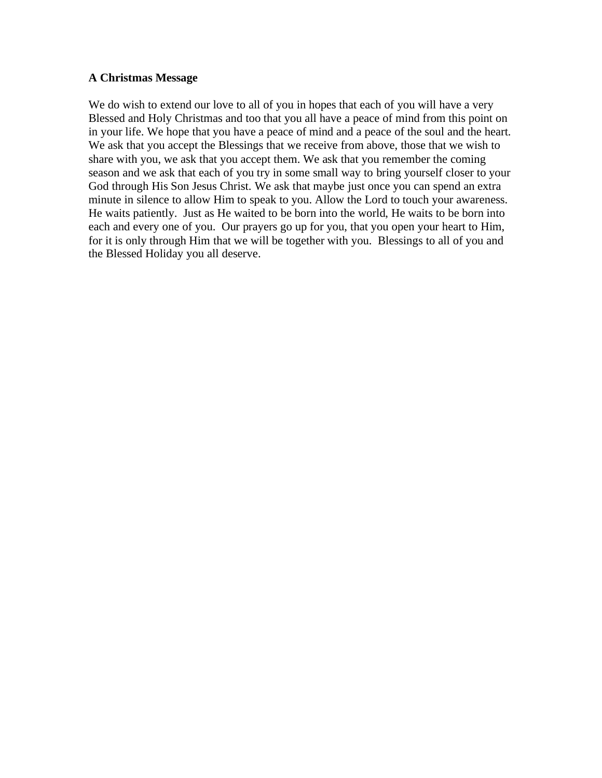## **A Christmas Message**

We do wish to extend our love to all of you in hopes that each of you will have a very Blessed and Holy Christmas and too that you all have a peace of mind from this point on in your life. We hope that you have a peace of mind and a peace of the soul and the heart. We ask that you accept the Blessings that we receive from above, those that we wish to share with you, we ask that you accept them. We ask that you remember the coming season and we ask that each of you try in some small way to bring yourself closer to your God through His Son Jesus Christ. We ask that maybe just once you can spend an extra minute in silence to allow Him to speak to you. Allow the Lord to touch your awareness. He waits patiently. Just as He waited to be born into the world, He waits to be born into each and every one of you. Our prayers go up for you, that you open your heart to Him, for it is only through Him that we will be together with you. Blessings to all of you and the Blessed Holiday you all deserve.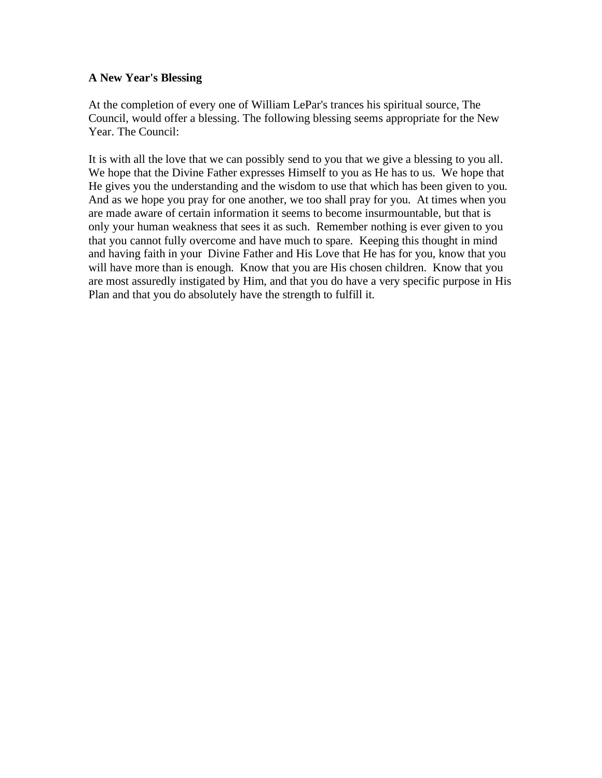## **A New Year's Blessing**

At the completion of every one of William LePar's trances his spiritual source, The Council, would offer a blessing. The following blessing seems appropriate for the New Year. The Council:

It is with all the love that we can possibly send to you that we give a blessing to you all. We hope that the Divine Father expresses Himself to you as He has to us. We hope that He gives you the understanding and the wisdom to use that which has been given to you. And as we hope you pray for one another, we too shall pray for you. At times when you are made aware of certain information it seems to become insurmountable, but that is only your human weakness that sees it as such. Remember nothing is ever given to you that you cannot fully overcome and have much to spare. Keeping this thought in mind and having faith in your Divine Father and His Love that He has for you, know that you will have more than is enough. Know that you are His chosen children. Know that you are most assuredly instigated by Him, and that you do have a very specific purpose in His Plan and that you do absolutely have the strength to fulfill it.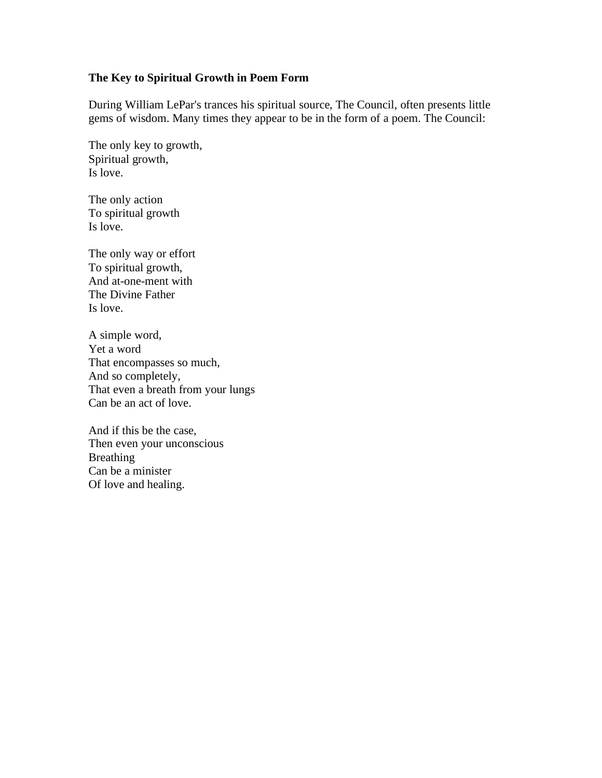# **The Key to Spiritual Growth in Poem Form**

During William LePar's trances his spiritual source, The Council, often presents little gems of wisdom. Many times they appear to be in the form of a poem. The Council:

The only key to growth, Spiritual growth, Is love.

The only action To spiritual growth Is love.

The only way or effort To spiritual growth, And at-one-ment with The Divine Father Is love.

A simple word, Yet a word That encompasses so much, And so completely, That even a breath from your lungs Can be an act of love.

And if this be the case, Then even your unconscious Breathing Can be a minister Of love and healing.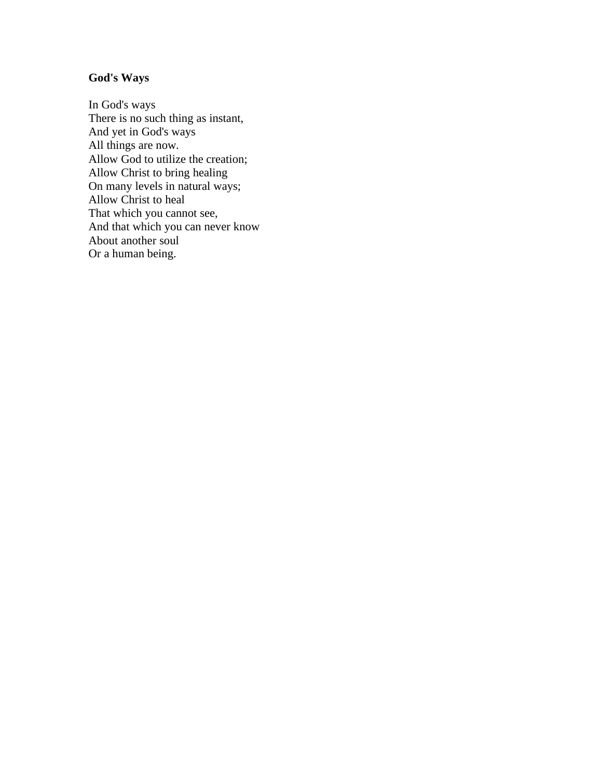# **God's Ways**

In God's ways There is no such thing as instant, And yet in God's ways All things are now. Allow God to utilize the creation; Allow Christ to bring healing On many levels in natural ways; Allow Christ to heal That which you cannot see, And that which you can never know About another soul Or a human being.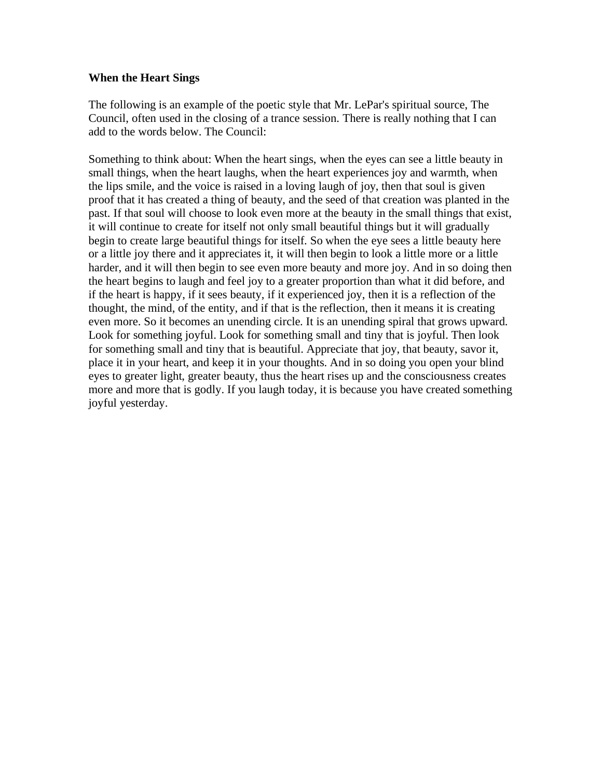### **When the Heart Sings**

The following is an example of the poetic style that Mr. LePar's spiritual source, The Council, often used in the closing of a trance session. There is really nothing that I can add to the words below. The Council:

Something to think about: When the heart sings, when the eyes can see a little beauty in small things, when the heart laughs, when the heart experiences joy and warmth, when the lips smile, and the voice is raised in a loving laugh of joy, then that soul is given proof that it has created a thing of beauty, and the seed of that creation was planted in the past. If that soul will choose to look even more at the beauty in the small things that exist, it will continue to create for itself not only small beautiful things but it will gradually begin to create large beautiful things for itself. So when the eye sees a little beauty here or a little joy there and it appreciates it, it will then begin to look a little more or a little harder, and it will then begin to see even more beauty and more joy. And in so doing then the heart begins to laugh and feel joy to a greater proportion than what it did before, and if the heart is happy, if it sees beauty, if it experienced joy, then it is a reflection of the thought, the mind, of the entity, and if that is the reflection, then it means it is creating even more. So it becomes an unending circle. It is an unending spiral that grows upward. Look for something joyful. Look for something small and tiny that is joyful. Then look for something small and tiny that is beautiful. Appreciate that joy, that beauty, savor it, place it in your heart, and keep it in your thoughts. And in so doing you open your blind eyes to greater light, greater beauty, thus the heart rises up and the consciousness creates more and more that is godly. If you laugh today, it is because you have created something joyful yesterday.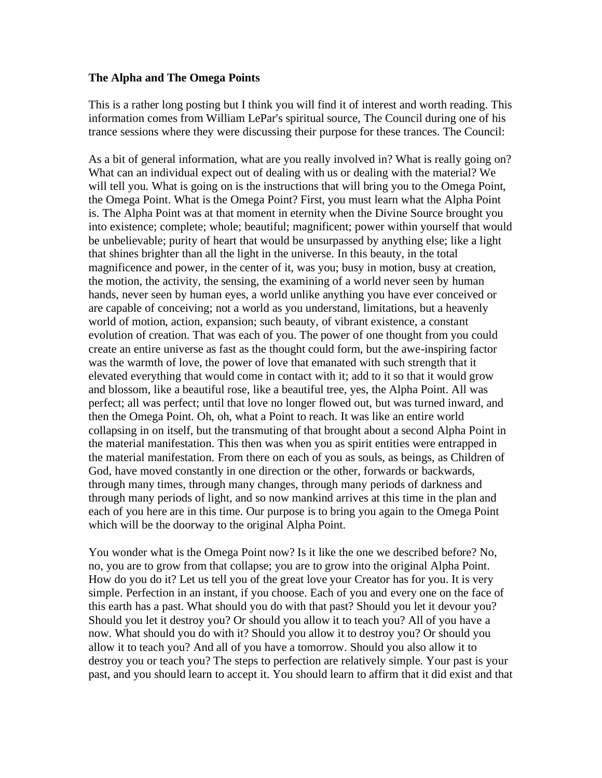#### **The Alpha and The Omega Points**

This is a rather long posting but I think you will find it of interest and worth reading. This information comes from William LePar's spiritual source, The Council during one of his trance sessions where they were discussing their purpose for these trances. The Council:

As a bit of general information, what are you really involved in? What is really going on? What can an individual expect out of dealing with us or dealing with the material? We will tell you. What is going on is the instructions that will bring you to the Omega Point, the Omega Point. What is the Omega Point? First, you must learn what the Alpha Point is. The Alpha Point was at that moment in eternity when the Divine Source brought you into existence; complete; whole; beautiful; magnificent; power within yourself that would be unbelievable; purity of heart that would be unsurpassed by anything else; like a light that shines brighter than all the light in the universe. In this beauty, in the total magnificence and power, in the center of it, was you; busy in motion, busy at creation, the motion, the activity, the sensing, the examining of a world never seen by human hands, never seen by human eyes, a world unlike anything you have ever conceived or are capable of conceiving; not a world as you understand, limitations, but a heavenly world of motion, action, expansion; such beauty, of vibrant existence, a constant evolution of creation. That was each of you. The power of one thought from you could create an entire universe as fast as the thought could form, but the awe-inspiring factor was the warmth of love, the power of love that emanated with such strength that it elevated everything that would come in contact with it; add to it so that it would grow and blossom, like a beautiful rose, like a beautiful tree, yes, the Alpha Point. All was perfect; all was perfect; until that love no longer flowed out, but was turned inward, and then the Omega Point. Oh, oh, what a Point to reach. It was like an entire world collapsing in on itself, but the transmuting of that brought about a second Alpha Point in the material manifestation. This then was when you as spirit entities were entrapped in the material manifestation. From there on each of you as souls, as beings, as Children of God, have moved constantly in one direction or the other, forwards or backwards, through many times, through many changes, through many periods of darkness and through many periods of light, and so now mankind arrives at this time in the plan and each of you here are in this time. Our purpose is to bring you again to the Omega Point which will be the doorway to the original Alpha Point.

You wonder what is the Omega Point now? Is it like the one we described before? No, no, you are to grow from that collapse; you are to grow into the original Alpha Point. How do you do it? Let us tell you of the great love your Creator has for you. It is very simple. Perfection in an instant, if you choose. Each of you and every one on the face of this earth has a past. What should you do with that past? Should you let it devour you? Should you let it destroy you? Or should you allow it to teach you? All of you have a now. What should you do with it? Should you allow it to destroy you? Or should you allow it to teach you? And all of you have a tomorrow. Should you also allow it to destroy you or teach you? The steps to perfection are relatively simple. Your past is your past, and you should learn to accept it. You should learn to affirm that it did exist and that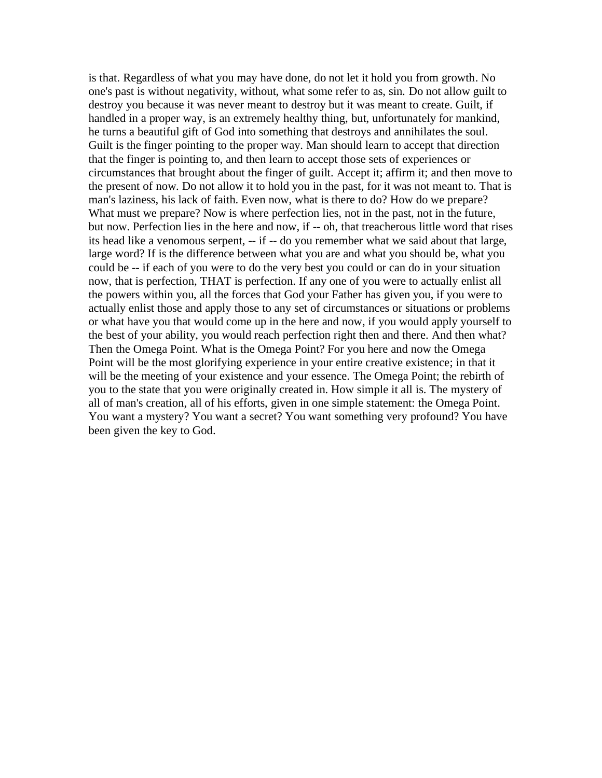is that. Regardless of what you may have done, do not let it hold you from growth. No one's past is without negativity, without, what some refer to as, sin. Do not allow guilt to destroy you because it was never meant to destroy but it was meant to create. Guilt, if handled in a proper way, is an extremely healthy thing, but, unfortunately for mankind, he turns a beautiful gift of God into something that destroys and annihilates the soul. Guilt is the finger pointing to the proper way. Man should learn to accept that direction that the finger is pointing to, and then learn to accept those sets of experiences or circumstances that brought about the finger of guilt. Accept it; affirm it; and then move to the present of now. Do not allow it to hold you in the past, for it was not meant to. That is man's laziness, his lack of faith. Even now, what is there to do? How do we prepare? What must we prepare? Now is where perfection lies, not in the past, not in the future, but now. Perfection lies in the here and now, if -- oh, that treacherous little word that rises its head like a venomous serpent, -- if -- do you remember what we said about that large, large word? If is the difference between what you are and what you should be, what you could be -- if each of you were to do the very best you could or can do in your situation now, that is perfection, THAT is perfection. If any one of you were to actually enlist all the powers within you, all the forces that God your Father has given you, if you were to actually enlist those and apply those to any set of circumstances or situations or problems or what have you that would come up in the here and now, if you would apply yourself to the best of your ability, you would reach perfection right then and there. And then what? Then the Omega Point. What is the Omega Point? For you here and now the Omega Point will be the most glorifying experience in your entire creative existence; in that it will be the meeting of your existence and your essence. The Omega Point; the rebirth of you to the state that you were originally created in. How simple it all is. The mystery of all of man's creation, all of his efforts, given in one simple statement: the Omega Point. You want a mystery? You want a secret? You want something very profound? You have been given the key to God.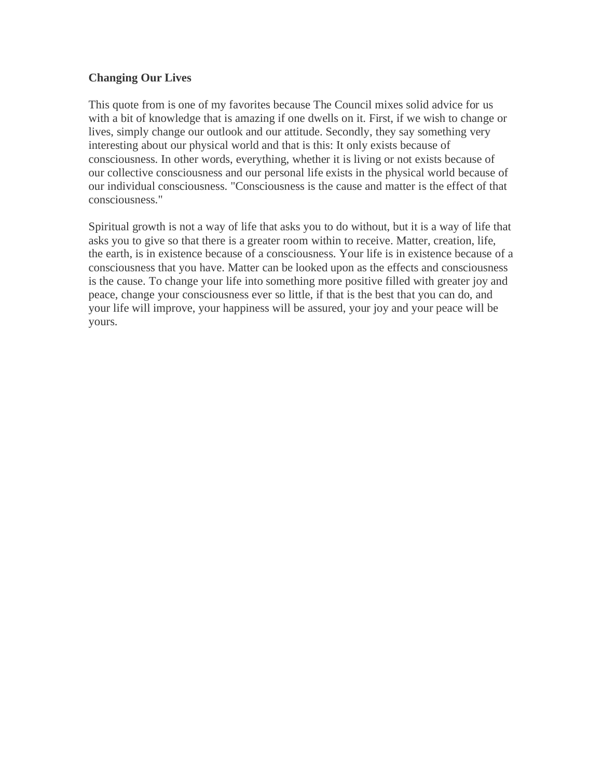# **Changing Our Lives**

This quote from is one of my favorites because The Council mixes solid advice for us with a bit of knowledge that is amazing if one dwells on it. First, if we wish to change or lives, simply change our outlook and our attitude. Secondly, they say something very interesting about our physical world and that is this: It only exists because of consciousness. In other words, everything, whether it is living or not exists because of our collective consciousness and our personal life exists in the physical world because of our individual consciousness. "Consciousness is the cause and matter is the effect of that consciousness."

Spiritual growth is not a way of life that asks you to do without, but it is a way of life that asks you to give so that there is a greater room within to receive. Matter, creation, life, the earth, is in existence because of a consciousness. Your life is in existence because of a consciousness that you have. Matter can be looked upon as the effects and consciousness is the cause. To change your life into something more positive filled with greater joy and peace, change your consciousness ever so little, if that is the best that you can do, and your life will improve, your happiness will be assured, your joy and your peace will be yours.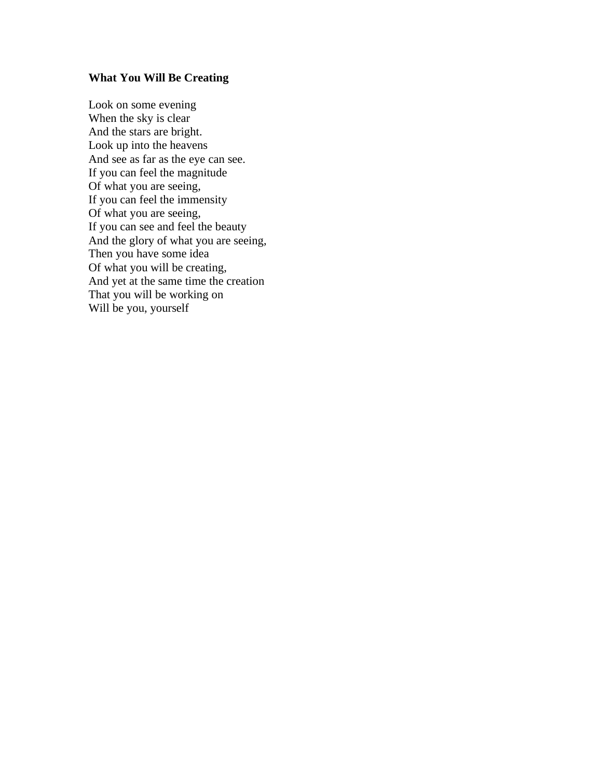### **What You Will Be Creating**

Look on some evening When the sky is clear And the stars are bright. Look up into the heavens And see as far as the eye can see. If you can feel the magnitude Of what you are seeing, If you can feel the immensity Of what you are seeing, If you can see and feel the beauty And the glory of what you are seeing, Then you have some idea Of what you will be creating, And yet at the same time the creation That you will be working on Will be you, yourself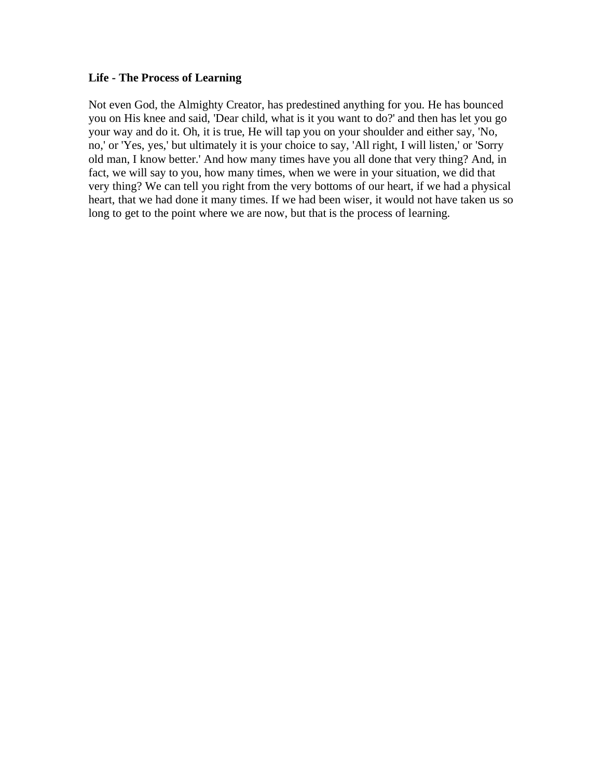## **Life - The Process of Learning**

Not even God, the Almighty Creator, has predestined anything for you. He has bounced you on His knee and said, 'Dear child, what is it you want to do?' and then has let you go your way and do it. Oh, it is true, He will tap you on your shoulder and either say, 'No, no,' or 'Yes, yes,' but ultimately it is your choice to say, 'All right, I will listen,' or 'Sorry old man, I know better.' And how many times have you all done that very thing? And, in fact, we will say to you, how many times, when we were in your situation, we did that very thing? We can tell you right from the very bottoms of our heart, if we had a physical heart, that we had done it many times. If we had been wiser, it would not have taken us so long to get to the point where we are now, but that is the process of learning.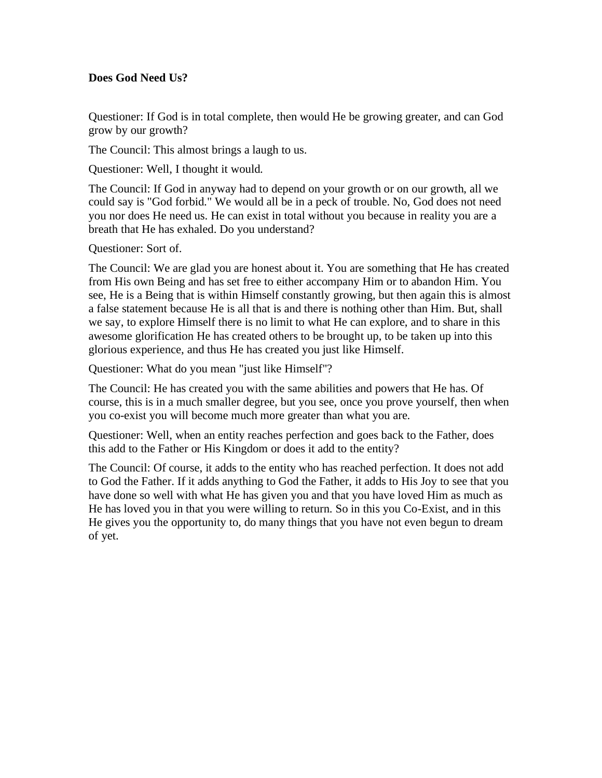# **Does God Need Us?**

Questioner: If God is in total complete, then would He be growing greater, and can God grow by our growth?

The Council: This almost brings a laugh to us.

Questioner: Well, I thought it would.

The Council: If God in anyway had to depend on your growth or on our growth, all we could say is "God forbid." We would all be in a peck of trouble. No, God does not need you nor does He need us. He can exist in total without you because in reality you are a breath that He has exhaled. Do you understand?

Questioner: Sort of.

The Council: We are glad you are honest about it. You are something that He has created from His own Being and has set free to either accompany Him or to abandon Him. You see, He is a Being that is within Himself constantly growing, but then again this is almost a false statement because He is all that is and there is nothing other than Him. But, shall we say, to explore Himself there is no limit to what He can explore, and to share in this awesome glorification He has created others to be brought up, to be taken up into this glorious experience, and thus He has created you just like Himself.

Questioner: What do you mean "just like Himself"?

The Council: He has created you with the same abilities and powers that He has. Of course, this is in a much smaller degree, but you see, once you prove yourself, then when you co-exist you will become much more greater than what you are.

Questioner: Well, when an entity reaches perfection and goes back to the Father, does this add to the Father or His Kingdom or does it add to the entity?

The Council: Of course, it adds to the entity who has reached perfection. It does not add to God the Father. If it adds anything to God the Father, it adds to His Joy to see that you have done so well with what He has given you and that you have loved Him as much as He has loved you in that you were willing to return. So in this you Co-Exist, and in this He gives you the opportunity to, do many things that you have not even begun to dream of yet.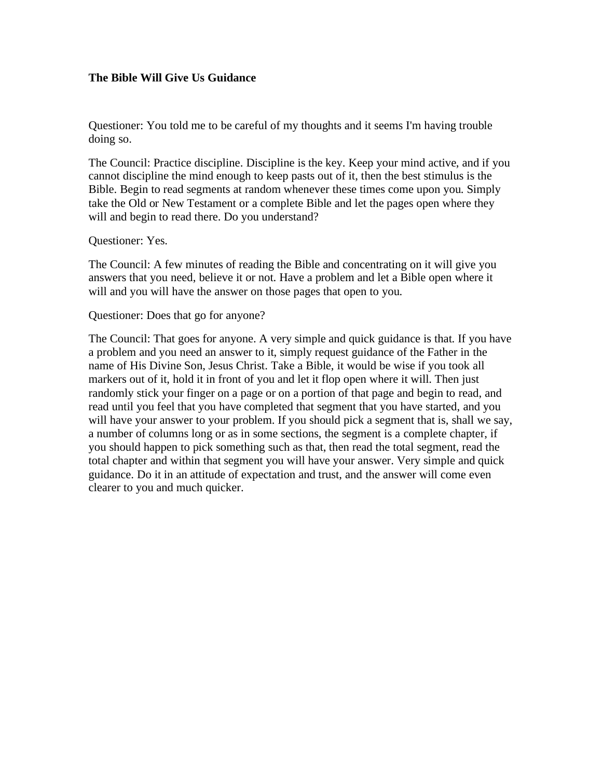## **The Bible Will Give Us Guidance**

Questioner: You told me to be careful of my thoughts and it seems I'm having trouble doing so.

The Council: Practice discipline. Discipline is the key. Keep your mind active, and if you cannot discipline the mind enough to keep pasts out of it, then the best stimulus is the Bible. Begin to read segments at random whenever these times come upon you. Simply take the Old or New Testament or a complete Bible and let the pages open where they will and begin to read there. Do you understand?

#### Questioner: Yes.

The Council: A few minutes of reading the Bible and concentrating on it will give you answers that you need, believe it or not. Have a problem and let a Bible open where it will and you will have the answer on those pages that open to you.

#### Questioner: Does that go for anyone?

The Council: That goes for anyone. A very simple and quick guidance is that. If you have a problem and you need an answer to it, simply request guidance of the Father in the name of His Divine Son, Jesus Christ. Take a Bible, it would be wise if you took all markers out of it, hold it in front of you and let it flop open where it will. Then just randomly stick your finger on a page or on a portion of that page and begin to read, and read until you feel that you have completed that segment that you have started, and you will have your answer to your problem. If you should pick a segment that is, shall we say, a number of columns long or as in some sections, the segment is a complete chapter, if you should happen to pick something such as that, then read the total segment, read the total chapter and within that segment you will have your answer. Very simple and quick guidance. Do it in an attitude of expectation and trust, and the answer will come even clearer to you and much quicker.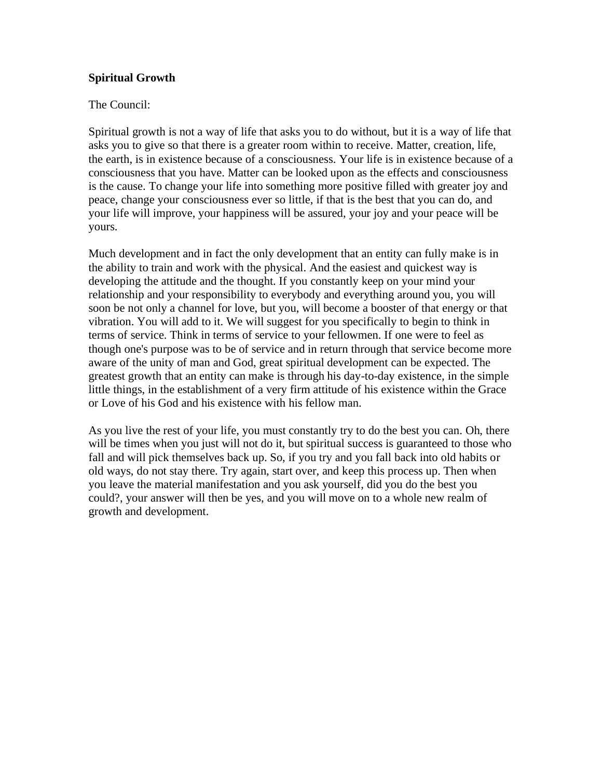# **Spiritual Growth**

# The Council:

Spiritual growth is not a way of life that asks you to do without, but it is a way of life that asks you to give so that there is a greater room within to receive. Matter, creation, life, the earth, is in existence because of a consciousness. Your life is in existence because of a consciousness that you have. Matter can be looked upon as the effects and consciousness is the cause. To change your life into something more positive filled with greater joy and peace, change your consciousness ever so little, if that is the best that you can do, and your life will improve, your happiness will be assured, your joy and your peace will be yours.

Much development and in fact the only development that an entity can fully make is in the ability to train and work with the physical. And the easiest and quickest way is developing the attitude and the thought. If you constantly keep on your mind your relationship and your responsibility to everybody and everything around you, you will soon be not only a channel for love, but you, will become a booster of that energy or that vibration. You will add to it. We will suggest for you specifically to begin to think in terms of service. Think in terms of service to your fellowmen. If one were to feel as though one's purpose was to be of service and in return through that service become more aware of the unity of man and God, great spiritual development can be expected. The greatest growth that an entity can make is through his day-to-day existence, in the simple little things, in the establishment of a very firm attitude of his existence within the Grace or Love of his God and his existence with his fellow man.

As you live the rest of your life, you must constantly try to do the best you can. Oh, there will be times when you just will not do it, but spiritual success is guaranteed to those who fall and will pick themselves back up. So, if you try and you fall back into old habits or old ways, do not stay there. Try again, start over, and keep this process up. Then when you leave the material manifestation and you ask yourself, did you do the best you could?, your answer will then be yes, and you will move on to a whole new realm of growth and development.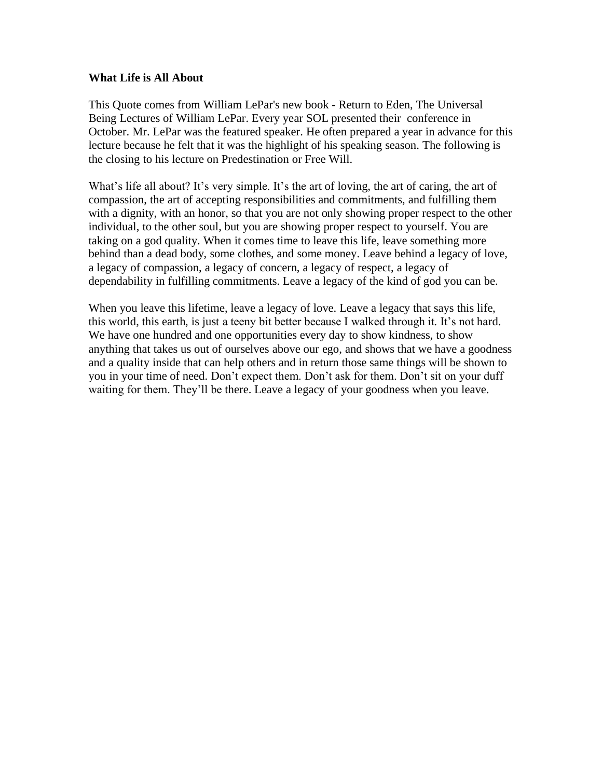#### **What Life is All About**

This Quote comes from William LePar's new book - Return to Eden, The Universal Being Lectures of William LePar. Every year SOL presented their conference in October. Mr. LePar was the featured speaker. He often prepared a year in advance for this lecture because he felt that it was the highlight of his speaking season. The following is the closing to his lecture on Predestination or Free Will.

What's life all about? It's very simple. It's the art of loving, the art of caring, the art of compassion, the art of accepting responsibilities and commitments, and fulfilling them with a dignity, with an honor, so that you are not only showing proper respect to the other individual, to the other soul, but you are showing proper respect to yourself. You are taking on a god quality. When it comes time to leave this life, leave something more behind than a dead body, some clothes, and some money. Leave behind a legacy of love, a legacy of compassion, a legacy of concern, a legacy of respect, a legacy of dependability in fulfilling commitments. Leave a legacy of the kind of god you can be.

When you leave this lifetime, leave a legacy of love. Leave a legacy that says this life, this world, this earth, is just a teeny bit better because I walked through it. It's not hard. We have one hundred and one opportunities every day to show kindness, to show anything that takes us out of ourselves above our ego, and shows that we have a goodness and a quality inside that can help others and in return those same things will be shown to you in your time of need. Don't expect them. Don't ask for them. Don't sit on your duff waiting for them. They'll be there. Leave a legacy of your goodness when you leave.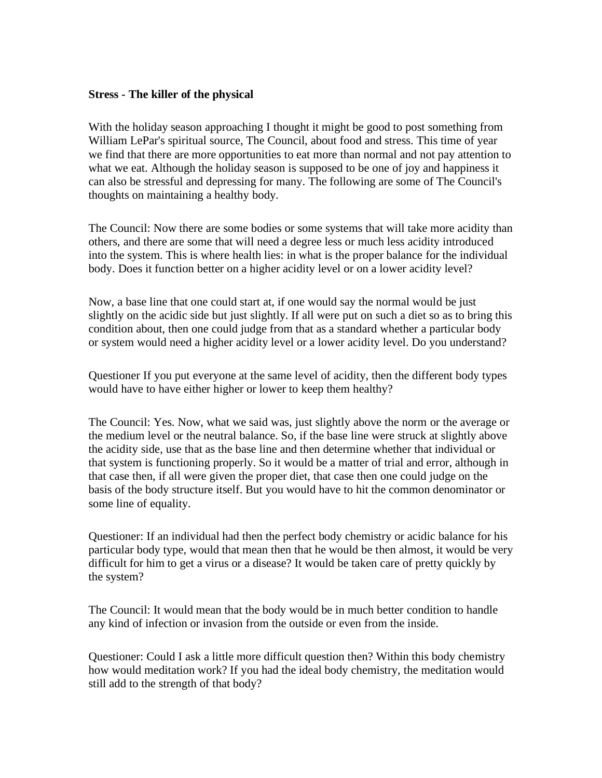### **Stress - The killer of the physical**

With the holiday season approaching I thought it might be good to post something from William LePar's spiritual source, The Council, about food and stress. This time of year we find that there are more opportunities to eat more than normal and not pay attention to what we eat. Although the holiday season is supposed to be one of joy and happiness it can also be stressful and depressing for many. The following are some of The Council's thoughts on maintaining a healthy body.

The Council: Now there are some bodies or some systems that will take more acidity than others, and there are some that will need a degree less or much less acidity introduced into the system. This is where health lies: in what is the proper balance for the individual body. Does it function better on a higher acidity level or on a lower acidity level?

Now, a base line that one could start at, if one would say the normal would be just slightly on the acidic side but just slightly. If all were put on such a diet so as to bring this condition about, then one could judge from that as a standard whether a particular body or system would need a higher acidity level or a lower acidity level. Do you understand?

Questioner If you put everyone at the same level of acidity, then the different body types would have to have either higher or lower to keep them healthy?

The Council: Yes. Now, what we said was, just slightly above the norm or the average or the medium level or the neutral balance. So, if the base line were struck at slightly above the acidity side, use that as the base line and then determine whether that individual or that system is functioning properly. So it would be a matter of trial and error, although in that case then, if all were given the proper diet, that case then one could judge on the basis of the body structure itself. But you would have to hit the common denominator or some line of equality.

Questioner: If an individual had then the perfect body chemistry or acidic balance for his particular body type, would that mean then that he would be then almost, it would be very difficult for him to get a virus or a disease? It would be taken care of pretty quickly by the system?

The Council: It would mean that the body would be in much better condition to handle any kind of infection or invasion from the outside or even from the inside.

Questioner: Could I ask a little more difficult question then? Within this body chemistry how would meditation work? If you had the ideal body chemistry, the meditation would still add to the strength of that body?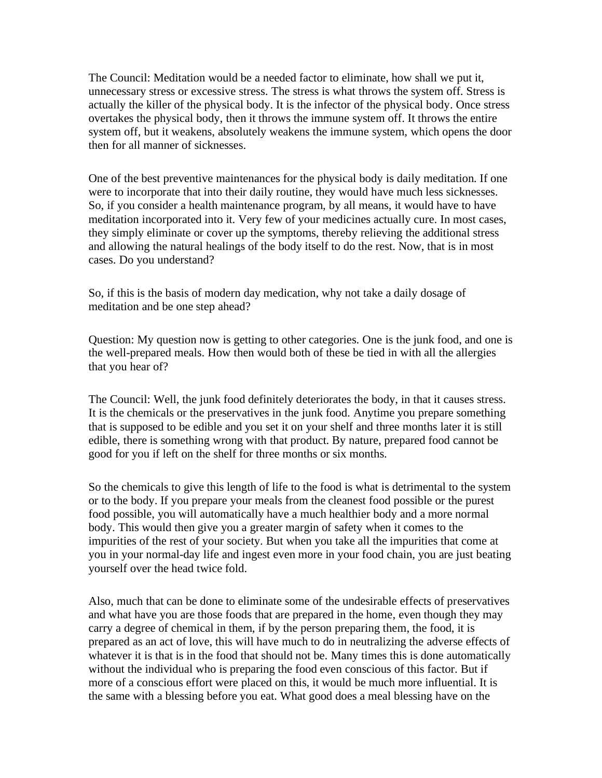The Council: Meditation would be a needed factor to eliminate, how shall we put it, unnecessary stress or excessive stress. The stress is what throws the system off. Stress is actually the killer of the physical body. It is the infector of the physical body. Once stress overtakes the physical body, then it throws the immune system off. It throws the entire system off, but it weakens, absolutely weakens the immune system, which opens the door then for all manner of sicknesses.

One of the best preventive maintenances for the physical body is daily meditation. If one were to incorporate that into their daily routine, they would have much less sicknesses. So, if you consider a health maintenance program, by all means, it would have to have meditation incorporated into it. Very few of your medicines actually cure. In most cases, they simply eliminate or cover up the symptoms, thereby relieving the additional stress and allowing the natural healings of the body itself to do the rest. Now, that is in most cases. Do you understand?

So, if this is the basis of modern day medication, why not take a daily dosage of meditation and be one step ahead?

Question: My question now is getting to other categories. One is the junk food, and one is the well-prepared meals. How then would both of these be tied in with all the allergies that you hear of?

The Council: Well, the junk food definitely deteriorates the body, in that it causes stress. It is the chemicals or the preservatives in the junk food. Anytime you prepare something that is supposed to be edible and you set it on your shelf and three months later it is still edible, there is something wrong with that product. By nature, prepared food cannot be good for you if left on the shelf for three months or six months.

So the chemicals to give this length of life to the food is what is detrimental to the system or to the body. If you prepare your meals from the cleanest food possible or the purest food possible, you will automatically have a much healthier body and a more normal body. This would then give you a greater margin of safety when it comes to the impurities of the rest of your society. But when you take all the impurities that come at you in your normal-day life and ingest even more in your food chain, you are just beating yourself over the head twice fold.

Also, much that can be done to eliminate some of the undesirable effects of preservatives and what have you are those foods that are prepared in the home, even though they may carry a degree of chemical in them, if by the person preparing them, the food, it is prepared as an act of love, this will have much to do in neutralizing the adverse effects of whatever it is that is in the food that should not be. Many times this is done automatically without the individual who is preparing the food even conscious of this factor. But if more of a conscious effort were placed on this, it would be much more influential. It is the same with a blessing before you eat. What good does a meal blessing have on the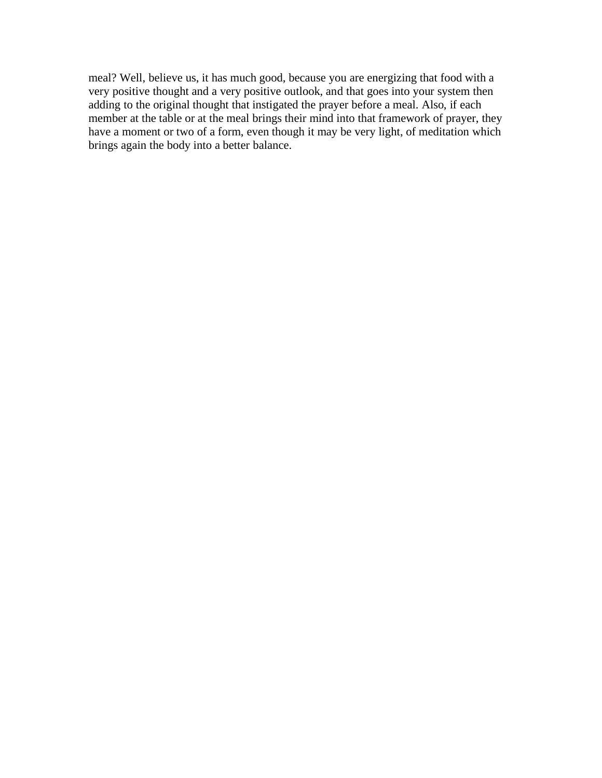meal? Well, believe us, it has much good, because you are energizing that food with a very positive thought and a very positive outlook, and that goes into your system then adding to the original thought that instigated the prayer before a meal. Also, if each member at the table or at the meal brings their mind into that framework of prayer, they have a moment or two of a form, even though it may be very light, of meditation which brings again the body into a better balance.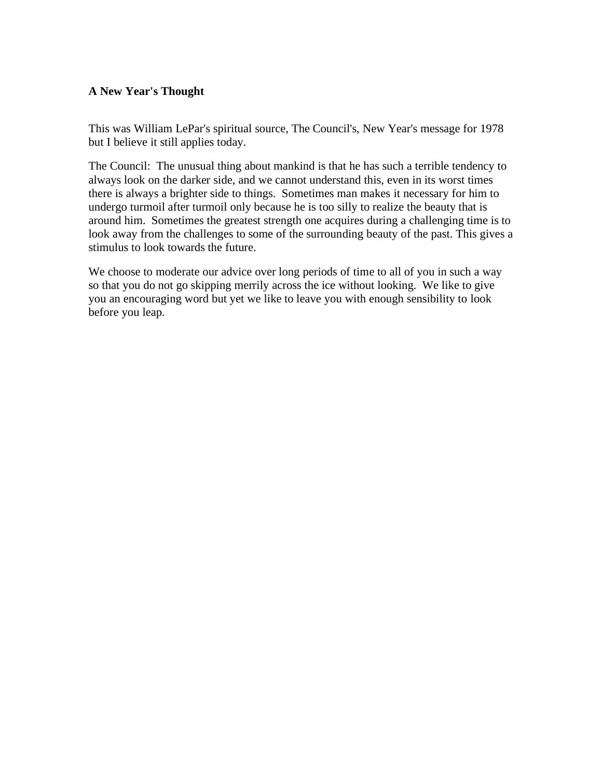# **A New Year's Thought**

This was William LePar's spiritual source, The Council's, New Year's message for 1978 but I believe it still applies today.

The Council: The unusual thing about mankind is that he has such a terrible tendency to always look on the darker side, and we cannot understand this, even in its worst times there is always a brighter side to things. Sometimes man makes it necessary for him to undergo turmoil after turmoil only because he is too silly to realize the beauty that is around him. Sometimes the greatest strength one acquires during a challenging time is to look away from the challenges to some of the surrounding beauty of the past. This gives a stimulus to look towards the future.

We choose to moderate our advice over long periods of time to all of you in such a way so that you do not go skipping merrily across the ice without looking. We like to give you an encouraging word but yet we like to leave you with enough sensibility to look before you leap.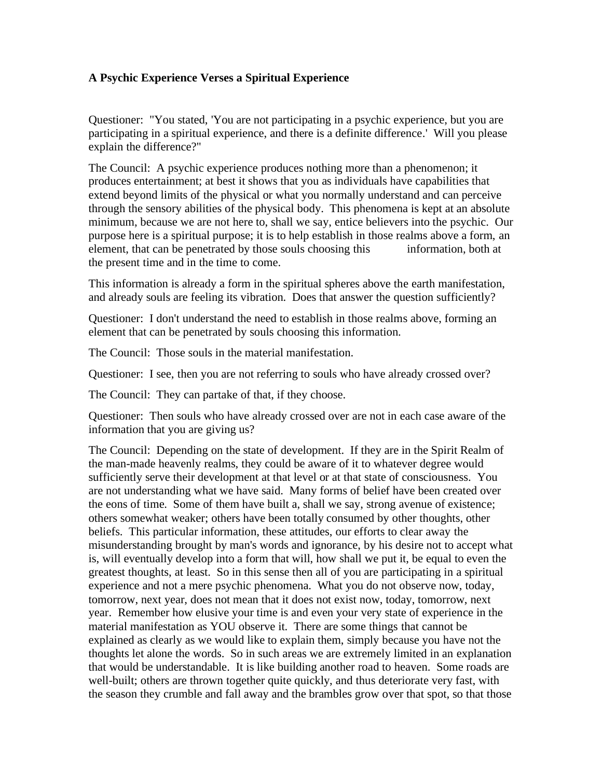# **A Psychic Experience Verses a Spiritual Experience**

Questioner: "You stated, 'You are not participating in a psychic experience, but you are participating in a spiritual experience, and there is a definite difference.' Will you please explain the difference?"

The Council: A psychic experience produces nothing more than a phenomenon; it produces entertainment; at best it shows that you as individuals have capabilities that extend beyond limits of the physical or what you normally understand and can perceive through the sensory abilities of the physical body. This phenomena is kept at an absolute minimum, because we are not here to, shall we say, entice believers into the psychic. Our purpose here is a spiritual purpose; it is to help establish in those realms above a form, an element, that can be penetrated by those souls choosing this information, both at the present time and in the time to come.

This information is already a form in the spiritual spheres above the earth manifestation, and already souls are feeling its vibration. Does that answer the question sufficiently?

Questioner: I don't understand the need to establish in those realms above, forming an element that can be penetrated by souls choosing this information.

The Council: Those souls in the material manifestation.

Questioner: I see, then you are not referring to souls who have already crossed over?

The Council: They can partake of that, if they choose.

Questioner: Then souls who have already crossed over are not in each case aware of the information that you are giving us?

The Council: Depending on the state of development. If they are in the Spirit Realm of the man-made heavenly realms, they could be aware of it to whatever degree would sufficiently serve their development at that level or at that state of consciousness. You are not understanding what we have said. Many forms of belief have been created over the eons of time. Some of them have built a, shall we say, strong avenue of existence; others somewhat weaker; others have been totally consumed by other thoughts, other beliefs. This particular information, these attitudes, our efforts to clear away the misunderstanding brought by man's words and ignorance, by his desire not to accept what is, will eventually develop into a form that will, how shall we put it, be equal to even the greatest thoughts, at least. So in this sense then all of you are participating in a spiritual experience and not a mere psychic phenomena. What you do not observe now, today, tomorrow, next year, does not mean that it does not exist now, today, tomorrow, next year. Remember how elusive your time is and even your very state of experience in the material manifestation as YOU observe it. There are some things that cannot be explained as clearly as we would like to explain them, simply because you have not the thoughts let alone the words. So in such areas we are extremely limited in an explanation that would be understandable. It is like building another road to heaven. Some roads are well-built; others are thrown together quite quickly, and thus deteriorate very fast, with the season they crumble and fall away and the brambles grow over that spot, so that those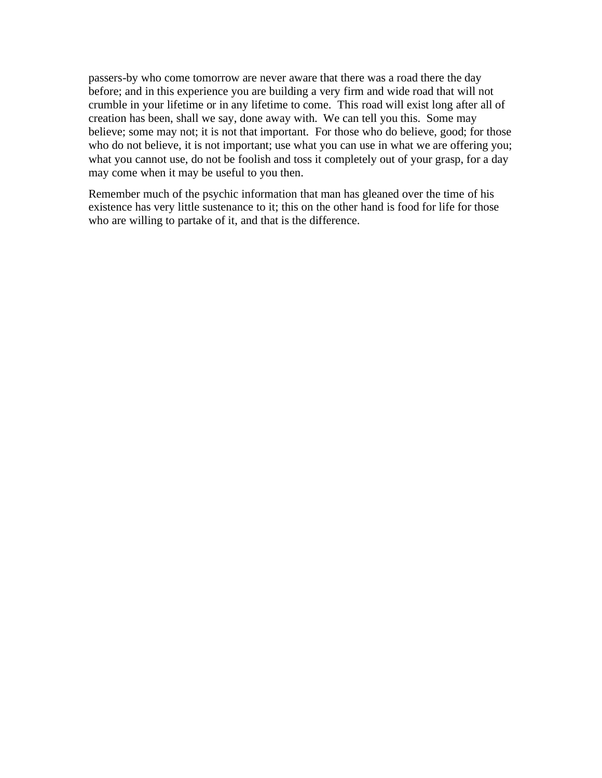passers-by who come tomorrow are never aware that there was a road there the day before; and in this experience you are building a very firm and wide road that will not crumble in your lifetime or in any lifetime to come. This road will exist long after all of creation has been, shall we say, done away with. We can tell you this. Some may believe; some may not; it is not that important. For those who do believe, good; for those who do not believe, it is not important; use what you can use in what we are offering you; what you cannot use, do not be foolish and toss it completely out of your grasp, for a day may come when it may be useful to you then.

Remember much of the psychic information that man has gleaned over the time of his existence has very little sustenance to it; this on the other hand is food for life for those who are willing to partake of it, and that is the difference.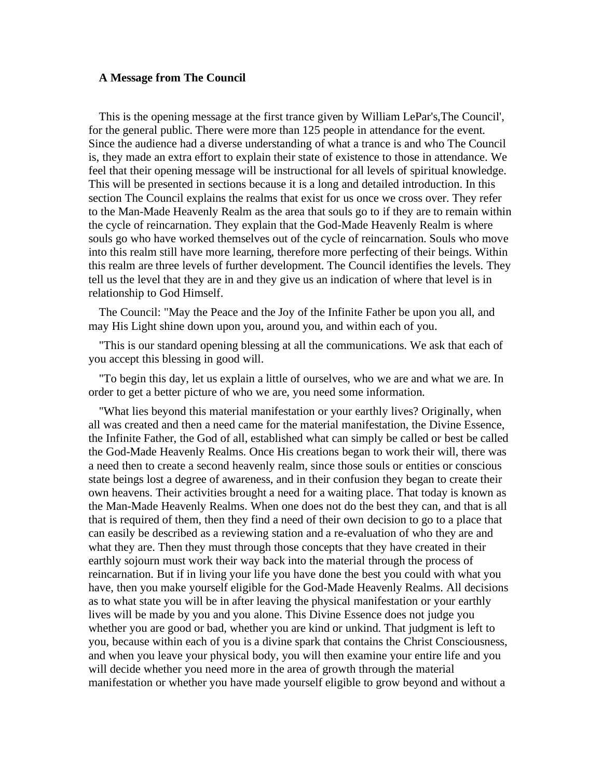#### **A Message from The Council**

This is the opening message at the first trance given by William LePar's,The Council', for the general public. There were more than 125 people in attendance for the event. Since the audience had a diverse understanding of what a trance is and who The Council is, they made an extra effort to explain their state of existence to those in attendance. We feel that their opening message will be instructional for all levels of spiritual knowledge. This will be presented in sections because it is a long and detailed introduction. In this section The Council explains the realms that exist for us once we cross over. They refer to the Man-Made Heavenly Realm as the area that souls go to if they are to remain within the cycle of reincarnation. They explain that the God-Made Heavenly Realm is where souls go who have worked themselves out of the cycle of reincarnation. Souls who move into this realm still have more learning, therefore more perfecting of their beings. Within this realm are three levels of further development. The Council identifies the levels. They tell us the level that they are in and they give us an indication of where that level is in relationship to God Himself.

The Council: "May the Peace and the Joy of the Infinite Father be upon you all, and may His Light shine down upon you, around you, and within each of you.

"This is our standard opening blessing at all the communications. We ask that each of you accept this blessing in good will.

"To begin this day, let us explain a little of ourselves, who we are and what we are. In order to get a better picture of who we are, you need some information.

"What lies beyond this material manifestation or your earthly lives? Originally, when all was created and then a need came for the material manifestation, the Divine Essence, the Infinite Father, the God of all, established what can simply be called or best be called the God-Made Heavenly Realms. Once His creations began to work their will, there was a need then to create a second heavenly realm, since those souls or entities or conscious state beings lost a degree of awareness, and in their confusion they began to create their own heavens. Their activities brought a need for a waiting place. That today is known as the Man-Made Heavenly Realms. When one does not do the best they can, and that is all that is required of them, then they find a need of their own decision to go to a place that can easily be described as a reviewing station and a re-evaluation of who they are and what they are. Then they must through those concepts that they have created in their earthly sojourn must work their way back into the material through the process of reincarnation. But if in living your life you have done the best you could with what you have, then you make yourself eligible for the God-Made Heavenly Realms. All decisions as to what state you will be in after leaving the physical manifestation or your earthly lives will be made by you and you alone. This Divine Essence does not judge you whether you are good or bad, whether you are kind or unkind. That judgment is left to you, because within each of you is a divine spark that contains the Christ Consciousness, and when you leave your physical body, you will then examine your entire life and you will decide whether you need more in the area of growth through the material manifestation or whether you have made yourself eligible to grow beyond and without a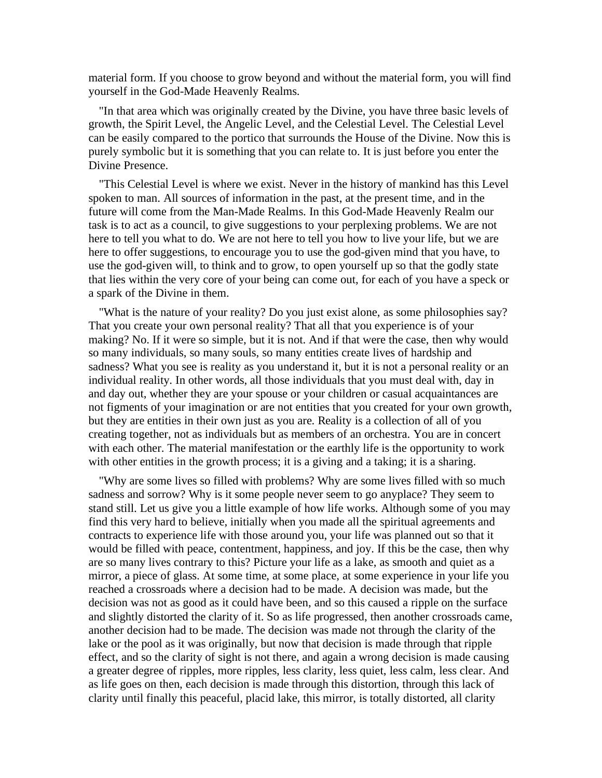material form. If you choose to grow beyond and without the material form, you will find yourself in the God-Made Heavenly Realms.

"In that area which was originally created by the Divine, you have three basic levels of growth, the Spirit Level, the Angelic Level, and the Celestial Level. The Celestial Level can be easily compared to the portico that surrounds the House of the Divine. Now this is purely symbolic but it is something that you can relate to. It is just before you enter the Divine Presence.

"This Celestial Level is where we exist. Never in the history of mankind has this Level spoken to man. All sources of information in the past, at the present time, and in the future will come from the Man-Made Realms. In this God-Made Heavenly Realm our task is to act as a council, to give suggestions to your perplexing problems. We are not here to tell you what to do. We are not here to tell you how to live your life, but we are here to offer suggestions, to encourage you to use the god-given mind that you have, to use the god-given will, to think and to grow, to open yourself up so that the godly state that lies within the very core of your being can come out, for each of you have a speck or a spark of the Divine in them.

"What is the nature of your reality? Do you just exist alone, as some philosophies say? That you create your own personal reality? That all that you experience is of your making? No. If it were so simple, but it is not. And if that were the case, then why would so many individuals, so many souls, so many entities create lives of hardship and sadness? What you see is reality as you understand it, but it is not a personal reality or an individual reality. In other words, all those individuals that you must deal with, day in and day out, whether they are your spouse or your children or casual acquaintances are not figments of your imagination or are not entities that you created for your own growth, but they are entities in their own just as you are. Reality is a collection of all of you creating together, not as individuals but as members of an orchestra. You are in concert with each other. The material manifestation or the earthly life is the opportunity to work with other entities in the growth process; it is a giving and a taking; it is a sharing.

"Why are some lives so filled with problems? Why are some lives filled with so much sadness and sorrow? Why is it some people never seem to go anyplace? They seem to stand still. Let us give you a little example of how life works. Although some of you may find this very hard to believe, initially when you made all the spiritual agreements and contracts to experience life with those around you, your life was planned out so that it would be filled with peace, contentment, happiness, and joy. If this be the case, then why are so many lives contrary to this? Picture your life as a lake, as smooth and quiet as a mirror, a piece of glass. At some time, at some place, at some experience in your life you reached a crossroads where a decision had to be made. A decision was made, but the decision was not as good as it could have been, and so this caused a ripple on the surface and slightly distorted the clarity of it. So as life progressed, then another crossroads came, another decision had to be made. The decision was made not through the clarity of the lake or the pool as it was originally, but now that decision is made through that ripple effect, and so the clarity of sight is not there, and again a wrong decision is made causing a greater degree of ripples, more ripples, less clarity, less quiet, less calm, less clear. And as life goes on then, each decision is made through this distortion, through this lack of clarity until finally this peaceful, placid lake, this mirror, is totally distorted, all clarity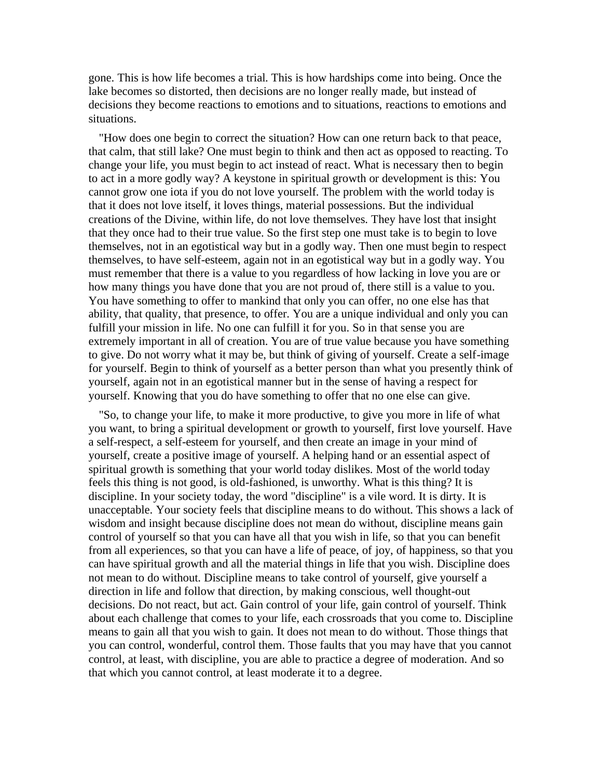gone. This is how life becomes a trial. This is how hardships come into being. Once the lake becomes so distorted, then decisions are no longer really made, but instead of decisions they become reactions to emotions and to situations, reactions to emotions and situations.

"How does one begin to correct the situation? How can one return back to that peace, that calm, that still lake? One must begin to think and then act as opposed to reacting. To change your life, you must begin to act instead of react. What is necessary then to begin to act in a more godly way? A keystone in spiritual growth or development is this: You cannot grow one iota if you do not love yourself. The problem with the world today is that it does not love itself, it loves things, material possessions. But the individual creations of the Divine, within life, do not love themselves. They have lost that insight that they once had to their true value. So the first step one must take is to begin to love themselves, not in an egotistical way but in a godly way. Then one must begin to respect themselves, to have self-esteem, again not in an egotistical way but in a godly way. You must remember that there is a value to you regardless of how lacking in love you are or how many things you have done that you are not proud of, there still is a value to you. You have something to offer to mankind that only you can offer, no one else has that ability, that quality, that presence, to offer. You are a unique individual and only you can fulfill your mission in life. No one can fulfill it for you. So in that sense you are extremely important in all of creation. You are of true value because you have something to give. Do not worry what it may be, but think of giving of yourself. Create a self-image for yourself. Begin to think of yourself as a better person than what you presently think of yourself, again not in an egotistical manner but in the sense of having a respect for yourself. Knowing that you do have something to offer that no one else can give.

"So, to change your life, to make it more productive, to give you more in life of what you want, to bring a spiritual development or growth to yourself, first love yourself. Have a self-respect, a self-esteem for yourself, and then create an image in your mind of yourself, create a positive image of yourself. A helping hand or an essential aspect of spiritual growth is something that your world today dislikes. Most of the world today feels this thing is not good, is old-fashioned, is unworthy. What is this thing? It is discipline. In your society today, the word "discipline" is a vile word. It is dirty. It is unacceptable. Your society feels that discipline means to do without. This shows a lack of wisdom and insight because discipline does not mean do without, discipline means gain control of yourself so that you can have all that you wish in life, so that you can benefit from all experiences, so that you can have a life of peace, of joy, of happiness, so that you can have spiritual growth and all the material things in life that you wish. Discipline does not mean to do without. Discipline means to take control of yourself, give yourself a direction in life and follow that direction, by making conscious, well thought-out decisions. Do not react, but act. Gain control of your life, gain control of yourself. Think about each challenge that comes to your life, each crossroads that you come to. Discipline means to gain all that you wish to gain. It does not mean to do without. Those things that you can control, wonderful, control them. Those faults that you may have that you cannot control, at least, with discipline, you are able to practice a degree of moderation. And so that which you cannot control, at least moderate it to a degree.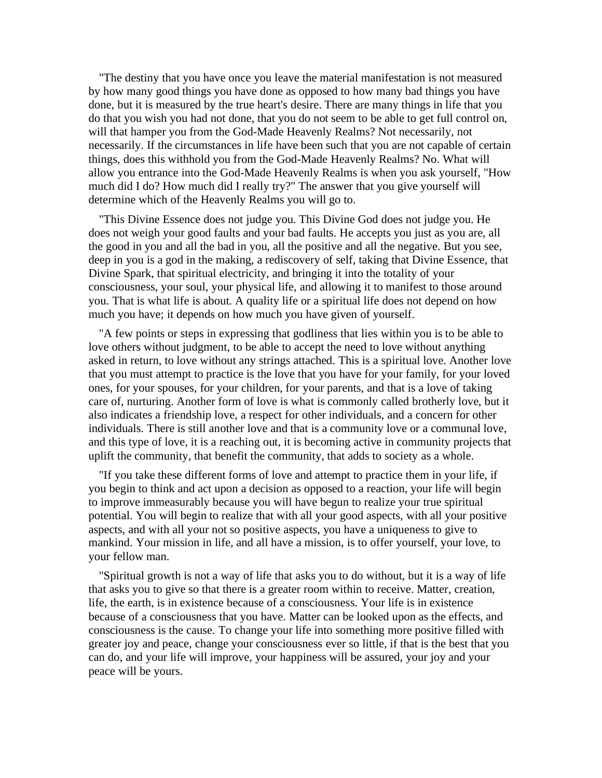"The destiny that you have once you leave the material manifestation is not measured by how many good things you have done as opposed to how many bad things you have done, but it is measured by the true heart's desire. There are many things in life that you do that you wish you had not done, that you do not seem to be able to get full control on, will that hamper you from the God-Made Heavenly Realms? Not necessarily, not necessarily. If the circumstances in life have been such that you are not capable of certain things, does this withhold you from the God-Made Heavenly Realms? No. What will allow you entrance into the God-Made Heavenly Realms is when you ask yourself, "How much did I do? How much did I really try?" The answer that you give yourself will determine which of the Heavenly Realms you will go to.

"This Divine Essence does not judge you. This Divine God does not judge you. He does not weigh your good faults and your bad faults. He accepts you just as you are, all the good in you and all the bad in you, all the positive and all the negative. But you see, deep in you is a god in the making, a rediscovery of self, taking that Divine Essence, that Divine Spark, that spiritual electricity, and bringing it into the totality of your consciousness, your soul, your physical life, and allowing it to manifest to those around you. That is what life is about. A quality life or a spiritual life does not depend on how much you have; it depends on how much you have given of yourself.

"A few points or steps in expressing that godliness that lies within you is to be able to love others without judgment, to be able to accept the need to love without anything asked in return, to love without any strings attached. This is a spiritual love. Another love that you must attempt to practice is the love that you have for your family, for your loved ones, for your spouses, for your children, for your parents, and that is a love of taking care of, nurturing. Another form of love is what is commonly called brotherly love, but it also indicates a friendship love, a respect for other individuals, and a concern for other individuals. There is still another love and that is a community love or a communal love, and this type of love, it is a reaching out, it is becoming active in community projects that uplift the community, that benefit the community, that adds to society as a whole.

"If you take these different forms of love and attempt to practice them in your life, if you begin to think and act upon a decision as opposed to a reaction, your life will begin to improve immeasurably because you will have begun to realize your true spiritual potential. You will begin to realize that with all your good aspects, with all your positive aspects, and with all your not so positive aspects, you have a uniqueness to give to mankind. Your mission in life, and all have a mission, is to offer yourself, your love, to your fellow man.

"Spiritual growth is not a way of life that asks you to do without, but it is a way of life that asks you to give so that there is a greater room within to receive. Matter, creation, life, the earth, is in existence because of a consciousness. Your life is in existence because of a consciousness that you have. Matter can be looked upon as the effects, and consciousness is the cause. To change your life into something more positive filled with greater joy and peace, change your consciousness ever so little, if that is the best that you can do, and your life will improve, your happiness will be assured, your joy and your peace will be yours.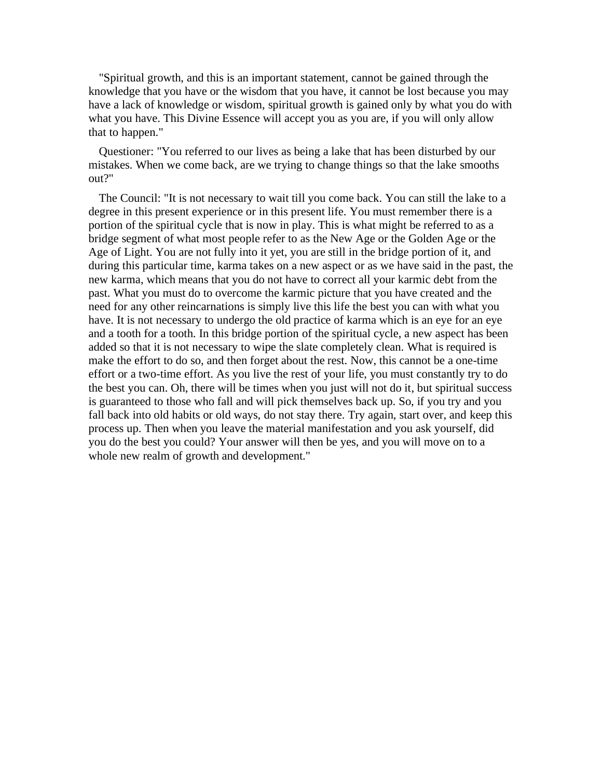"Spiritual growth, and this is an important statement, cannot be gained through the knowledge that you have or the wisdom that you have, it cannot be lost because you may have a lack of knowledge or wisdom, spiritual growth is gained only by what you do with what you have. This Divine Essence will accept you as you are, if you will only allow that to happen."

Questioner: "You referred to our lives as being a lake that has been disturbed by our mistakes. When we come back, are we trying to change things so that the lake smooths out?"

The Council: "It is not necessary to wait till you come back. You can still the lake to a degree in this present experience or in this present life. You must remember there is a portion of the spiritual cycle that is now in play. This is what might be referred to as a bridge segment of what most people refer to as the New Age or the Golden Age or the Age of Light. You are not fully into it yet, you are still in the bridge portion of it, and during this particular time, karma takes on a new aspect or as we have said in the past, the new karma, which means that you do not have to correct all your karmic debt from the past. What you must do to overcome the karmic picture that you have created and the need for any other reincarnations is simply live this life the best you can with what you have. It is not necessary to undergo the old practice of karma which is an eye for an eye and a tooth for a tooth. In this bridge portion of the spiritual cycle, a new aspect has been added so that it is not necessary to wipe the slate completely clean. What is required is make the effort to do so, and then forget about the rest. Now, this cannot be a one-time effort or a two-time effort. As you live the rest of your life, you must constantly try to do the best you can. Oh, there will be times when you just will not do it, but spiritual success is guaranteed to those who fall and will pick themselves back up. So, if you try and you fall back into old habits or old ways, do not stay there. Try again, start over, and keep this process up. Then when you leave the material manifestation and you ask yourself, did you do the best you could? Your answer will then be yes, and you will move on to a whole new realm of growth and development."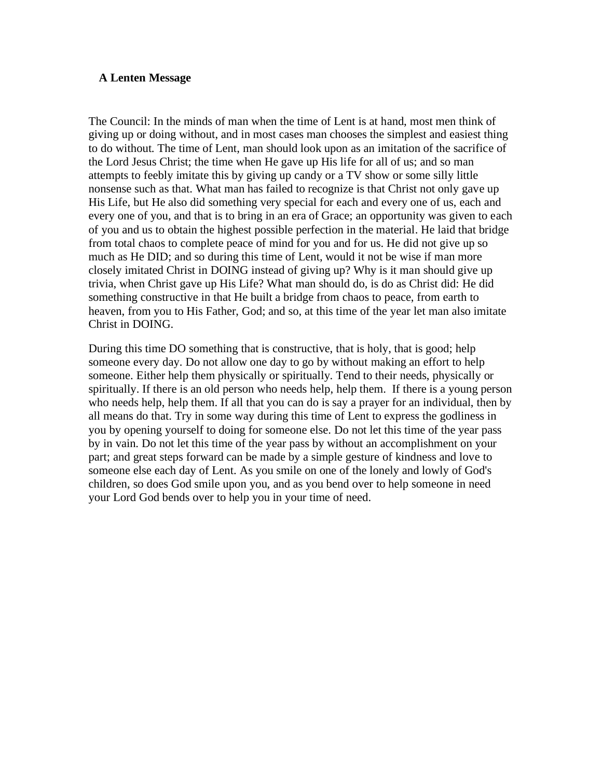#### **A Lenten Message**

The Council: In the minds of man when the time of Lent is at hand, most men think of giving up or doing without, and in most cases man chooses the simplest and easiest thing to do without. The time of Lent, man should look upon as an imitation of the sacrifice of the Lord Jesus Christ; the time when He gave up His life for all of us; and so man attempts to feebly imitate this by giving up candy or a TV show or some silly little nonsense such as that. What man has failed to recognize is that Christ not only gave up His Life, but He also did something very special for each and every one of us, each and every one of you, and that is to bring in an era of Grace; an opportunity was given to each of you and us to obtain the highest possible perfection in the material. He laid that bridge from total chaos to complete peace of mind for you and for us. He did not give up so much as He DID; and so during this time of Lent, would it not be wise if man more closely imitated Christ in DOING instead of giving up? Why is it man should give up trivia, when Christ gave up His Life? What man should do, is do as Christ did: He did something constructive in that He built a bridge from chaos to peace, from earth to heaven, from you to His Father, God; and so, at this time of the year let man also imitate Christ in DOING.

During this time DO something that is constructive, that is holy, that is good; help someone every day. Do not allow one day to go by without making an effort to help someone. Either help them physically or spiritually. Tend to their needs, physically or spiritually. If there is an old person who needs help, help them. If there is a young person who needs help, help them. If all that you can do is say a prayer for an individual, then by all means do that. Try in some way during this time of Lent to express the godliness in you by opening yourself to doing for someone else. Do not let this time of the year pass by in vain. Do not let this time of the year pass by without an accomplishment on your part; and great steps forward can be made by a simple gesture of kindness and love to someone else each day of Lent. As you smile on one of the lonely and lowly of God's children, so does God smile upon you, and as you bend over to help someone in need your Lord God bends over to help you in your time of need.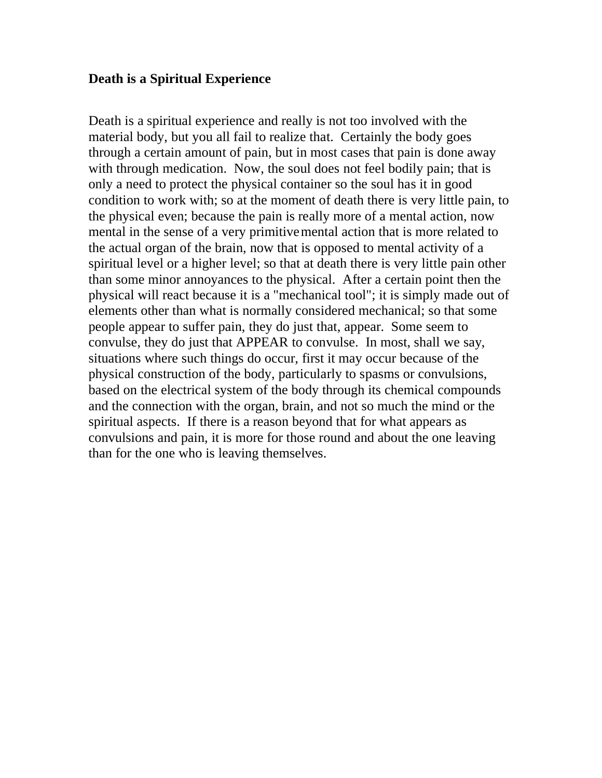#### **Death is a Spiritual Experience**

Death is a spiritual experience and really is not too involved with the material body, but you all fail to realize that. Certainly the body goes through a certain amount of pain, but in most cases that pain is done away with through medication. Now, the soul does not feel bodily pain; that is only a need to protect the physical container so the soul has it in good condition to work with; so at the moment of death there is very little pain, to the physical even; because the pain is really more of a mental action, now mental in the sense of a very primitivemental action that is more related to the actual organ of the brain, now that is opposed to mental activity of a spiritual level or a higher level; so that at death there is very little pain other than some minor annoyances to the physical. After a certain point then the physical will react because it is a "mechanical tool"; it is simply made out of elements other than what is normally considered mechanical; so that some people appear to suffer pain, they do just that, appear. Some seem to convulse, they do just that APPEAR to convulse. In most, shall we say, situations where such things do occur, first it may occur because of the physical construction of the body, particularly to spasms or convulsions, based on the electrical system of the body through its chemical compounds and the connection with the organ, brain, and not so much the mind or the spiritual aspects. If there is a reason beyond that for what appears as convulsions and pain, it is more for those round and about the one leaving than for the one who is leaving themselves.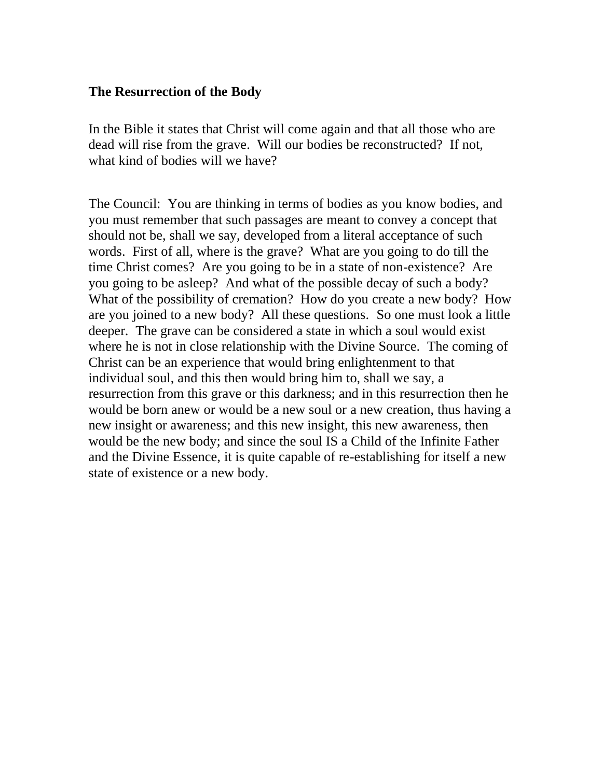#### **The Resurrection of the Body**

In the Bible it states that Christ will come again and that all those who are dead will rise from the grave. Will our bodies be reconstructed? If not, what kind of bodies will we have?

The Council: You are thinking in terms of bodies as you know bodies, and you must remember that such passages are meant to convey a concept that should not be, shall we say, developed from a literal acceptance of such words. First of all, where is the grave? What are you going to do till the time Christ comes? Are you going to be in a state of non-existence? Are you going to be asleep? And what of the possible decay of such a body? What of the possibility of cremation? How do you create a new body? How are you joined to a new body? All these questions. So one must look a little deeper. The grave can be considered a state in which a soul would exist where he is not in close relationship with the Divine Source. The coming of Christ can be an experience that would bring enlightenment to that individual soul, and this then would bring him to, shall we say, a resurrection from this grave or this darkness; and in this resurrection then he would be born anew or would be a new soul or a new creation, thus having a new insight or awareness; and this new insight, this new awareness, then would be the new body; and since the soul IS a Child of the Infinite Father and the Divine Essence, it is quite capable of re-establishing for itself a new state of existence or a new body.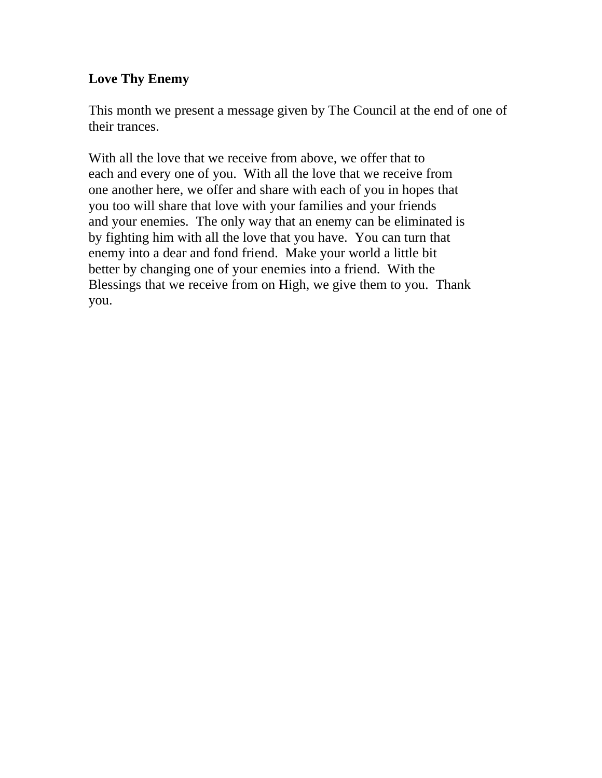### **Love Thy Enemy**

This month we present a message given by The Council at the end of one of their trances.

With all the love that we receive from above, we offer that to each and every one of you. With all the love that we receive from one another here, we offer and share with each of you in hopes that you too will share that love with your families and your friends and your enemies. The only way that an enemy can be eliminated is by fighting him with all the love that you have. You can turn that enemy into a dear and fond friend. Make your world a little bit better by changing one of your enemies into a friend. With the Blessings that we receive from on High, we give them to you. Thank you.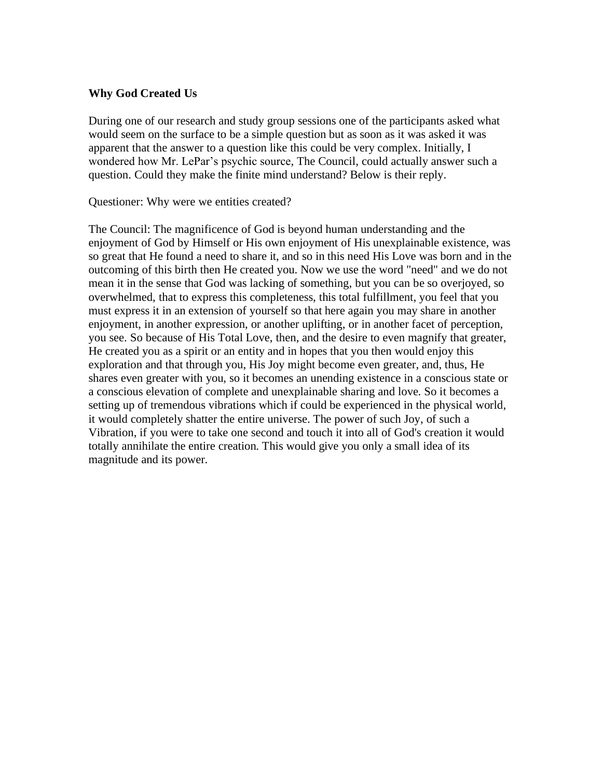#### **Why God Created Us**

During one of our research and study group sessions one of the participants asked what would seem on the surface to be a simple question but as soon as it was asked it was apparent that the answer to a question like this could be very complex. Initially, I wondered how Mr. LePar's psychic source, The Council, could actually answer such a question. Could they make the finite mind understand? Below is their reply.

#### Questioner: Why were we entities created?

The Council: The magnificence of God is beyond human understanding and the enjoyment of God by Himself or His own enjoyment of His unexplainable existence, was so great that He found a need to share it, and so in this need His Love was born and in the outcoming of this birth then He created you. Now we use the word "need" and we do not mean it in the sense that God was lacking of something, but you can be so overjoyed, so overwhelmed, that to express this completeness, this total fulfillment, you feel that you must express it in an extension of yourself so that here again you may share in another enjoyment, in another expression, or another uplifting, or in another facet of perception, you see. So because of His Total Love, then, and the desire to even magnify that greater, He created you as a spirit or an entity and in hopes that you then would enjoy this exploration and that through you, His Joy might become even greater, and, thus, He shares even greater with you, so it becomes an unending existence in a conscious state or a conscious elevation of complete and unexplainable sharing and love. So it becomes a setting up of tremendous vibrations which if could be experienced in the physical world, it would completely shatter the entire universe. The power of such Joy, of such a Vibration, if you were to take one second and touch it into all of God's creation it would totally annihilate the entire creation. This would give you only a small idea of its magnitude and its power.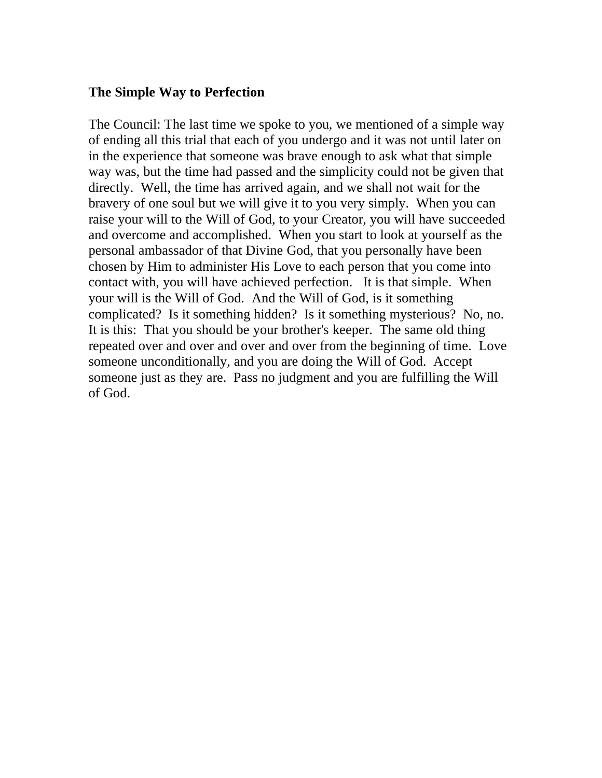#### **The Simple Way to Perfection**

The Council: The last time we spoke to you, we mentioned of a simple way of ending all this trial that each of you undergo and it was not until later on in the experience that someone was brave enough to ask what that simple way was, but the time had passed and the simplicity could not be given that directly. Well, the time has arrived again, and we shall not wait for the bravery of one soul but we will give it to you very simply. When you can raise your will to the Will of God, to your Creator, you will have succeeded and overcome and accomplished. When you start to look at yourself as the personal ambassador of that Divine God, that you personally have been chosen by Him to administer His Love to each person that you come into contact with, you will have achieved perfection. It is that simple. When your will is the Will of God. And the Will of God, is it something complicated? Is it something hidden? Is it something mysterious? No, no. It is this: That you should be your brother's keeper. The same old thing repeated over and over and over and over from the beginning of time. Love someone unconditionally, and you are doing the Will of God. Accept someone just as they are. Pass no judgment and you are fulfilling the Will of God.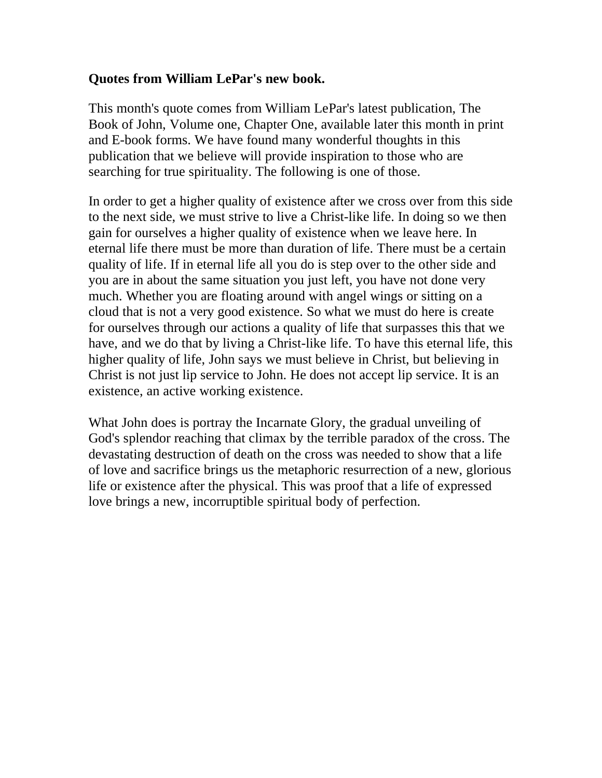#### **Quotes from William LePar's new book.**

This month's quote comes from William LePar's latest publication, The Book of John, Volume one, Chapter One, available later this month in print and E-book forms. We have found many wonderful thoughts in this publication that we believe will provide inspiration to those who are searching for true spirituality. The following is one of those.

In order to get a higher quality of existence after we cross over from this side to the next side, we must strive to live a Christ-like life. In doing so we then gain for ourselves a higher quality of existence when we leave here. In eternal life there must be more than duration of life. There must be a certain quality of life. If in eternal life all you do is step over to the other side and you are in about the same situation you just left, you have not done very much. Whether you are floating around with angel wings or sitting on a cloud that is not a very good existence. So what we must do here is create for ourselves through our actions a quality of life that surpasses this that we have, and we do that by living a Christ-like life. To have this eternal life, this higher quality of life, John says we must believe in Christ, but believing in Christ is not just lip service to John. He does not accept lip service. It is an existence, an active working existence.

What John does is portray the Incarnate Glory, the gradual unveiling of God's splendor reaching that climax by the terrible paradox of the cross. The devastating destruction of death on the cross was needed to show that a life of love and sacrifice brings us the metaphoric resurrection of a new, glorious life or existence after the physical. This was proof that a life of expressed love brings a new, incorruptible spiritual body of perfection.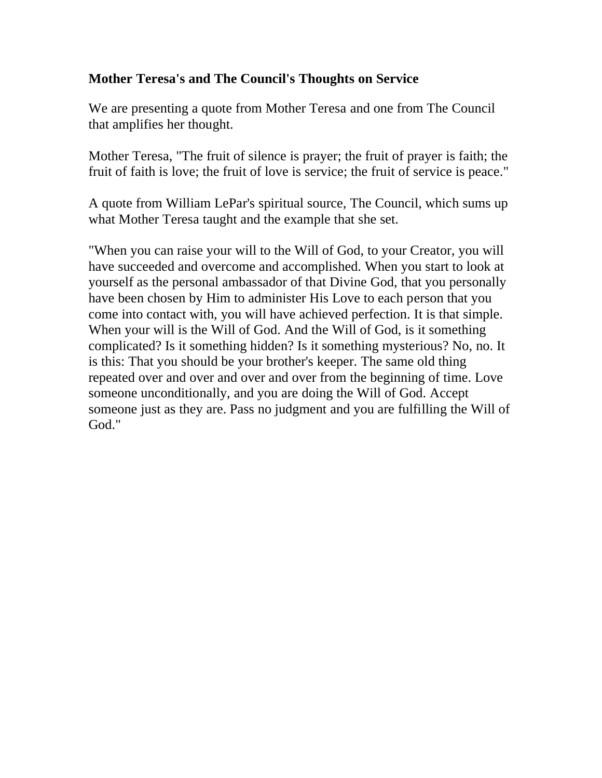### **Mother Teresa's and The Council's Thoughts on Service**

We are presenting a quote from Mother Teresa and one from The Council that amplifies her thought.

Mother Teresa, "The fruit of silence is prayer; the fruit of prayer is faith; the fruit of faith is love; the fruit of love is service; the fruit of service is peace."

A quote from William LePar's spiritual source, The Council, which sums up what Mother Teresa taught and the example that she set.

"When you can raise your will to the Will of God, to your Creator, you will have succeeded and overcome and accomplished. When you start to look at yourself as the personal ambassador of that Divine God, that you personally have been chosen by Him to administer His Love to each person that you come into contact with, you will have achieved perfection. It is that simple. When your will is the Will of God. And the Will of God, is it something complicated? Is it something hidden? Is it something mysterious? No, no. It is this: That you should be your brother's keeper. The same old thing repeated over and over and over and over from the beginning of time. Love someone unconditionally, and you are doing the Will of God. Accept someone just as they are. Pass no judgment and you are fulfilling the Will of God."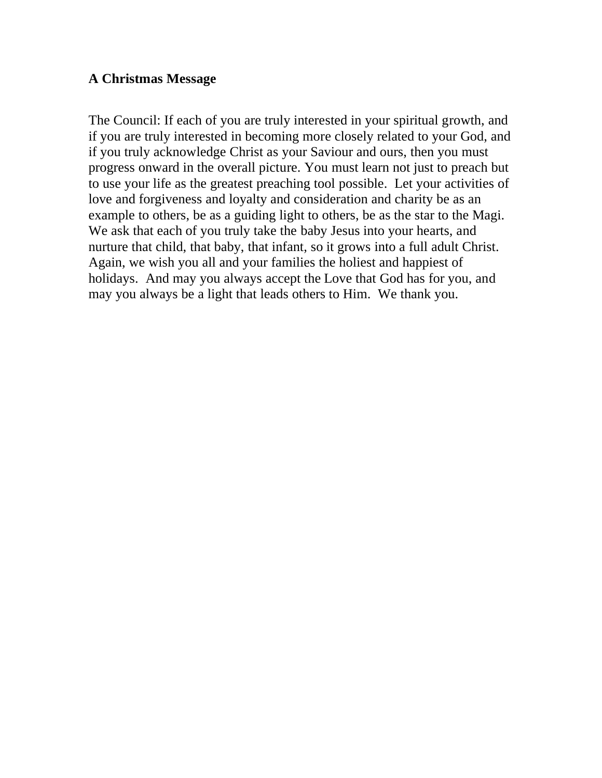#### **A Christmas Message**

The Council: If each of you are truly interested in your spiritual growth, and if you are truly interested in becoming more closely related to your God, and if you truly acknowledge Christ as your Saviour and ours, then you must progress onward in the overall picture. You must learn not just to preach but to use your life as the greatest preaching tool possible. Let your activities of love and forgiveness and loyalty and consideration and charity be as an example to others, be as a guiding light to others, be as the star to the Magi. We ask that each of you truly take the baby Jesus into your hearts, and nurture that child, that baby, that infant, so it grows into a full adult Christ. Again, we wish you all and your families the holiest and happiest of holidays. And may you always accept the Love that God has for you, and may you always be a light that leads others to Him. We thank you.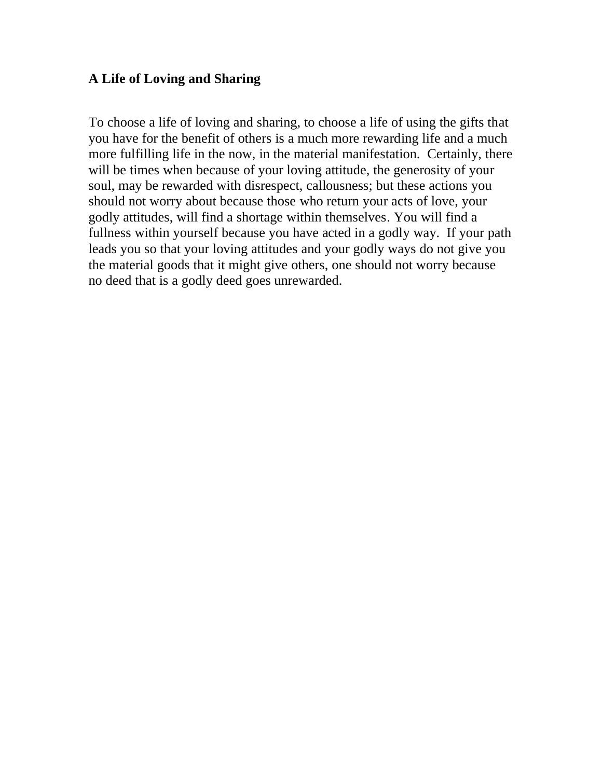#### **A Life of Loving and Sharing**

To choose a life of loving and sharing, to choose a life of using the gifts that you have for the benefit of others is a much more rewarding life and a much more fulfilling life in the now, in the material manifestation. Certainly, there will be times when because of your loving attitude, the generosity of your soul, may be rewarded with disrespect, callousness; but these actions you should not worry about because those who return your acts of love, your godly attitudes, will find a shortage within themselves. You will find a fullness within yourself because you have acted in a godly way. If your path leads you so that your loving attitudes and your godly ways do not give you the material goods that it might give others, one should not worry because no deed that is a godly deed goes unrewarded.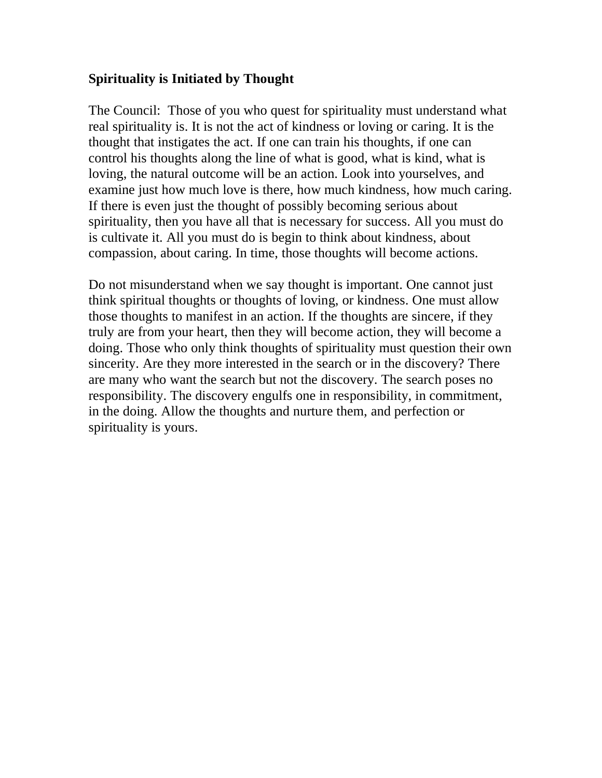### **Spirituality is Initiated by Thought**

The Council: Those of you who quest for spirituality must understand what real spirituality is. It is not the act of kindness or loving or caring. It is the thought that instigates the act. If one can train his thoughts, if one can control his thoughts along the line of what is good, what is kind, what is loving, the natural outcome will be an action. Look into yourselves, and examine just how much love is there, how much kindness, how much caring. If there is even just the thought of possibly becoming serious about spirituality, then you have all that is necessary for success. All you must do is cultivate it. All you must do is begin to think about kindness, about compassion, about caring. In time, those thoughts will become actions.

Do not misunderstand when we say thought is important. One cannot just think spiritual thoughts or thoughts of loving, or kindness. One must allow those thoughts to manifest in an action. If the thoughts are sincere, if they truly are from your heart, then they will become action, they will become a doing. Those who only think thoughts of spirituality must question their own sincerity. Are they more interested in the search or in the discovery? There are many who want the search but not the discovery. The search poses no responsibility. The discovery engulfs one in responsibility, in commitment, in the doing. Allow the thoughts and nurture them, and perfection or spirituality is yours.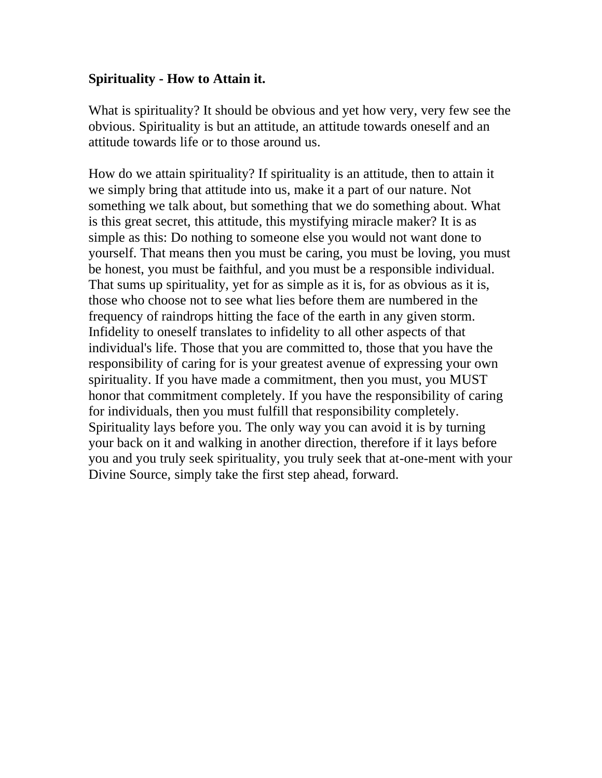### **Spirituality - How to Attain it.**

What is spirituality? It should be obvious and yet how very, very few see the obvious. Spirituality is but an attitude, an attitude towards oneself and an attitude towards life or to those around us.

How do we attain spirituality? If spirituality is an attitude, then to attain it we simply bring that attitude into us, make it a part of our nature. Not something we talk about, but something that we do something about. What is this great secret, this attitude, this mystifying miracle maker? It is as simple as this: Do nothing to someone else you would not want done to yourself. That means then you must be caring, you must be loving, you must be honest, you must be faithful, and you must be a responsible individual. That sums up spirituality, yet for as simple as it is, for as obvious as it is, those who choose not to see what lies before them are numbered in the frequency of raindrops hitting the face of the earth in any given storm. Infidelity to oneself translates to infidelity to all other aspects of that individual's life. Those that you are committed to, those that you have the responsibility of caring for is your greatest avenue of expressing your own spirituality. If you have made a commitment, then you must, you MUST honor that commitment completely. If you have the responsibility of caring for individuals, then you must fulfill that responsibility completely. Spirituality lays before you. The only way you can avoid it is by turning your back on it and walking in another direction, therefore if it lays before you and you truly seek spirituality, you truly seek that at-one-ment with your Divine Source, simply take the first step ahead, forward.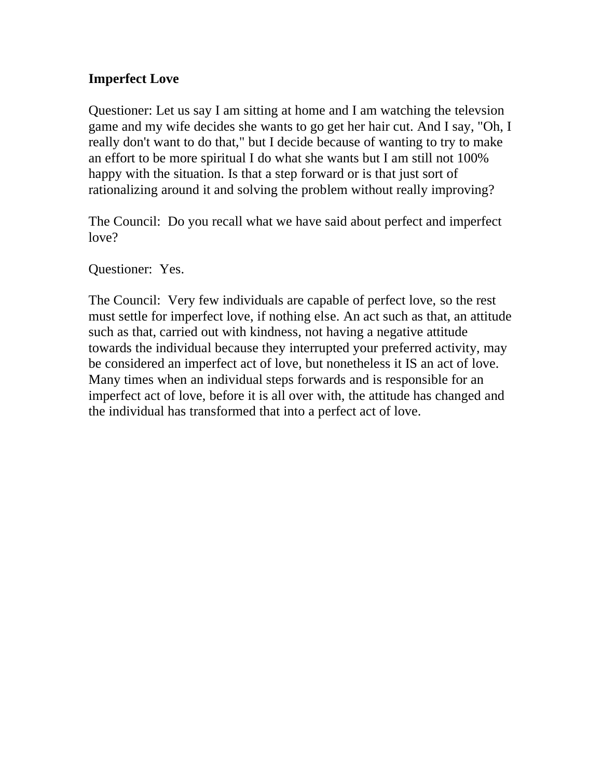### **Imperfect Love**

Questioner: Let us say I am sitting at home and I am watching the televsion game and my wife decides she wants to go get her hair cut. And I say, "Oh, I really don't want to do that," but I decide because of wanting to try to make an effort to be more spiritual I do what she wants but I am still not 100% happy with the situation. Is that a step forward or is that just sort of rationalizing around it and solving the problem without really improving?

The Council: Do you recall what we have said about perfect and imperfect love?

Questioner: Yes.

The Council: Very few individuals are capable of perfect love, so the rest must settle for imperfect love, if nothing else. An act such as that, an attitude such as that, carried out with kindness, not having a negative attitude towards the individual because they interrupted your preferred activity, may be considered an imperfect act of love, but nonetheless it IS an act of love. Many times when an individual steps forwards and is responsible for an imperfect act of love, before it is all over with, the attitude has changed and the individual has transformed that into a perfect act of love.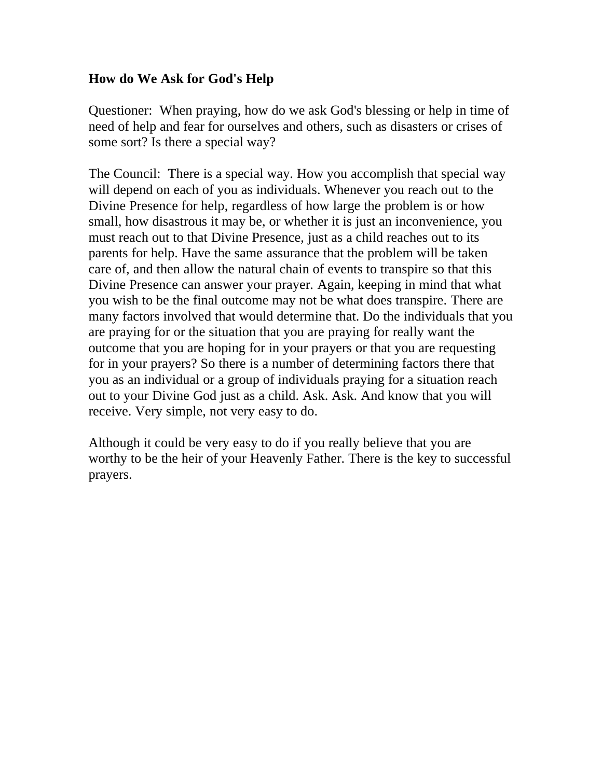### **How do We Ask for God's Help**

Questioner: When praying, how do we ask God's blessing or help in time of need of help and fear for ourselves and others, such as disasters or crises of some sort? Is there a special way?

The Council: There is a special way. How you accomplish that special way will depend on each of you as individuals. Whenever you reach out to the Divine Presence for help, regardless of how large the problem is or how small, how disastrous it may be, or whether it is just an inconvenience, you must reach out to that Divine Presence, just as a child reaches out to its parents for help. Have the same assurance that the problem will be taken care of, and then allow the natural chain of events to transpire so that this Divine Presence can answer your prayer. Again, keeping in mind that what you wish to be the final outcome may not be what does transpire. There are many factors involved that would determine that. Do the individuals that you are praying for or the situation that you are praying for really want the outcome that you are hoping for in your prayers or that you are requesting for in your prayers? So there is a number of determining factors there that you as an individual or a group of individuals praying for a situation reach out to your Divine God just as a child. Ask. Ask. And know that you will receive. Very simple, not very easy to do.

Although it could be very easy to do if you really believe that you are worthy to be the heir of your Heavenly Father. There is the key to successful prayers.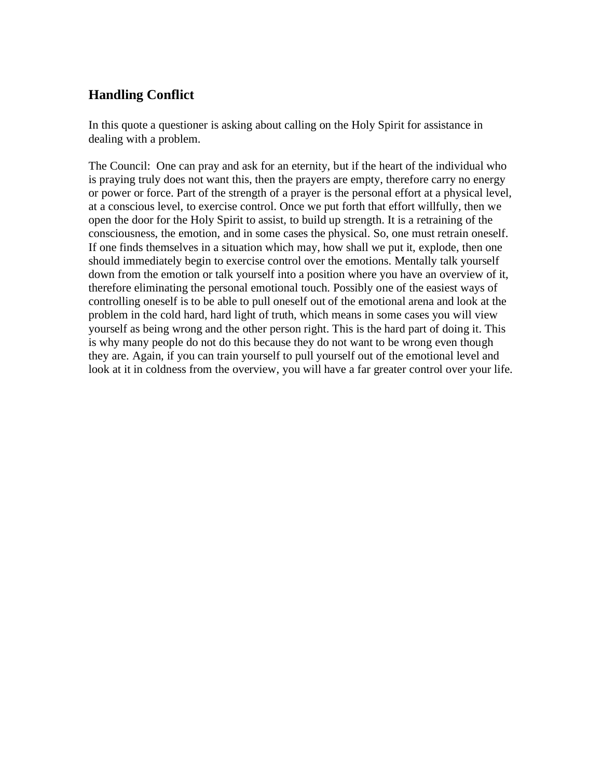### **Handling Conflict**

In this quote a questioner is asking about calling on the Holy Spirit for assistance in dealing with a problem.

The Council: One can pray and ask for an eternity, but if the heart of the individual who is praying truly does not want this, then the prayers are empty, therefore carry no energy or power or force. Part of the strength of a prayer is the personal effort at a physical level, at a conscious level, to exercise control. Once we put forth that effort willfully, then we open the door for the Holy Spirit to assist, to build up strength. It is a retraining of the consciousness, the emotion, and in some cases the physical. So, one must retrain oneself. If one finds themselves in a situation which may, how shall we put it, explode, then one should immediately begin to exercise control over the emotions. Mentally talk yourself down from the emotion or talk yourself into a position where you have an overview of it, therefore eliminating the personal emotional touch. Possibly one of the easiest ways of controlling oneself is to be able to pull oneself out of the emotional arena and look at the problem in the cold hard, hard light of truth, which means in some cases you will view yourself as being wrong and the other person right. This is the hard part of doing it. This is why many people do not do this because they do not want to be wrong even though they are. Again, if you can train yourself to pull yourself out of the emotional level and look at it in coldness from the overview, you will have a far greater control over your life.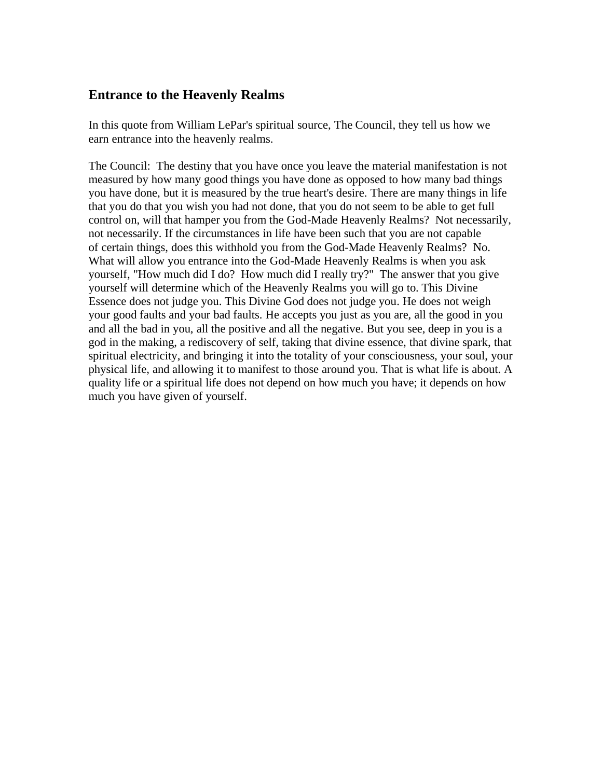#### **Entrance to the Heavenly Realms**

In this quote from William LePar's spiritual source, The Council, they tell us how we earn entrance into the heavenly realms.

The Council: The destiny that you have once you leave the material manifestation is not measured by how many good things you have done as opposed to how many bad things you have done, but it is measured by the true heart's desire. There are many things in life that you do that you wish you had not done, that you do not seem to be able to get full control on, will that hamper you from the God-Made Heavenly Realms? Not necessarily, not necessarily. If the circumstances in life have been such that you are not capable of certain things, does this withhold you from the God-Made Heavenly Realms? No. What will allow you entrance into the God-Made Heavenly Realms is when you ask yourself, "How much did I do? How much did I really try?" The answer that you give yourself will determine which of the Heavenly Realms you will go to. This Divine Essence does not judge you. This Divine God does not judge you. He does not weigh your good faults and your bad faults. He accepts you just as you are, all the good in you and all the bad in you, all the positive and all the negative. But you see, deep in you is a god in the making, a rediscovery of self, taking that divine essence, that divine spark, that spiritual electricity, and bringing it into the totality of your consciousness, your soul, your physical life, and allowing it to manifest to those around you. That is what life is about. A quality life or a spiritual life does not depend on how much you have; it depends on how much you have given of yourself.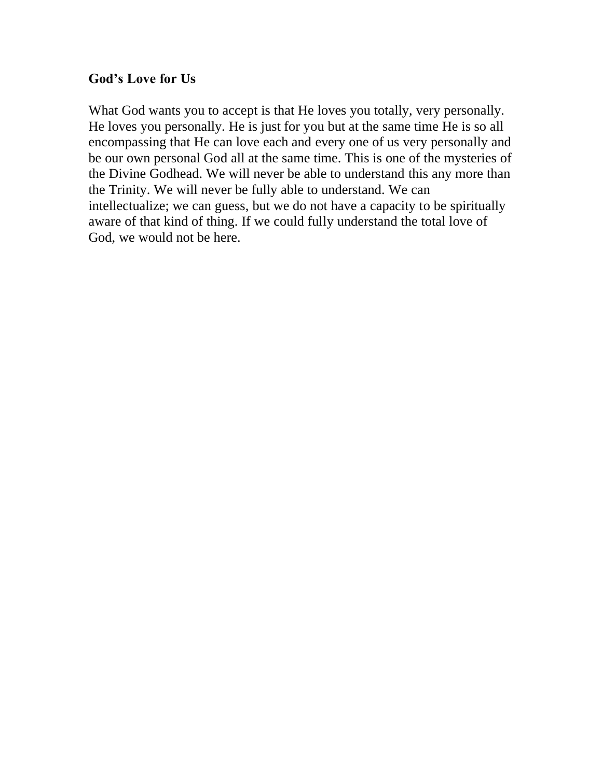#### **God's Love for Us**

What God wants you to accept is that He loves you totally, very personally. He loves you personally. He is just for you but at the same time He is so all encompassing that He can love each and every one of us very personally and be our own personal God all at the same time. This is one of the mysteries of the Divine Godhead. We will never be able to understand this any more than the Trinity. We will never be fully able to understand. We can intellectualize; we can guess, but we do not have a capacity to be spiritually aware of that kind of thing. If we could fully understand the total love of God, we would not be here.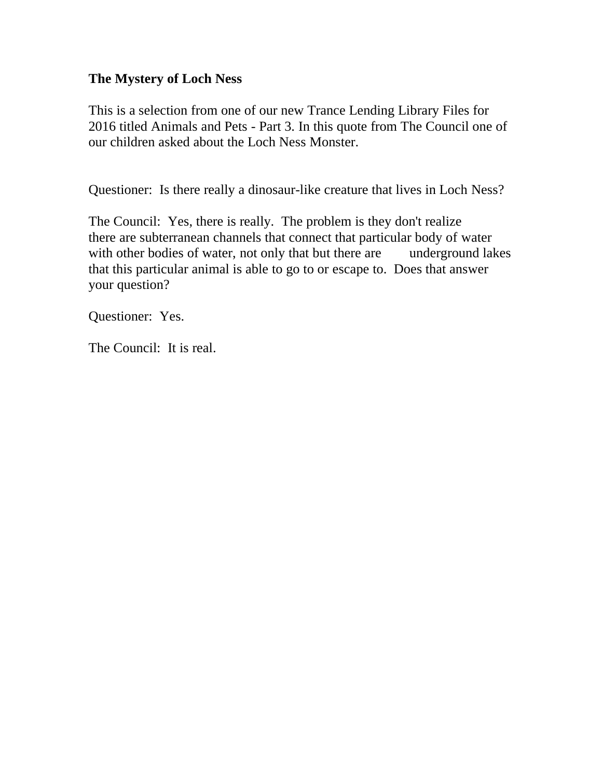#### **The Mystery of Loch Ness**

This is a selection from one of our new Trance Lending Library Files for 2016 titled Animals and Pets - Part 3. In this quote from The Council one of our children asked about the Loch Ness Monster.

Questioner: Is there really a dinosaur-like creature that lives in Loch Ness?

The Council: Yes, there is really. The problem is they don't realize there are subterranean channels that connect that particular body of water with other bodies of water, not only that but there are underground lakes that this particular animal is able to go to or escape to. Does that answer your question?

Questioner: Yes.

The Council: It is real.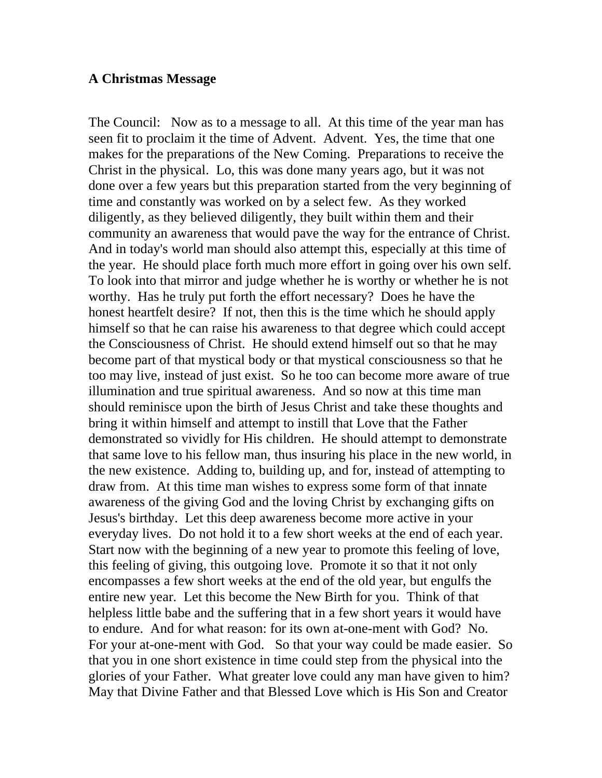#### **A Christmas Message**

The Council: Now as to a message to all. At this time of the year man has seen fit to proclaim it the time of Advent. Advent. Yes, the time that one makes for the preparations of the New Coming. Preparations to receive the Christ in the physical. Lo, this was done many years ago, but it was not done over a few years but this preparation started from the very beginning of time and constantly was worked on by a select few. As they worked diligently, as they believed diligently, they built within them and their community an awareness that would pave the way for the entrance of Christ. And in today's world man should also attempt this, especially at this time of the year. He should place forth much more effort in going over his own self. To look into that mirror and judge whether he is worthy or whether he is not worthy. Has he truly put forth the effort necessary? Does he have the honest heartfelt desire? If not, then this is the time which he should apply himself so that he can raise his awareness to that degree which could accept the Consciousness of Christ. He should extend himself out so that he may become part of that mystical body or that mystical consciousness so that he too may live, instead of just exist. So he too can become more aware of true illumination and true spiritual awareness. And so now at this time man should reminisce upon the birth of Jesus Christ and take these thoughts and bring it within himself and attempt to instill that Love that the Father demonstrated so vividly for His children. He should attempt to demonstrate that same love to his fellow man, thus insuring his place in the new world, in the new existence. Adding to, building up, and for, instead of attempting to draw from. At this time man wishes to express some form of that innate awareness of the giving God and the loving Christ by exchanging gifts on Jesus's birthday. Let this deep awareness become more active in your everyday lives. Do not hold it to a few short weeks at the end of each year. Start now with the beginning of a new year to promote this feeling of love, this feeling of giving, this outgoing love. Promote it so that it not only encompasses a few short weeks at the end of the old year, but engulfs the entire new year. Let this become the New Birth for you. Think of that helpless little babe and the suffering that in a few short years it would have to endure. And for what reason: for its own at-one-ment with God? No. For your at-one-ment with God. So that your way could be made easier. So that you in one short existence in time could step from the physical into the glories of your Father. What greater love could any man have given to him? May that Divine Father and that Blessed Love which is His Son and Creator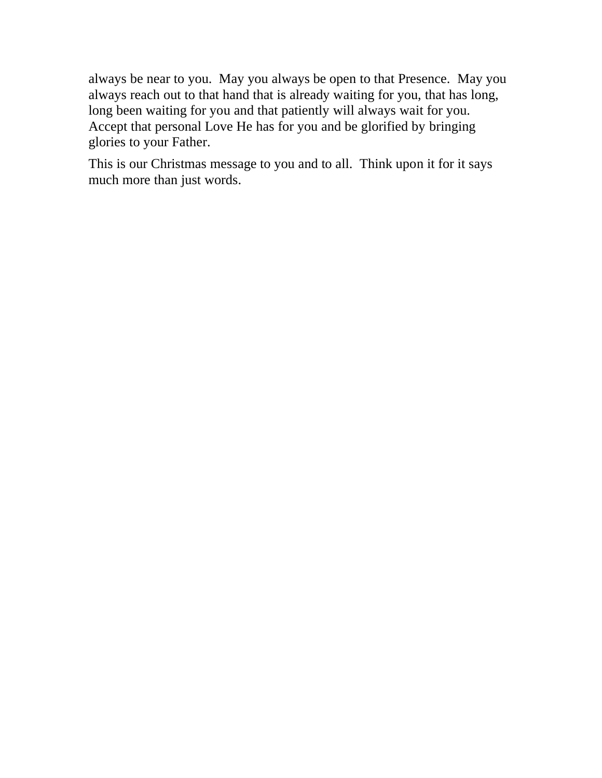always be near to you. May you always be open to that Presence. May you always reach out to that hand that is already waiting for you, that has long, long been waiting for you and that patiently will always wait for you. Accept that personal Love He has for you and be glorified by bringing glories to your Father.

This is our Christmas message to you and to all. Think upon it for it says much more than just words.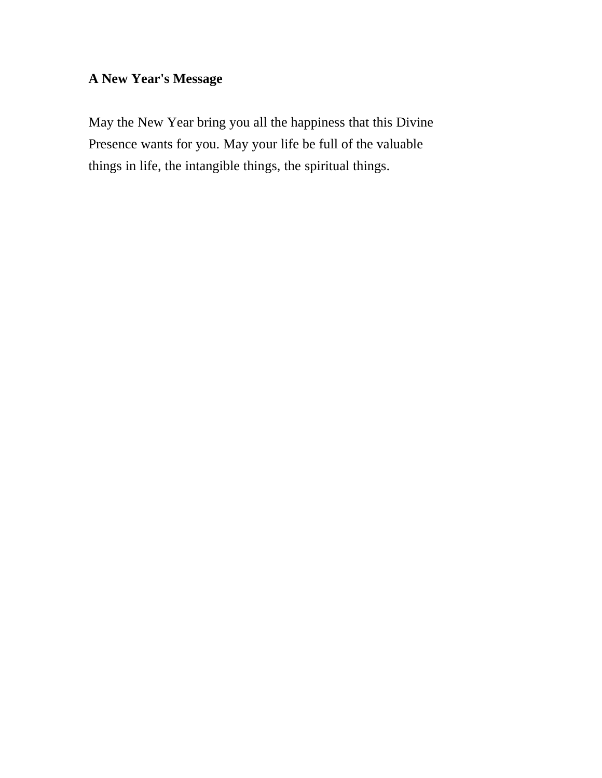## **A New Year's Message**

May the New Year bring you all the happiness that this Divine Presence wants for you. May your life be full of the valuable things in life, the intangible things, the spiritual things.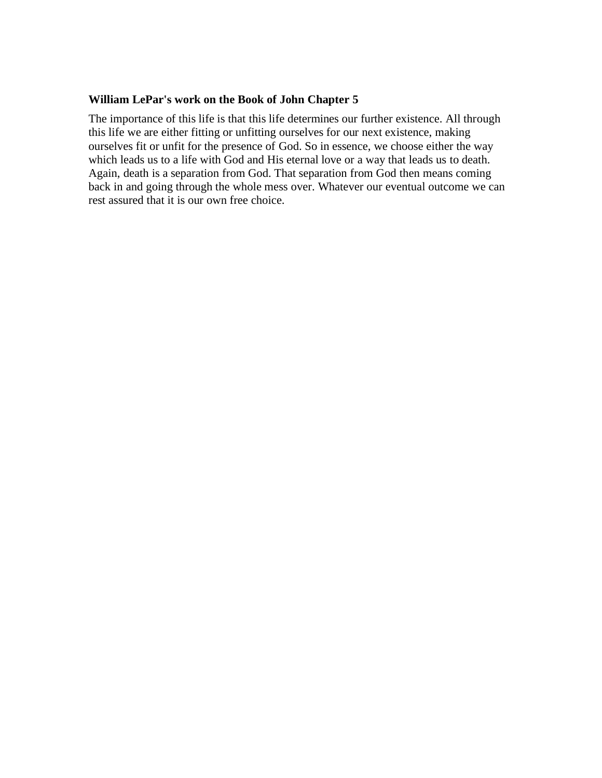#### **William LePar's work on the Book of John Chapter 5**

The importance of this life is that this life determines our further existence. All through this life we are either fitting or unfitting ourselves for our next existence, making ourselves fit or unfit for the presence of God. So in essence, we choose either the way which leads us to a life with God and His eternal love or a way that leads us to death. Again, death is a separation from God. That separation from God then means coming back in and going through the whole mess over. Whatever our eventual outcome we can rest assured that it is our own free choice.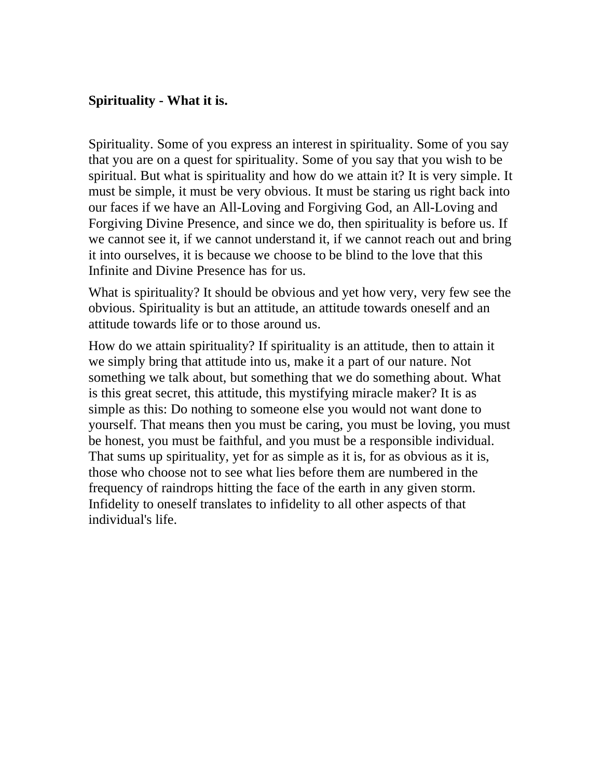### **Spirituality - What it is.**

Spirituality. Some of you express an interest in spirituality. Some of you say that you are on a quest for spirituality. Some of you say that you wish to be spiritual. But what is spirituality and how do we attain it? It is very simple. It must be simple, it must be very obvious. It must be staring us right back into our faces if we have an All-Loving and Forgiving God, an All-Loving and Forgiving Divine Presence, and since we do, then spirituality is before us. If we cannot see it, if we cannot understand it, if we cannot reach out and bring it into ourselves, it is because we choose to be blind to the love that this Infinite and Divine Presence has for us.

What is spirituality? It should be obvious and yet how very, very few see the obvious. Spirituality is but an attitude, an attitude towards oneself and an attitude towards life or to those around us.

How do we attain spirituality? If spirituality is an attitude, then to attain it we simply bring that attitude into us, make it a part of our nature. Not something we talk about, but something that we do something about. What is this great secret, this attitude, this mystifying miracle maker? It is as simple as this: Do nothing to someone else you would not want done to yourself. That means then you must be caring, you must be loving, you must be honest, you must be faithful, and you must be a responsible individual. That sums up spirituality, yet for as simple as it is, for as obvious as it is, those who choose not to see what lies before them are numbered in the frequency of raindrops hitting the face of the earth in any given storm. Infidelity to oneself translates to infidelity to all other aspects of that individual's life.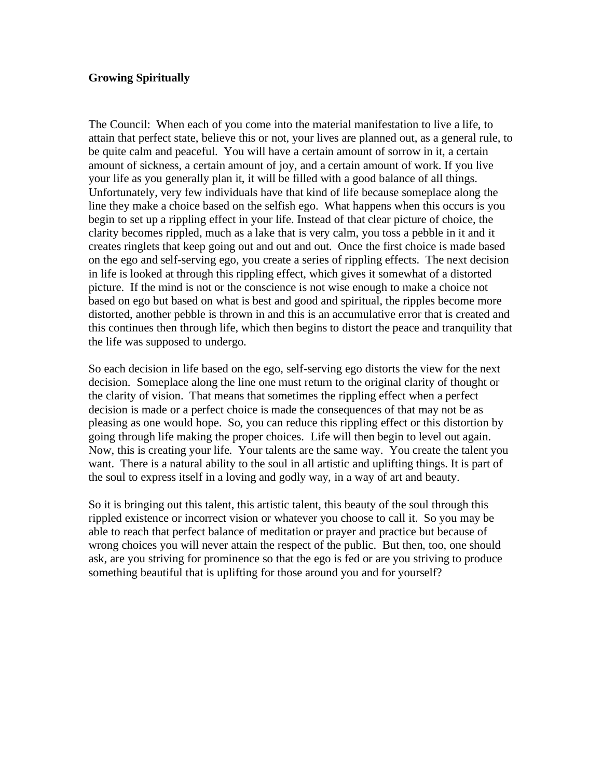#### **Growing Spiritually**

The Council: When each of you come into the material manifestation to live a life, to attain that perfect state, believe this or not, your lives are planned out, as a general rule, to be quite calm and peaceful. You will have a certain amount of sorrow in it, a certain amount of sickness, a certain amount of joy, and a certain amount of work. If you live your life as you generally plan it, it will be filled with a good balance of all things. Unfortunately, very few individuals have that kind of life because someplace along the line they make a choice based on the selfish ego. What happens when this occurs is you begin to set up a rippling effect in your life. Instead of that clear picture of choice, the clarity becomes rippled, much as a lake that is very calm, you toss a pebble in it and it creates ringlets that keep going out and out and out. Once the first choice is made based on the ego and self-serving ego, you create a series of rippling effects. The next decision in life is looked at through this rippling effect, which gives it somewhat of a distorted picture. If the mind is not or the conscience is not wise enough to make a choice not based on ego but based on what is best and good and spiritual, the ripples become more distorted, another pebble is thrown in and this is an accumulative error that is created and this continues then through life, which then begins to distort the peace and tranquility that the life was supposed to undergo.

So each decision in life based on the ego, self-serving ego distorts the view for the next decision. Someplace along the line one must return to the original clarity of thought or the clarity of vision. That means that sometimes the rippling effect when a perfect decision is made or a perfect choice is made the consequences of that may not be as pleasing as one would hope. So, you can reduce this rippling effect or this distortion by going through life making the proper choices. Life will then begin to level out again. Now, this is creating your life. Your talents are the same way. You create the talent you want. There is a natural ability to the soul in all artistic and uplifting things. It is part of the soul to express itself in a loving and godly way, in a way of art and beauty.

So it is bringing out this talent, this artistic talent, this beauty of the soul through this rippled existence or incorrect vision or whatever you choose to call it. So you may be able to reach that perfect balance of meditation or prayer and practice but because of wrong choices you will never attain the respect of the public. But then, too, one should ask, are you striving for prominence so that the ego is fed or are you striving to produce something beautiful that is uplifting for those around you and for yourself?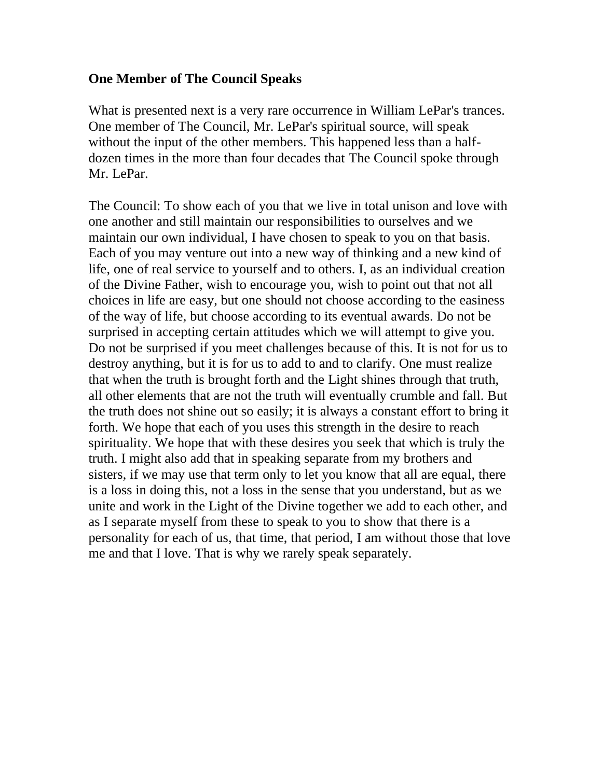#### **One Member of The Council Speaks**

What is presented next is a very rare occurrence in William LePar's trances. One member of The Council, Mr. LePar's spiritual source, will speak without the input of the other members. This happened less than a halfdozen times in the more than four decades that The Council spoke through Mr. LePar.

The Council: To show each of you that we live in total unison and love with one another and still maintain our responsibilities to ourselves and we maintain our own individual, I have chosen to speak to you on that basis. Each of you may venture out into a new way of thinking and a new kind of life, one of real service to yourself and to others. I, as an individual creation of the Divine Father, wish to encourage you, wish to point out that not all choices in life are easy, but one should not choose according to the easiness of the way of life, but choose according to its eventual awards. Do not be surprised in accepting certain attitudes which we will attempt to give you. Do not be surprised if you meet challenges because of this. It is not for us to destroy anything, but it is for us to add to and to clarify. One must realize that when the truth is brought forth and the Light shines through that truth, all other elements that are not the truth will eventually crumble and fall. But the truth does not shine out so easily; it is always a constant effort to bring it forth. We hope that each of you uses this strength in the desire to reach spirituality. We hope that with these desires you seek that which is truly the truth. I might also add that in speaking separate from my brothers and sisters, if we may use that term only to let you know that all are equal, there is a loss in doing this, not a loss in the sense that you understand, but as we unite and work in the Light of the Divine together we add to each other, and as I separate myself from these to speak to you to show that there is a personality for each of us, that time, that period, I am without those that love me and that I love. That is why we rarely speak separately.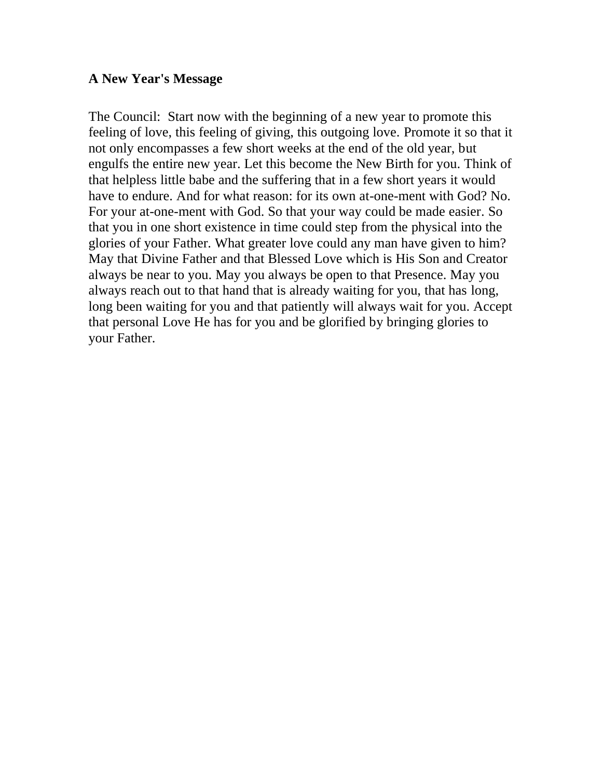#### **A New Year's Message**

The Council: Start now with the beginning of a new year to promote this feeling of love, this feeling of giving, this outgoing love. Promote it so that it not only encompasses a few short weeks at the end of the old year, but engulfs the entire new year. Let this become the New Birth for you. Think of that helpless little babe and the suffering that in a few short years it would have to endure. And for what reason: for its own at-one-ment with God? No. For your at-one-ment with God. So that your way could be made easier. So that you in one short existence in time could step from the physical into the glories of your Father. What greater love could any man have given to him? May that Divine Father and that Blessed Love which is His Son and Creator always be near to you. May you always be open to that Presence. May you always reach out to that hand that is already waiting for you, that has long, long been waiting for you and that patiently will always wait for you. Accept that personal Love He has for you and be glorified by bringing glories to your Father.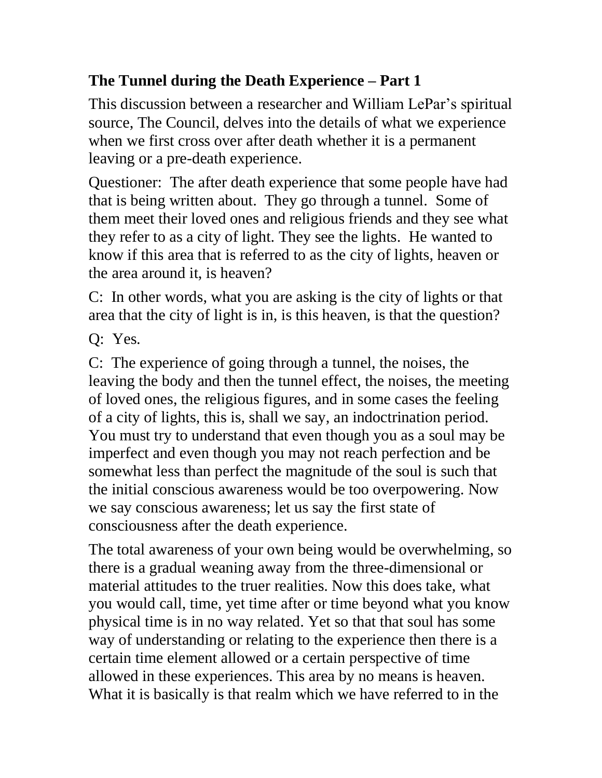# **The Tunnel during the Death Experience – Part 1**

This discussion between a researcher and William LePar's spiritual source, The Council, delves into the details of what we experience when we first cross over after death whether it is a permanent leaving or a pre-death experience.

Questioner: The after death experience that some people have had that is being written about. They go through a tunnel. Some of them meet their loved ones and religious friends and they see what they refer to as a city of light. They see the lights. He wanted to know if this area that is referred to as the city of lights, heaven or the area around it, is heaven?

C: In other words, what you are asking is the city of lights or that area that the city of light is in, is this heaven, is that the question?

Q: Yes.

C: The experience of going through a tunnel, the noises, the leaving the body and then the tunnel effect, the noises, the meeting of loved ones, the religious figures, and in some cases the feeling of a city of lights, this is, shall we say, an indoctrination period. You must try to understand that even though you as a soul may be imperfect and even though you may not reach perfection and be somewhat less than perfect the magnitude of the soul is such that the initial conscious awareness would be too overpowering. Now we say conscious awareness; let us say the first state of consciousness after the death experience.

The total awareness of your own being would be overwhelming, so there is a gradual weaning away from the three-dimensional or material attitudes to the truer realities. Now this does take, what you would call, time, yet time after or time beyond what you know physical time is in no way related. Yet so that that soul has some way of understanding or relating to the experience then there is a certain time element allowed or a certain perspective of time allowed in these experiences. This area by no means is heaven. What it is basically is that realm which we have referred to in the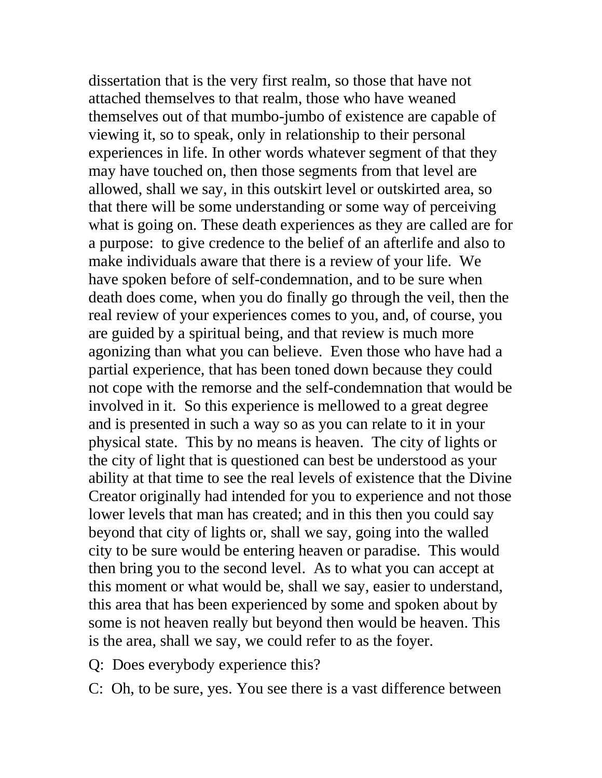dissertation that is the very first realm, so those that have not attached themselves to that realm, those who have weaned themselves out of that mumbo-jumbo of existence are capable of viewing it, so to speak, only in relationship to their personal experiences in life. In other words whatever segment of that they may have touched on, then those segments from that level are allowed, shall we say, in this outskirt level or outskirted area, so that there will be some understanding or some way of perceiving what is going on. These death experiences as they are called are for a purpose: to give credence to the belief of an afterlife and also to make individuals aware that there is a review of your life. We have spoken before of self-condemnation, and to be sure when death does come, when you do finally go through the veil, then the real review of your experiences comes to you, and, of course, you are guided by a spiritual being, and that review is much more agonizing than what you can believe. Even those who have had a partial experience, that has been toned down because they could not cope with the remorse and the self-condemnation that would be involved in it. So this experience is mellowed to a great degree and is presented in such a way so as you can relate to it in your physical state. This by no means is heaven. The city of lights or the city of light that is questioned can best be understood as your ability at that time to see the real levels of existence that the Divine Creator originally had intended for you to experience and not those lower levels that man has created; and in this then you could say beyond that city of lights or, shall we say, going into the walled city to be sure would be entering heaven or paradise. This would then bring you to the second level. As to what you can accept at this moment or what would be, shall we say, easier to understand, this area that has been experienced by some and spoken about by some is not heaven really but beyond then would be heaven. This is the area, shall we say, we could refer to as the foyer.

Q: Does everybody experience this?

C: Oh, to be sure, yes. You see there is a vast difference between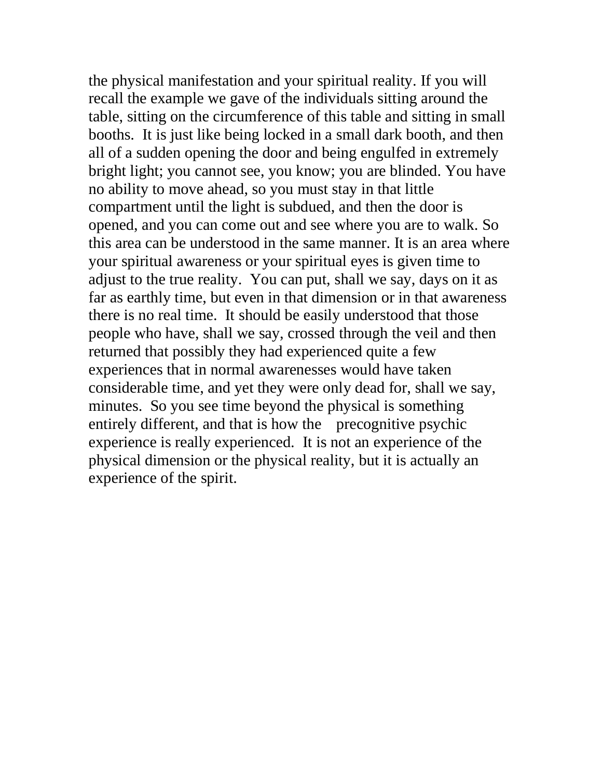the physical manifestation and your spiritual reality. If you will recall the example we gave of the individuals sitting around the table, sitting on the circumference of this table and sitting in small booths. It is just like being locked in a small dark booth, and then all of a sudden opening the door and being engulfed in extremely bright light; you cannot see, you know; you are blinded. You have no ability to move ahead, so you must stay in that little compartment until the light is subdued, and then the door is opened, and you can come out and see where you are to walk. So this area can be understood in the same manner. It is an area where your spiritual awareness or your spiritual eyes is given time to adjust to the true reality. You can put, shall we say, days on it as far as earthly time, but even in that dimension or in that awareness there is no real time. It should be easily understood that those people who have, shall we say, crossed through the veil and then returned that possibly they had experienced quite a few experiences that in normal awarenesses would have taken considerable time, and yet they were only dead for, shall we say, minutes. So you see time beyond the physical is something entirely different, and that is how the precognitive psychic experience is really experienced. It is not an experience of the physical dimension or the physical reality, but it is actually an experience of the spirit.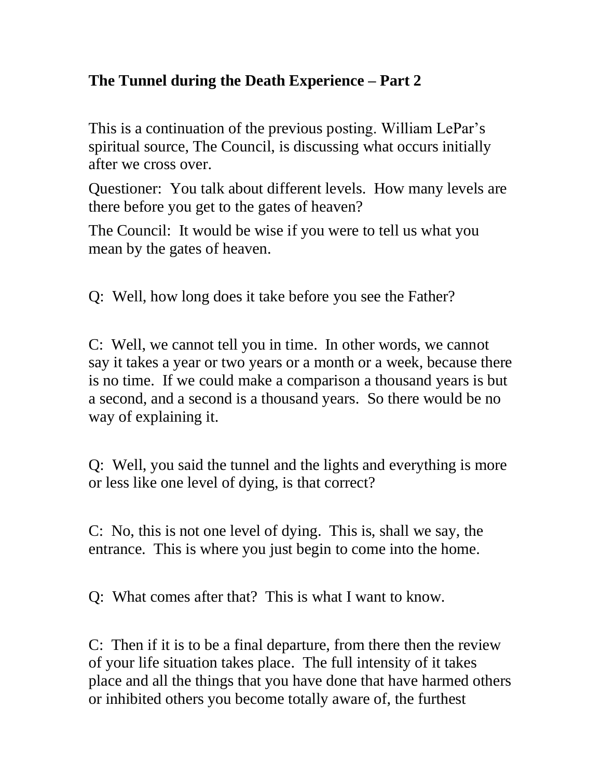# **The Tunnel during the Death Experience – Part 2**

This is a continuation of the previous posting. William LePar's spiritual source, The Council, is discussing what occurs initially after we cross over.

Questioner: You talk about different levels. How many levels are there before you get to the gates of heaven?

The Council: It would be wise if you were to tell us what you mean by the gates of heaven.

Q: Well, how long does it take before you see the Father?

C: Well, we cannot tell you in time. In other words, we cannot say it takes a year or two years or a month or a week, because there is no time. If we could make a comparison a thousand years is but a second, and a second is a thousand years. So there would be no way of explaining it.

Q: Well, you said the tunnel and the lights and everything is more or less like one level of dying, is that correct?

C: No, this is not one level of dying. This is, shall we say, the entrance. This is where you just begin to come into the home.

Q: What comes after that? This is what I want to know.

C: Then if it is to be a final departure, from there then the review of your life situation takes place. The full intensity of it takes place and all the things that you have done that have harmed others or inhibited others you become totally aware of, the furthest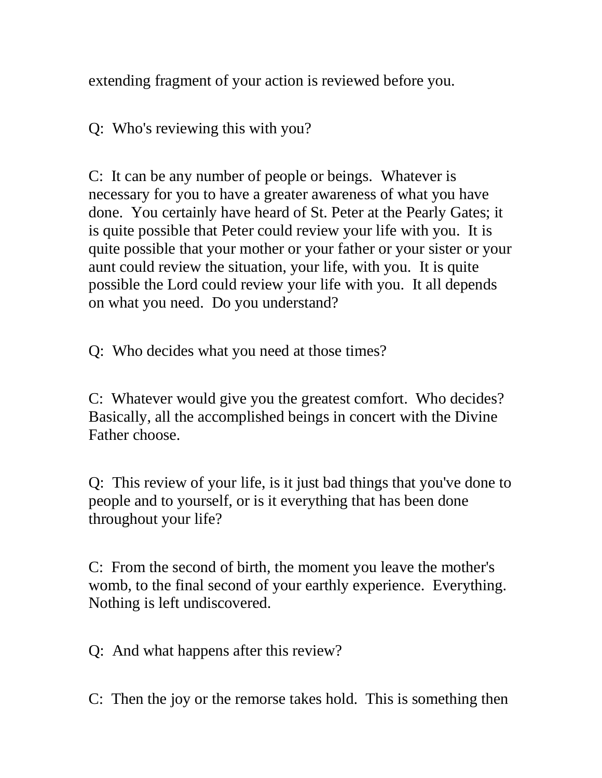extending fragment of your action is reviewed before you.

Q: Who's reviewing this with you?

C: It can be any number of people or beings. Whatever is necessary for you to have a greater awareness of what you have done. You certainly have heard of St. Peter at the Pearly Gates; it is quite possible that Peter could review your life with you. It is quite possible that your mother or your father or your sister or your aunt could review the situation, your life, with you. It is quite possible the Lord could review your life with you. It all depends on what you need. Do you understand?

Q: Who decides what you need at those times?

C: Whatever would give you the greatest comfort. Who decides? Basically, all the accomplished beings in concert with the Divine Father choose.

Q: This review of your life, is it just bad things that you've done to people and to yourself, or is it everything that has been done throughout your life?

C: From the second of birth, the moment you leave the mother's womb, to the final second of your earthly experience. Everything. Nothing is left undiscovered.

Q: And what happens after this review?

C: Then the joy or the remorse takes hold. This is something then